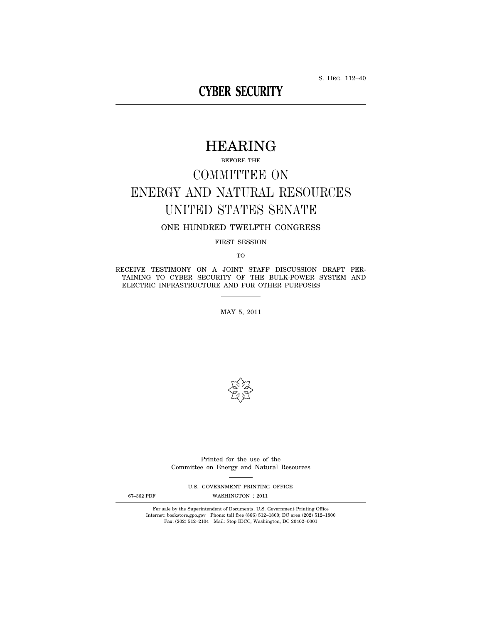S. HRG. 112–40

# **CYBER SECURITY**

# HEARING

BEFORE THE

# COMMITTEE ON ENERGY AND NATURAL RESOURCES UNITED STATES SENATE

# ONE HUNDRED TWELFTH CONGRESS

FIRST SESSION

TO

RECEIVE TESTIMONY ON A JOINT STAFF DISCUSSION DRAFT PER-TAINING TO CYBER SECURITY OF THE BULK-POWER SYSTEM AND ELECTRIC INFRASTRUCTURE AND FOR OTHER PURPOSES

MAY 5, 2011



Printed for the use of the Committee on Energy and Natural Resources

U.S. GOVERNMENT PRINTING OFFICE

67-362 PDF WASHINGTON : 2011

For sale by the Superintendent of Documents, U.S. Government Printing Office Internet: bookstore.gpo.gov Phone: toll free (866) 512–1800; DC area (202) 512–1800 Fax: (202) 512–2104 Mail: Stop IDCC, Washington, DC 20402–0001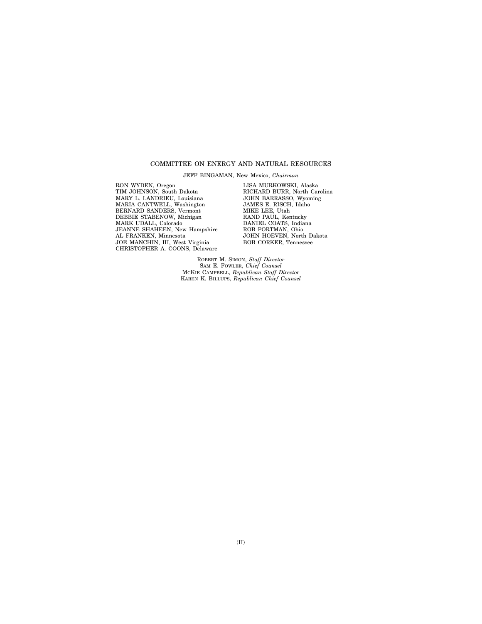# COMMITTEE ON ENERGY AND NATURAL RESOURCES

JEFF BINGAMAN, New Mexico, *Chairman* 

RON WYDEN, Oregon TIM JOHNSON, South Dakota MARY L. LANDRIEU, Louisiana MARIA CANTWELL, Washington BERNARD SANDERS, Vermont DEBBIE STABENOW, Michigan MARK UDALL, Colorado JEANNE SHAHEEN, New Hampshire AL FRANKEN, Minnesota JOE MANCHIN, III, West Virginia CHRISTOPHER A. COONS, Delaware

LISA MURKOWSKI, Alaska RICHARD BURR, North Carolina JOHN BARRASSO, Wyoming JAMES E. RISCH, Idaho MIKE LEE, Utah RAND PAUL, Kentucky DANIEL COATS, Indiana ROB PORTMAN, Ohio JOHN HOEVEN, North Dakota BOB CORKER, Tennessee

ROBERT M. SIMON, *Staff Director*  SAM E. FOWLER, *Chief Counsel*  MCKIE CAMPBELL, *Republican Staff Director*  KAREN K. BILLUPS, *Republican Chief Counsel*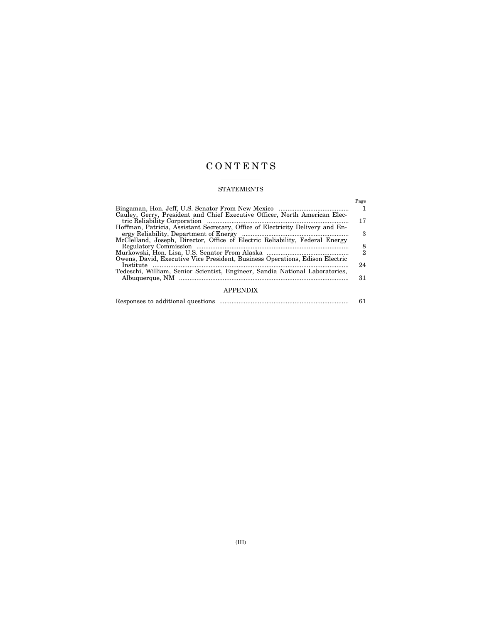# C O N T E N T S

# STATEMENTS

|                                                                                | Page          |
|--------------------------------------------------------------------------------|---------------|
|                                                                                |               |
| Cauley, Gerry, President and Chief Executive Officer, North American Elec-     |               |
|                                                                                | 17            |
| Hoffman, Patricia, Assistant Secretary, Office of Electricity Delivery and En- |               |
|                                                                                | 3             |
| McClelland, Joseph, Director, Office of Electric Reliability, Federal Energy   |               |
|                                                                                | $\frac{8}{2}$ |
|                                                                                |               |
| Owens, David, Executive Vice President, Business Operations, Edison Electric   |               |
| Institute                                                                      | 24            |
| Tedeschi, William, Senior Scientist, Engineer, Sandia National Laboratories,   |               |
|                                                                                | 31            |
|                                                                                |               |
|                                                                                |               |
|                                                                                |               |

| Responses to additional questions |  |
|-----------------------------------|--|
|                                   |  |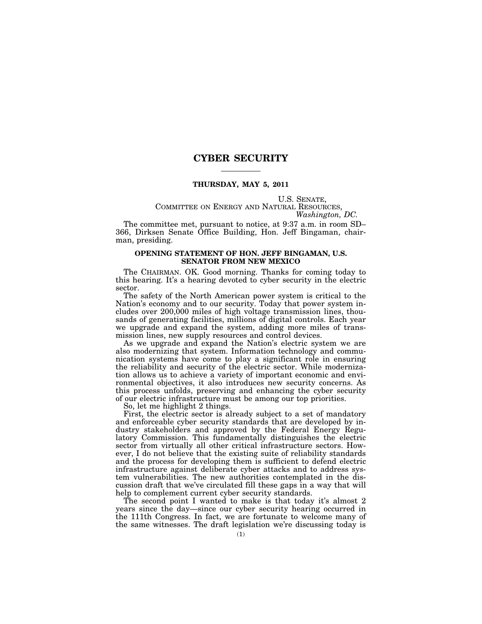# **CYBER SECURITY**

## **THURSDAY, MAY 5, 2011**

# U.S. SENATE,<br>COMMITTEE ON ENERGY AND NATURAL RESOURCES,<br>*Washington, DC.*

The committee met, pursuant to notice, at 9:37 a.m. in room SD– 366, Dirksen Senate Office Building, Hon. Jeff Bingaman, chairman, presiding.

# **OPENING STATEMENT OF HON. JEFF BINGAMAN, U.S. SENATOR FROM NEW MEXICO**

The CHAIRMAN. OK. Good morning. Thanks for coming today to this hearing. It's a hearing devoted to cyber security in the electric sector.

The safety of the North American power system is critical to the Nation's economy and to our security. Today that power system includes over 200,000 miles of high voltage transmission lines, thousands of generating facilities, millions of digital controls. Each year we upgrade and expand the system, adding more miles of transmission lines, new supply resources and control devices.

As we upgrade and expand the Nation's electric system we are also modernizing that system. Information technology and communication systems have come to play a significant role in ensuring the reliability and security of the electric sector. While modernization allows us to achieve a variety of important economic and environmental objectives, it also introduces new security concerns. As this process unfolds, preserving and enhancing the cyber security of our electric infrastructure must be among our top priorities.

So, let me highlight 2 things.

First, the electric sector is already subject to a set of mandatory and enforceable cyber security standards that are developed by industry stakeholders and approved by the Federal Energy Regulatory Commission. This fundamentally distinguishes the electric sector from virtually all other critical infrastructure sectors. However, I do not believe that the existing suite of reliability standards and the process for developing them is sufficient to defend electric infrastructure against deliberate cyber attacks and to address system vulnerabilities. The new authorities contemplated in the discussion draft that we've circulated fill these gaps in a way that will help to complement current cyber security standards.

The second point I wanted to make is that today it's almost 2 years since the day—since our cyber security hearing occurred in the 111th Congress. In fact, we are fortunate to welcome many of the same witnesses. The draft legislation we're discussing today is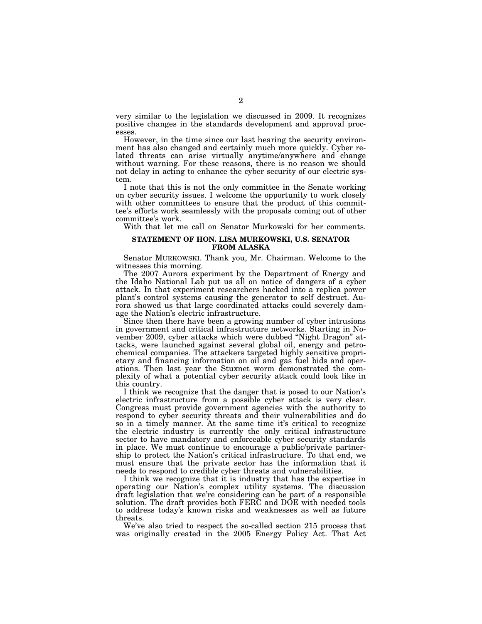very similar to the legislation we discussed in 2009. It recognizes positive changes in the standards development and approval processes.

However, in the time since our last hearing the security environment has also changed and certainly much more quickly. Cyber related threats can arise virtually anytime/anywhere and change without warning. For these reasons, there is no reason we should not delay in acting to enhance the cyber security of our electric system.

I note that this is not the only committee in the Senate working on cyber security issues. I welcome the opportunity to work closely with other committees to ensure that the product of this committee's efforts work seamlessly with the proposals coming out of other committee's work.

With that let me call on Senator Murkowski for her comments.

# **STATEMENT OF HON. LISA MURKOWSKI, U.S. SENATOR FROM ALASKA**

Senator MURKOWSKI. Thank you, Mr. Chairman. Welcome to the witnesses this morning.

The 2007 Aurora experiment by the Department of Energy and the Idaho National Lab put us all on notice of dangers of a cyber attack. In that experiment researchers hacked into a replica power plant's control systems causing the generator to self destruct. Aurora showed us that large coordinated attacks could severely damage the Nation's electric infrastructure.

Since then there have been a growing number of cyber intrusions in government and critical infrastructure networks. Starting in November 2009, cyber attacks which were dubbed ''Night Dragon'' attacks, were launched against several global oil, energy and petrochemical companies. The attackers targeted highly sensitive proprietary and financing information on oil and gas fuel bids and operations. Then last year the Stuxnet worm demonstrated the complexity of what a potential cyber security attack could look like in this country.

I think we recognize that the danger that is posed to our Nation's electric infrastructure from a possible cyber attack is very clear. Congress must provide government agencies with the authority to respond to cyber security threats and their vulnerabilities and do so in a timely manner. At the same time it's critical to recognize the electric industry is currently the only critical infrastructure sector to have mandatory and enforceable cyber security standards in place. We must continue to encourage a public/private partnership to protect the Nation's critical infrastructure. To that end, we must ensure that the private sector has the information that it needs to respond to credible cyber threats and vulnerabilities.

I think we recognize that it is industry that has the expertise in operating our Nation's complex utility systems. The discussion draft legislation that we're considering can be part of a responsible solution. The draft provides both FERC and DOE with needed tools to address today's known risks and weaknesses as well as future threats.

We've also tried to respect the so-called section 215 process that was originally created in the 2005 Energy Policy Act. That Act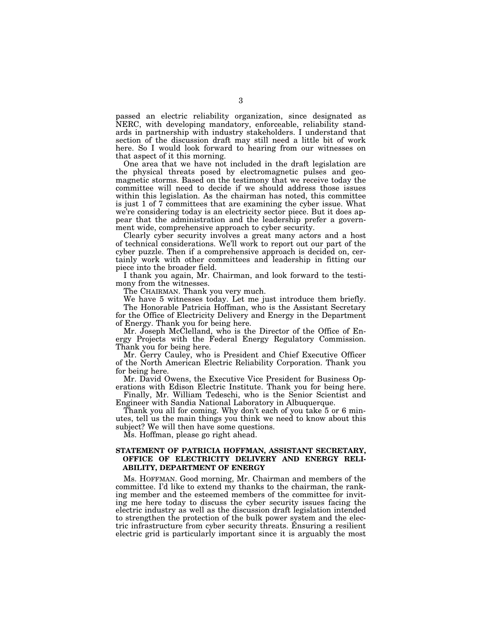passed an electric reliability organization, since designated as NERC, with developing mandatory, enforceable, reliability standards in partnership with industry stakeholders. I understand that section of the discussion draft may still need a little bit of work here. So I would look forward to hearing from our witnesses on that aspect of it this morning.

One area that we have not included in the draft legislation are the physical threats posed by electromagnetic pulses and geomagnetic storms. Based on the testimony that we receive today the committee will need to decide if we should address those issues within this legislation. As the chairman has noted, this committee is just 1 of 7 committees that are examining the cyber issue. What we're considering today is an electricity sector piece. But it does appear that the administration and the leadership prefer a government wide, comprehensive approach to cyber security.

Clearly cyber security involves a great many actors and a host of technical considerations. We'll work to report out our part of the cyber puzzle. Then if a comprehensive approach is decided on, certainly work with other committees and leadership in fitting our piece into the broader field.

I thank you again, Mr. Chairman, and look forward to the testimony from the witnesses.

The CHAIRMAN. Thank you very much.

We have 5 witnesses today. Let me just introduce them briefly. The Honorable Patricia Hoffman, who is the Assistant Secretary

for the Office of Electricity Delivery and Energy in the Department of Energy. Thank you for being here.

Mr. Joseph McClelland, who is the Director of the Office of Energy Projects with the Federal Energy Regulatory Commission. Thank you for being here.

Mr. Gerry Cauley, who is President and Chief Executive Officer of the North American Electric Reliability Corporation. Thank you for being here.

Mr. David Owens, the Executive Vice President for Business Operations with Edison Electric Institute. Thank you for being here.

Finally, Mr. William Tedeschi, who is the Senior Scientist and Engineer with Sandia National Laboratory in Albuquerque.

Thank you all for coming. Why don't each of you take 5 or 6 minutes, tell us the main things you think we need to know about this subject? We will then have some questions.

Ms. Hoffman, please go right ahead.

# **STATEMENT OF PATRICIA HOFFMAN, ASSISTANT SECRETARY, OFFICE OF ELECTRICITY DELIVERY AND ENERGY RELI-ABILITY, DEPARTMENT OF ENERGY**

Ms. HOFFMAN. Good morning, Mr. Chairman and members of the committee. I'd like to extend my thanks to the chairman, the ranking member and the esteemed members of the committee for inviting me here today to discuss the cyber security issues facing the electric industry as well as the discussion draft legislation intended to strengthen the protection of the bulk power system and the electric infrastructure from cyber security threats. Ensuring a resilient electric grid is particularly important since it is arguably the most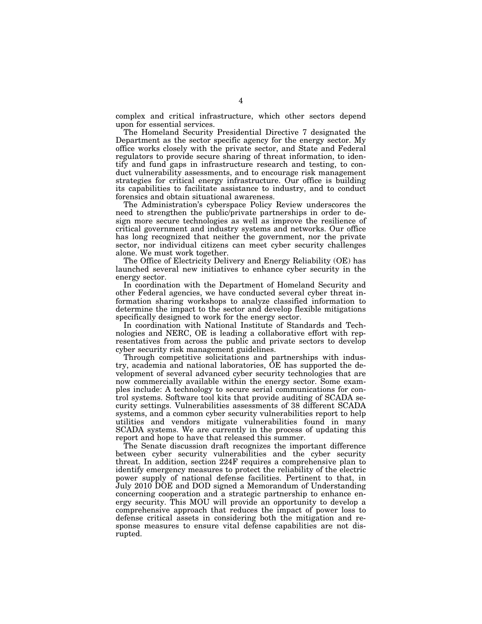complex and critical infrastructure, which other sectors depend upon for essential services.

The Homeland Security Presidential Directive 7 designated the Department as the sector specific agency for the energy sector. My office works closely with the private sector, and State and Federal regulators to provide secure sharing of threat information, to identify and fund gaps in infrastructure research and testing, to conduct vulnerability assessments, and to encourage risk management strategies for critical energy infrastructure. Our office is building its capabilities to facilitate assistance to industry, and to conduct forensics and obtain situational awareness.

The Administration's cyberspace Policy Review underscores the need to strengthen the public/private partnerships in order to design more secure technologies as well as improve the resilience of critical government and industry systems and networks. Our office has long recognized that neither the government, nor the private sector, nor individual citizens can meet cyber security challenges alone. We must work together.

The Office of Electricity Delivery and Energy Reliability (OE) has launched several new initiatives to enhance cyber security in the energy sector.

In coordination with the Department of Homeland Security and other Federal agencies, we have conducted several cyber threat information sharing workshops to analyze classified information to determine the impact to the sector and develop flexible mitigations specifically designed to work for the energy sector.

In coordination with National Institute of Standards and Technologies and NERC, OE is leading a collaborative effort with representatives from across the public and private sectors to develop cyber security risk management guidelines.

Through competitive solicitations and partnerships with industry, academia and national laboratories, OE has supported the development of several advanced cyber security technologies that are now commercially available within the energy sector. Some examples include: A technology to secure serial communications for control systems. Software tool kits that provide auditing of SCADA security settings. Vulnerabilities assessments of 38 different SCADA systems, and a common cyber security vulnerabilities report to help utilities and vendors mitigate vulnerabilities found in many SCADA systems. We are currently in the process of updating this report and hope to have that released this summer.

The Senate discussion draft recognizes the important difference between cyber security vulnerabilities and the cyber security threat. In addition, section 224F requires a comprehensive plan to identify emergency measures to protect the reliability of the electric power supply of national defense facilities. Pertinent to that, in July 2010 DOE and DOD signed a Memorandum of Understanding concerning cooperation and a strategic partnership to enhance energy security. This MOU will provide an opportunity to develop a comprehensive approach that reduces the impact of power loss to defense critical assets in considering both the mitigation and response measures to ensure vital defense capabilities are not disrupted.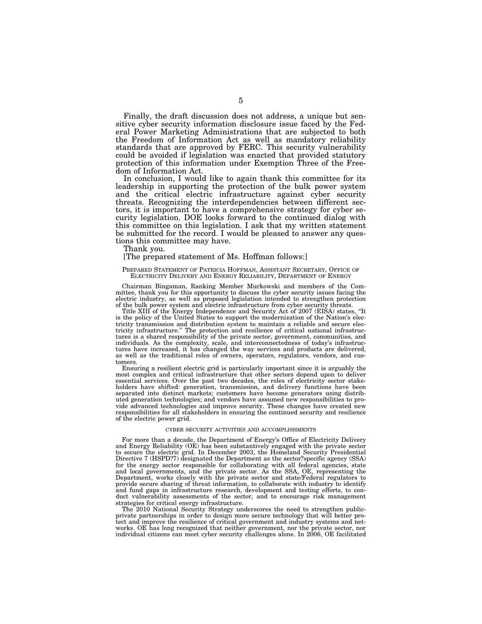Finally, the draft discussion does not address, a unique but sensitive cyber security information disclosure issue faced by the Federal Power Marketing Administrations that are subjected to both the Freedom of Information Act as well as mandatory reliability standards that are approved by FERC. This security vulnerability could be avoided if legislation was enacted that provided statutory protection of this information under Exemption Three of the Freedom of Information Act.

In conclusion, I would like to again thank this committee for its leadership in supporting the protection of the bulk power system and the critical electric infrastructure against cyber security threats. Recognizing the interdependencies between different sectors, it is important to have a comprehensive strategy for cyber security legislation. DOE looks forward to the continued dialog with this committee on this legislation. I ask that my written statement be submitted for the record. I would be pleased to answer any questions this committee may have.

Thank you.

#### [The prepared statement of Ms. Hoffman follows:]

#### PREPARED STATEMENT OF PATRICIA HOFFMAN, ASSISTANT SECRETARY, OFFICE OF ELECTRICITY DELIVERY AND ENERGY RELIABILITY, DEPARTMENT OF ENERGY

Chairman Bingaman, Ranking Member Murkowski and members of the Committee, thank you for this opportunity to discuss the cyber security issues facing the electric industry, as well as proposed legislation intended to strengthen protection of the bulk power system and electric infrastructure from cyber security threats.

Title XIII of the Energy Independence and Security Act of 2007 (EISA) states, ''It is the policy of the United States to support the modernization of the Nation's electricity transmission and distribution system to maintain a reliable and secure electricity infrastructure.'' The protection and resilience of critical national infrastructures is a shared responsibility of the private sector, government, communities, and individuals. As the complexity, scale, and interconnectedness of today's infrastructures have increased, it has changed the way services and products are delivered, as well as the traditional roles of owners, operators, regulators, vendors, and customers.

Ensuring a resilient electric grid is particularly important since it is arguably the most complex and critical infrastructure that other sectors depend upon to deliver essential services. Over the past two decades, the roles of electricity sector stakeholders have shifted: generation, transmission, and delivery functions have been separated into distinct markets; customers have become generators using distributed generation technologies; and vendors have assumed new responsibilities to provide advanced technologies and improve security. These changes have created new responsibilities for all stakeholders in ensuring the continued security and resilience of the electric power grid.

#### CYBER SECURITY ACTIVITIES AND ACCOMPLISHMENTS

For more than a decade, the Department of Energy's Office of Electricity Delivery and Energy Reliability (OE) has been substantively engaged with the private sector to secure the electric grid. In December 2003, the Homeland Security Presidential Directive 7 (HSPD?7) designated the Department as the sector?specific agency (SSA) for the energy sector responsible for collaborating with all federal agencies, state and local governments, and the private sector. As the SSA, OE, representing the Department, works closely with the private sector and state/Federal regulators to provide secure sharing of threat information, to collaborate with industry to identify and fund gaps in infrastructure research, development and testing efforts, to conduct vulnerability assessments of the sector, and to encourage risk management strategies for critical energy infrastructure.

The 2010 National Security Strategy underscores the need to strengthen publicprivate partnerships in order to design more secure technology that will better protect and improve the resilience of critical government and industry systems and networks. OE has long recognized that neither government, nor the private sector, nor individual citizens can meet cyber security challenges alone. In 2006, OE facilitated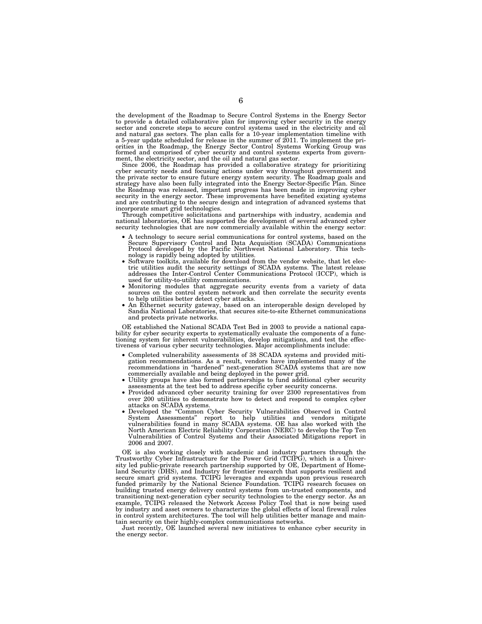the development of the Roadmap to Secure Control Systems in the Energy Sector to provide a detailed collaborative plan for improving cyber security in the energy sector and concrete steps to secure control systems used in the electricity and oil and natural gas sectors. The plan calls for a 10-year implementation timeline with a 5-year update scheduled for release in the summer of 2011. To implement the priorities in the Roadmap, the Energy Sector Control Systems Working Group was formed and comprised of cyber security and control systems experts from government, the electricity sector, and the oil and natural gas sector.

Since 2006, the Roadmap has provided a collaborative strategy for prioritizing cyber security needs and focusing actions under way throughout government and the private sector to ensure future energy system security. The Roadmap goals and strategy have also been fully integrated into the Energy Sector-Specific Plan. Since the Roadmap was released, important progress has been made in improving cyber security in the energy sector. These improvements have benefited existing systems and are contributing to the secure design and integration of advanced systems that incorporate smart grid technologies.

Through competitive solicitations and partnerships with industry, academia and national laboratories, OE has supported the development of several advanced cyber security technologies that are now commercially available within the energy sector:

- A technology to secure serial communications for control systems, based on the Secure Supervisory Control and Data Acquisition (SCADA) Communications Protocol developed by the Pacific Northwest National Laboratory. This tech-<br>nology is rapidly being adopted by utilities.
- Software toolkits, available for download from the vendor website, that let electric utilities audit the security settings of SCADA systems. The latest release addresses the Inter-Control Center Communications Protocol (ICCP), which is used for utility-to-utility communications.
- Monitoring modules that aggregate security events from a variety of data sources on the control system network and then correlate the security events to help utilities better detect cyber attacks.
- An Ethernet security gateway, based on an interoperable design developed by Sandia National Laboratories, that secures site-to-site Ethernet communications and protects private networks.

OE established the National SCADA Test Bed in 2003 to provide a national capability for cyber security experts to systematically evaluate the components of a functioning system for inherent vulnerabilities, develop mitigations, and test the effectiveness of various cyber security technologies. Major accomplishments include:

- Completed vulnerability assessments of 38 SCADA systems and provided mitigation recommendations. As a result, vendors have implemented many of the recommendations in ''hardened'' next-generation SCADA systems that are now commercially available and being deployed in the power grid.
- Utility groups have also formed partnerships to fund additional cyber security assessments at the test bed to address specific cyber security concerns.
- Provided advanced cyber security training for over 2300 representatives from over 200 utilities to demonstrate how to detect and respond to complex cyber attacks on SCADA systems.
- Developed the ''Common Cyber Security Vulnerabilities Observed in Control System Assessments'' report to help utilities and vendors mitigate vulnerabilities found in many SCADA systems. OE has also worked with the North American Electric Reliability Corporation (NERC) to develop the Top Ten Vulnerabilities of Control Systems and their Associated Mitigations report in 2006 and 2007.

OE is also working closely with academic and industry partners through the Trustworthy Cyber Infrastructure for the Power Grid (TCIPG), which is a University led public-private research partnership supported by OE, Department of Homeland Security (DHS), and Industry for frontier research that supports resilient and secure smart grid systems. TCIPG leverages and expands upon previous research funded primarily by the National Science Foundation. TCIPG research focuses on building trusted energy delivery control systems from un-trusted components, and transitioning next-generation cyber security technologies to the energy sector. As an example, TCIPG released the Network Access Policy Tool that is now being used by industry and asset owners to characterize the global effects of local firewall rules in control system architectures. The tool will help utilities better manage and maintain security on their highly-complex communications networks.

Just recently, OE launched several new initiatives to enhance cyber security in the energy sector.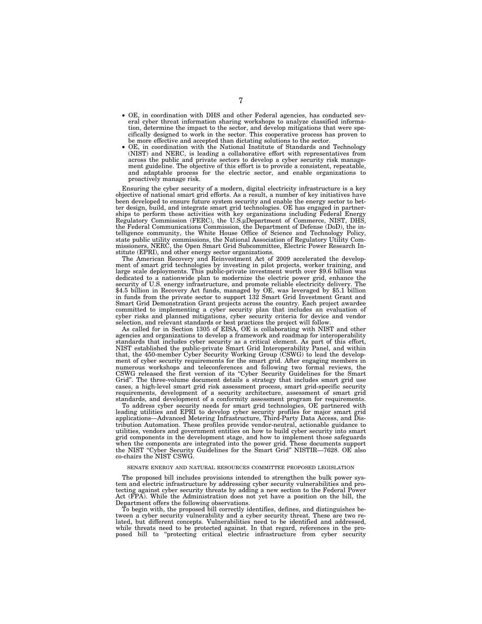- OE, in coordination with DHS and other Federal agencies, has conducted several cyber threat information sharing workshops to analyze classified information, determine the impact to the sector, and develop mitigations that were specifically designed to work in the sector. This cooperative process has proven to be more effective and accepted than dictating solutions to the sector.
- OE, in coordination with the National Institute of Standards and Technology (NIST) and NERC, is leading a collaborative effort with representatives from across the public and private sectors to develop a cyber security risk management guideline. The objective of this effort is to provide a consistent, repeatable, and adaptable process for the electric sector, and enable organizations to proactively manage risk.

Ensuring the cyber security of a modern, digital electricity infrastructure is a key objective of national smart grid efforts. As a result, a number of key initiatives have been developed to ensure future system security and enable the energy sector to better design, build, and integrate smart grid technologies. OE has engaged in partnerships to perform these activities with key organizations including Federal Energy Regulatory Commission (FERC), the U.S.μDepartment of Commerce, NIST, DHS, the Federal Communications Commission, the Department of Defense (DoD), the intelligence community, the White House Office of Science and Technology Policy, state public utility commissions, the National Association of Regulatory Utility Commissioners, NERC, the Open Smart Grid Subcommittee, Electric Power Research Institute (EPRI), and other energy sector organizations.

The American Recovery and Reinvestment Act of 2009 accelerated the development of smart grid technologies by investing in pilot projects, worker training, and large scale deployments. This public-private investment worth over \$9.6 billion was dedicated to a nationwide plan to modernize the electric power grid, enhance the security of U.S. energy infrastructure, and promote reliable electricity delivery. The \$4.5 billion in Recovery Act funds, managed by OE, was leveraged by \$5.1 billion in funds from the private sector to support 132 Smart Grid Investment Grant and Smart Grid Demonstration Grant projects across the country. Each project awardee committed to implementing a cyber security plan that includes an evaluation of cyber risks and planned mitigations, cyber security criteria for device and vendor selection, and relevant standards or best practices the project will follow.

As called for in Section 1305 of EISA, OE is collaborating with NIST and other agencies and organizations to develop a framework and roadmap for interoperability standards that includes cyber security as a critical element. As part of this effort, NIST established the public-private Smart Grid Interoperability Panel, and within that, the 450-member Cyber Security Working Group (CSWG) to lead the development of cyber security requirements for the smart grid. After engaging members in numerous workshops and teleconferences and following two formal reviews, the CSWG released the first version of its ''Cyber Security Guidelines for the Smart Grid''. The three-volume document details a strategy that includes smart grid use cases, a high-level smart grid risk assessment process, smart grid-specific security requirements, development of a security architecture, assessment of smart grid standards, and development of a conformity assessment program for requirements.

To address cyber security needs for smart grid technologies, OE partnered with leading utilities and EPRI to develop cyber security profiles for major smart grid applications—Advanced Metering Infrastructure, Third-Party Data Access, and Distribution Automation. These profiles provide vendor-neutral, actionable guidance to utilities, vendors and government entities on how to build cyber security into smart grid components in the development stage, and how to implement those safeguards when the components are integrated into the power grid. These documents support the NIST ''Cyber Security Guidelines for the Smart Grid'' NISTIR—7628. OE also co-chairs the NIST CSWG.

#### SENATE ENERGY AND NATURAL RESOURCES COMMITTEE PROPOSED LEGISLATION

The proposed bill includes provisions intended to strengthen the bulk power system and electric infrastructure by addressing cyber security vulnerabilities and protecting against cyber security threats by adding a new section to the Federal Power Act (FPA). While the Administration does not yet have a position on the bill, the Department offers the following observations.

To begin with, the proposed bill correctly identifies, defines, and distinguishes between a cyber security vulnerability and a cyber security threat. These are two related, but different concepts. Vulnerabilities need to be identified and addressed, while threats need to be protected against. In that regard, references in the proposed bill to ''protecting critical electric infrastructure from cyber security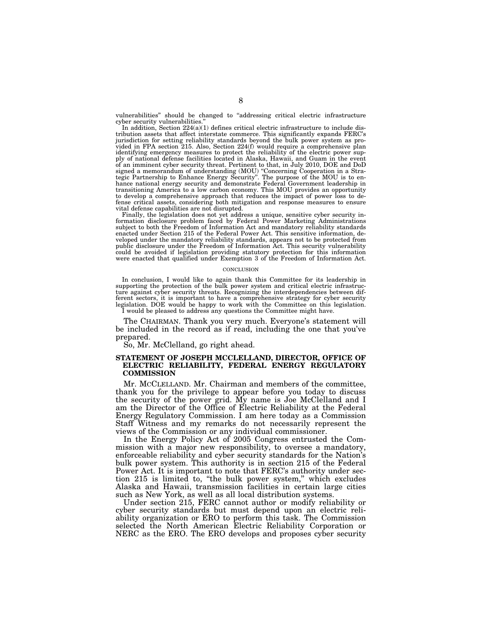vulnerabilities'' should be changed to ''addressing critical electric infrastructure cyber security vulnerabilities.

In addition, Section 224(a)(1) defines critical electric infrastructure to include distribution assets that affect interstate commerce. This significantly expands FERC's jurisdiction for setting reliability standards beyond the bulk power system as pro-vided in FPA section 215. Also, Section 224(f) would require a comprehensive plan identifying emergency measures to protect the reliability of the electric power supply of national defense facilities located in Alaska, Hawaii, and Guam in the event<br>of an imminent cyber security threat. Pertinent to that, in July 2010, DOE and DoD<br>signed a memorandum of understanding (MOU) "Concerning hance national energy security and demonstrate Federal Government leadership in transitioning America to a low carbon economy. This MOU provides an opportunity to develop a comprehensive approach that reduces the impact of power loss to defense critical assets, considering both mitigation and response measures to ensure

vital defense capabilities are not disrupted. Finally, the legislation does not yet address a unique, sensitive cyber security information disclosure problem faced by Federal Power Marketing Administrations subject to both the Freedom of Information Act and mandatory reliability standards enacted under Section 215 of the Federal Power Act. This sensitive information, de-veloped under the mandatory reliability standards, appears not to be protected from public disclosure under the Freedom of Information Act. This security vulnerability could be avoided if legislation providing statutory protection for this information were enacted that qualified under Exemption 3 of the Freedom of Information Act.

#### **CONCLUSION**

In conclusion, I would like to again thank this Committee for its leadership in supporting the protection of the bulk power system and critical electric infrastructure against cyber security threats. Recognizing the interdependencies between different sectors, it is important to have a comprehensive strategy for cyber security legislation. DOE would be happy to work with the Committee on this legislation. I would be pleased to address any questions the Committee might have.

The CHAIRMAN. Thank you very much. Everyone's statement will be included in the record as if read, including the one that you've prepared.

So, Mr. McClelland, go right ahead.

## **STATEMENT OF JOSEPH MCCLELLAND, DIRECTOR, OFFICE OF ELECTRIC RELIABILITY, FEDERAL ENERGY REGULATORY COMMISSION**

Mr. MCCLELLAND. Mr. Chairman and members of the committee, thank you for the privilege to appear before you today to discuss the security of the power grid. My name is Joe McClelland and I am the Director of the Office of Electric Reliability at the Federal Energy Regulatory Commission. I am here today as a Commission Staff Witness and my remarks do not necessarily represent the views of the Commission or any individual commissioner.

In the Energy Policy Act of 2005 Congress entrusted the Commission with a major new responsibility, to oversee a mandatory, enforceable reliability and cyber security standards for the Nation's bulk power system. This authority is in section 215 of the Federal Power Act. It is important to note that FERC's authority under section 215 is limited to, ''the bulk power system,'' which excludes Alaska and Hawaii, transmission facilities in certain large cities such as New York, as well as all local distribution systems.

Under section 215, FERC cannot author or modify reliability or cyber security standards but must depend upon an electric reliability organization or ERO to perform this task. The Commission selected the North American Electric Reliability Corporation or NERC as the ERO. The ERO develops and proposes cyber security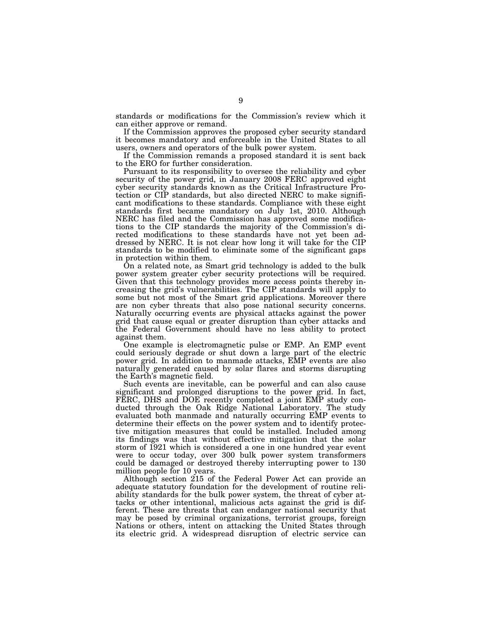standards or modifications for the Commission's review which it can either approve or remand.

If the Commission approves the proposed cyber security standard it becomes mandatory and enforceable in the United States to all users, owners and operators of the bulk power system.

If the Commission remands a proposed standard it is sent back to the ERO for further consideration.

Pursuant to its responsibility to oversee the reliability and cyber security of the power grid, in January 2008 FERC approved eight cyber security standards known as the Critical Infrastructure Protection or CIP standards, but also directed NERC to make significant modifications to these standards. Compliance with these eight standards first became mandatory on July 1st, 2010. Although NERC has filed and the Commission has approved some modifications to the CIP standards the majority of the Commission's directed modifications to these standards have not yet been addressed by NERC. It is not clear how long it will take for the CIP standards to be modified to eliminate some of the significant gaps in protection within them.

On a related note, as Smart grid technology is added to the bulk power system greater cyber security protections will be required. Given that this technology provides more access points thereby increasing the grid's vulnerabilities. The CIP standards will apply to some but not most of the Smart grid applications. Moreover there are non cyber threats that also pose national security concerns. Naturally occurring events are physical attacks against the power grid that cause equal or greater disruption than cyber attacks and the Federal Government should have no less ability to protect against them.

One example is electromagnetic pulse or EMP. An EMP event could seriously degrade or shut down a large part of the electric power grid. In addition to manmade attacks, EMP events are also naturally generated caused by solar flares and storms disrupting the Earth's magnetic field.

Such events are inevitable, can be powerful and can also cause significant and prolonged disruptions to the power grid. In fact, FERC, DHS and DOE recently completed a joint EMP study conducted through the Oak Ridge National Laboratory. The study evaluated both manmade and naturally occurring EMP events to determine their effects on the power system and to identify protective mitigation measures that could be installed. Included among its findings was that without effective mitigation that the solar storm of 1921 which is considered a one in one hundred year event were to occur today, over 300 bulk power system transformers could be damaged or destroyed thereby interrupting power to 130 million people for 10 years.

Although section 215 of the Federal Power Act can provide an adequate statutory foundation for the development of routine reliability standards for the bulk power system, the threat of cyber attacks or other intentional, malicious acts against the grid is different. These are threats that can endanger national security that may be posed by criminal organizations, terrorist groups, foreign Nations or others, intent on attacking the United States through its electric grid. A widespread disruption of electric service can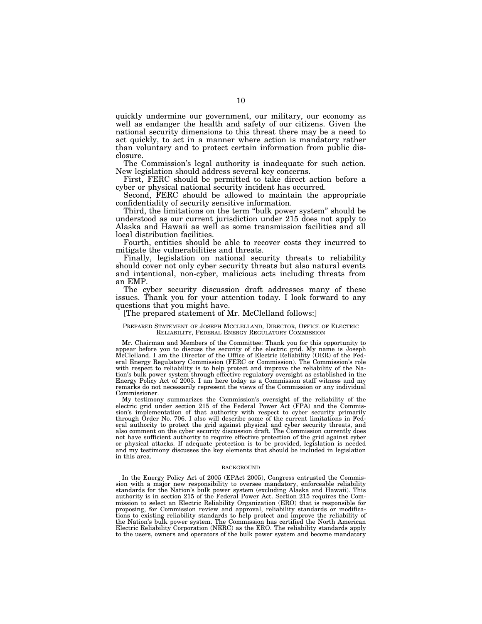quickly undermine our government, our military, our economy as well as endanger the health and safety of our citizens. Given the national security dimensions to this threat there may be a need to act quickly, to act in a manner where action is mandatory rather than voluntary and to protect certain information from public disclosure.

The Commission's legal authority is inadequate for such action. New legislation should address several key concerns.

First, FERC should be permitted to take direct action before a cyber or physical national security incident has occurred.

Second, FERC should be allowed to maintain the appropriate confidentiality of security sensitive information.

Third, the limitations on the term "bulk power system" should be understood as our current jurisdiction under 215 does not apply to Alaska and Hawaii as well as some transmission facilities and all local distribution facilities.

Fourth, entities should be able to recover costs they incurred to mitigate the vulnerabilities and threats.

Finally, legislation on national security threats to reliability should cover not only cyber security threats but also natural events and intentional, non-cyber, malicious acts including threats from an EMP.

The cyber security discussion draft addresses many of these issues. Thank you for your attention today. I look forward to any questions that you might have.

[The prepared statement of Mr. McClelland follows:]

#### PREPARED STATEMENT OF JOSEPH MCCLELLAND, DIRECTOR, OFFICE OF ELECTRIC RELIABILITY, FEDERAL ENERGY REGULATORY COMMISSION

Mr. Chairman and Members of the Committee: Thank you for this opportunity to appear before you to discuss the security of the electric grid. My name is Joseph McClelland. I am the Director of the Office of Electric Reliability (OER) of the Federal Energy Regulatory Commission (FERC or Commission). The Commission's role with respect to reliability is to help protect and improve the reliability of the Nation's bulk power system through effective regulatory oversight as established in the Energy Policy Act of 2005. I am here today as a Commission staff witness and my remarks do not necessarily represent the views of the Commission or any individual Commissioner.

My testimony summarizes the Commission's oversight of the reliability of the electric grid under section 215 of the Federal Power Act (FPA) and the Commission's implementation of that authority with respect to cyber security primarily through Order No. 706. I also will describe some of the current limitations in Federal authority to protect the grid against physical and cyber security threats, and also comment on the cyber security discussion draft. The Commission currently does not have sufficient authority to require effective protection of the grid against cyber or physical attacks. If adequate protection is to be provided, legislation is needed and my testimony discusses the key elements that should be included in legislation in this area.

#### BACKGROUND

In the Energy Policy Act of 2005 (EPAct 2005), Congress entrusted the Commission with a major new responsibility to oversee mandatory, enforceable reliability standards for the Nation's bulk power system (excluding Alaska and Hawaii). This authority is in section 215 of the Federal Power Act. Section 215 requires the Commission to select an Electric Reliability Organization (ERO) that is responsible for proposing, for Commission review and approval, reliability standards or modifications to existing reliability standards to help protect and improve the reliability of the Nation's bulk power system. The Commission has certified the North American Electric Reliability Corporation (NERC) as the ERO. The reliability standards apply to the users, owners and operators of the bulk power system and become mandatory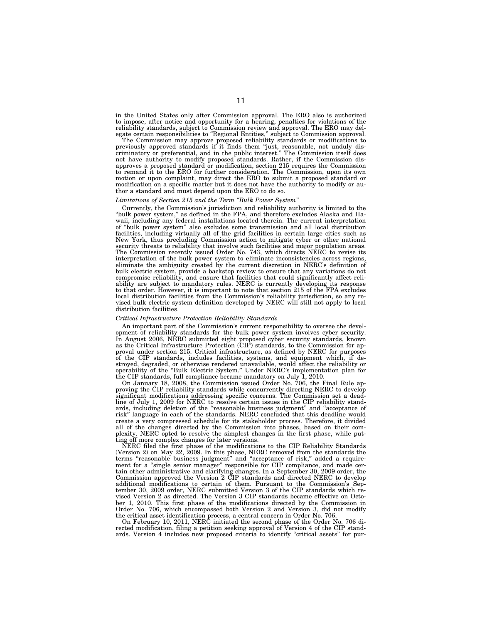in the United States only after Commission approval. The ERO also is authorized to impose, after notice and opportunity for a hearing, penalties for violations of the reliability standards, subject to Commission review and approval. The ERO may delegate certain responsibilities to ''Regional Entities,'' subject to Commission approval.

The Commission may approve proposed reliability standards or modifications to previously approved standards if it finds them ''just, reasonable, not unduly discriminatory or preferential, and in the public interest.'' The Commission itself does not have authority to modify proposed standards. Rather, if the Commission disapproves a proposed standard or modification, section 215 requires the Commission to remand it to the ERO for further consideration. The Commission, upon its own motion or upon complaint, may direct the ERO to submit a proposed standard or modification on a specific matter but it does not have the authority to modify or author a standard and must depend upon the ERO to do so.

#### *Limitations of Section 215 and the Term ''Bulk Power System''*

Currently, the Commission's jurisdiction and reliability authority is limited to the "bulk power system," as defined in the FPA, and therefore excludes Alaska and Hawaii, including any federal installations located therein. The current interpretation of ''bulk power system'' also excludes some transmission and all local distribution facilities, including virtually all of the grid facilities in certain large cities such as New York, thus precluding Commission action to mitigate cyber or other national security threats to reliability that involve such facilities and major population areas. The Commission recently issued Order No. 743, which directs NERC to revise its interpretation of the bulk power system to eliminate inconsistencies across regions, eliminate the ambiguity created by the current discretion in NERC's definition of bulk electric system, provide a backstop review to ensure that any variations do not compromise reliability, and ensure that facilities that could significantly affect reliability are subject to mandatory rules. NERC is currently developing its response to that order. However, it is important to note that section 215 of the FPA excludes local distribution facilities from the Commission's reliability jurisdiction, so any revised bulk electric system definition developed by NERC will still not apply to local distribution facilities.

#### *Critical Infrastructure Protection Reliability Standards*

An important part of the Commission's current responsibility to oversee the development of reliability standards for the bulk power system involves cyber security. In August 2006, NERC submitted eight proposed cyber security standards, known as the Critical Infrastructure Protection (CIP) standards, to the Commission for approval under section 215. Critical infrastructure, as defined by NERC for purposes of the CIP standards, includes facilities, systems, and equipment which, if destroyed, degraded, or otherwise rendered unavailable, would affect the reliability or operability of the ''Bulk Electric System.'' Under NERC's implementation plan for the CIP standards, full compliance became mandatory on July 1, 2010.

On January 18, 2008, the Commission issued Order No. 706, the Final Rule approving the CIP reliability standards while concurrently directing NERC to develop significant modifications addressing specific concerns. The Commission set a deadline of July 1, 2009 for NERC to resolve certain issues in the CIP reliability standards, including deletion of the ''reasonable business judgment'' and ''acceptance of risk'' language in each of the standards. NERC concluded that this deadline would create a very compressed schedule for its stakeholder process. Therefore, it divided all of the changes directed by the Commission into phases, based on their complexity. NERC opted to resolve the simplest changes in the first phase, while putting off more complex changes for later versions.

NERC filed the first phase of the modifications to the CIP Reliability Standards (Version 2) on May 22, 2009. In this phase, NERC removed from the standards the terms "reasonable business judgment" and "acceptance of risk," added a requirement for a ''single senior manager'' responsible for CIP compliance, and made certain other administrative and clarifying changes. In a September 30, 2009 order, the Commission approved the Version 2 CIP standards and directed NERC to develop additional modifications to certain of them. Pursuant to the Commission's September 30, 2009 order, NERC submitted Version 3 of the CIP standards which revised Version 2 as directed. The Version 3 CIP standards became effective on October 1, 2010. This first phase of the modifications directed by the Commission in Order No. 706, which encompassed both Version 2 and Version 3, did not modify

the critical asset identification process, a central concern in Order No. 706. On February 10, 2011, NERC initiated the second phase of the Order No. 706 directed modification, filing a petition seeking approval of Version 4 of the CIP standards. Version 4 includes new proposed criteria to identify "critical assets" for pur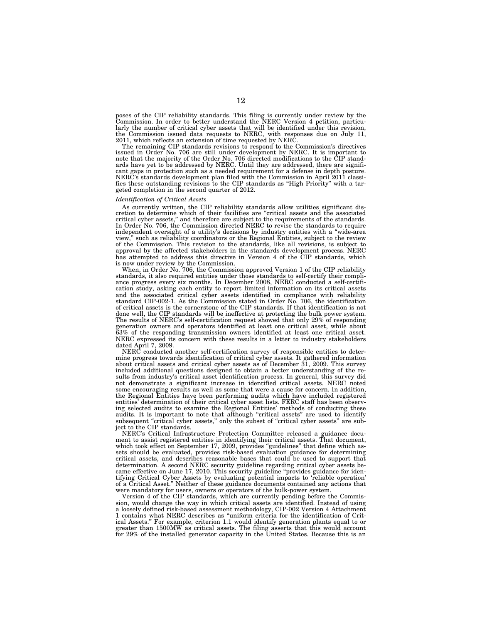poses of the CIP reliability standards. This filing is currently under review by the Commission. In order to better understand the NERC Version 4 petition, particularly the number of critical cyber assets that will be identified under this revision, the Commission issued data requests to NERC, with responses due on July 11, 2011, which reflects an extension of time requested by NERC.

The remaining CIP standards revisions to respond to the Commission's directives issued in Order No. 706 are still under development by NERC. It is important to note that the majority of the Order No. 706 directed modifications to the CIP stand-ards have yet to be addressed by NERC. Until they are addressed, there are significant gaps in protection such as a needed requirement for a defense in depth posture. NERC's standards development plan filed with the Commission in April 2011 classifies these outstanding revisions to the CIP standards as ''High Priority'' with a targeted completion in the second quarter of 2012.

#### *Identification of Critical Assets*

As currently written, the CIP reliability standards allow utilities significant discretion to determine which of their facilities are ''critical assets and the associated critical cyber assets,'' and therefore are subject to the requirements of the standards. In Order No. 706, the Commission directed NERC to revise the standards to require independent oversight of a utility's decisions by industry entities with a ''wide-area view,'' such as reliability coordinators or the Regional Entities, subject to the review of the Commission. This revision to the standards, like all revisions, is subject to approval by the affected stakeholders in the standards development process. NERC has attempted to address this directive in Version 4 of the CIP standards, which is now under review by the Commission.

When, in Order No. 706, the Commission approved Version 1 of the CIP reliability standards, it also required entities under those standards to self-certify their compliance progress every six months. In December 2008, NERC conducted a self-certification study, asking each entity to report limited information on its critical assets and the associated critical cyber assets identified in compliance with reliability standard CIP-002-1. As the Commission stated in Order No. 706, the identification of critical assets is the cornerstone of the CIP standards. If that identification is not done well, the CIP standards will be ineffective at protecting the bulk power system. The results of NERC's self-certification request showed that only 29% of responding generation owners and operators identified at least one critical asset, while about 63% of the responding transmission owners identified at least one critical asset. NERC expressed its concern with these results in a letter to industry stakeholders dated April 7, 2009.

NERC conducted another self-certification survey of responsible entities to determine progress towards identification of critical cyber assets. It gathered information about critical assets and critical cyber assets as of December 31, 2009. This survey included additional questions designed to obtain a better understanding of the results from industry's critical asset identification process. In general, this survey did not demonstrate a significant increase in identified critical assets. NERC noted some encouraging results as well as some that were a cause for concern. In addition, the Regional Entities have been performing audits which have included registered entities' determination of their critical cyber asset lists. FERC staff has been observing selected audits to examine the Regional Entities' methods of conducting these audits. It is important to note that although ''critical assets'' are used to identify subsequent "critical cyber assets," only the subset of "critical cyber assets" are subject to the CIP standards.

NERC's Critical Infrastructure Protection Committee released a guidance document to assist registered entities in identifying their critical assets. That document, which took effect on September 17, 2009, provides "guidelines" that define which assets should be evaluated, provides risk-based evaluation guidance for determining critical assets, and describes reasonable bases that could be used to support that determination. A second NERC security guideline regarding critical cyber assets became effective on June 17, 2010. This security guideline "provides guidance for identifying Critical Cyber Assets by evaluating potential impacts to 'reliable operation' of a Critical Asset.'' Neither of these guidance documents contained any actions that were mandatory for users, owners or operators of the bulk-power system.

Version 4 of the CIP standards, which are currently pending before the Commission, would change the way in which critical assets are identified. Instead of using a loosely defined risk-based assessment methodology, CIP-002 Version 4 Attachment 1 contains what NERC describes as ''uniform criteria for the identification of Critical Assets.'' For example, criterion 1.1 would identify generation plants equal to or greater than 1500MW as critical assets. The filing asserts that this would account for 29% of the installed generator capacity in the United States. Because this is an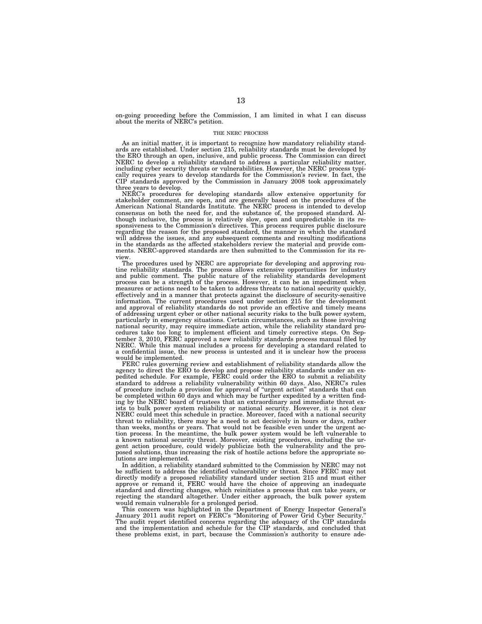on-going proceeding before the Commission, I am limited in what I can discuss about the merits of NERC's petition.

#### THE NERC PROCESS

As an initial matter, it is important to recognize how mandatory reliability standards are established. Under section 215, reliability standards must be developed by the ERO through an open, inclusive, and public process. The Commission can direct NERC to develop a reliability standard to address a particular reliability matter, including cyber security threats or vulnerabilities. However, the NERC process typically requires years to develop standards for the Commission's review. In fact, the CIP standards approved by the Commission in January 2008 took approximately three years to develop.

NERC's procedures for developing standards allow extensive opportunity for stakeholder comment, are open, and are generally based on the procedures of the American National Standards Institute. The NERC process is intended to develop consensus on both the need for, and the substance of, the proposed standard. Although inclusive, the process is relatively slow, open and unpredictable in its responsiveness to the Commission's directives. This process requires public disclosure regarding the reason for the proposed standard, the manner in which the standard will address the issues, and any subsequent comments and resulting modifications in the standards as the affected stakeholders review the material and provide comments. NERC-approved standards are then submitted to the Commission for its review.

The procedures used by NERC are appropriate for developing and approving routine reliability standards. The process allows extensive opportunities for industry and public comment. The public nature of the reliability standards development process can be a strength of the process. However, it can be an impediment when measures or actions need to be taken to address threats to national security quickly, effectively and in a manner that protects against the disclosure of security-sensitive information. The current procedures used under section 215 for the development and approval of reliability standards do not provide an effective and timely means of addressing urgent cyber or other national security risks to the bulk power system, particularly in emergency situations. Certain circumstances, such as those involving national security, may require immediate action, while the reliability standard procedures take too long to implement efficient and timely corrective steps. On September 3, 2010, FERC approved a new reliability standards process manual filed by NERC. While this manual includes a process for developing a standard related to a confidential issue, the new process is untested and it is unclear how the process would be implemented.

FERC rules governing review and establishment of reliability standards allow the agency to direct the ERO to develop and propose reliability standards under an expedited schedule. For example, FERC could order the ERO to submit a reliability standard to address a reliability vulnerability within 60 days. Also, NERC's rules of procedure include a provision for approval of ''urgent action'' standards that can be completed within 60 days and which may be further expedited by a written finding by the NERC board of trustees that an extraordinary and immediate threat exists to bulk power system reliability or national security. However, it is not clear NERC could meet this schedule in practice. Moreover, faced with a national security threat to reliability, there may be a need to act decisively in hours or days, rather than weeks, months or years. That would not be feasible even under the urgent action process. In the meantime, the bulk power system would be left vulnerable to a known national security threat. Moreover, existing procedures, including the urgent action procedure, could widely publicize both the vulnerability and the proposed solutions, thus increasing the risk of hostile actions before the appropriate solutions are implemented.

In addition, a reliability standard submitted to the Commission by NERC may not be sufficient to address the identified vulnerability or threat. Since FERC may not directly modify a proposed reliability standard under section 215 and must either approve or remand it, FERC would have the choice of approving an inadequate standard and directing changes, which reinitiates a process that can take years, or rejecting the standard altogether. Under either approach, the bulk power system would remain vulnerable for a prolonged period.

This concern was highlighted in the Department of Energy Inspector General's January 2011 audit report on FERC's ''Monitoring of Power Grid Cyber Security.'' The audit report identified concerns regarding the adequacy of the CIP standards and the implementation and schedule for the CIP standards, and concluded that these problems exist, in part, because the Commission's authority to ensure ade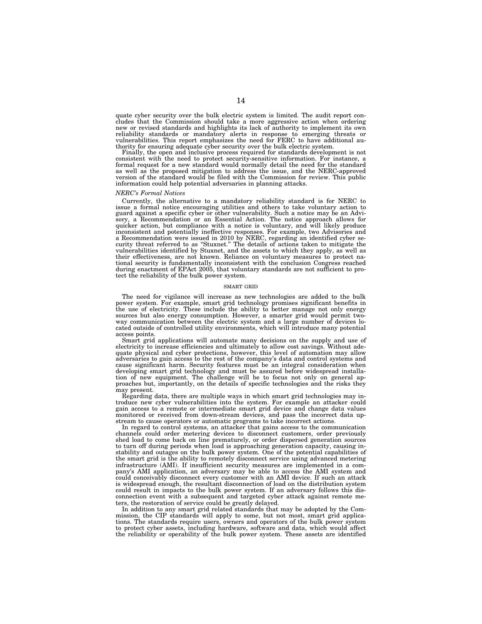quate cyber security over the bulk electric system is limited. The audit report concludes that the Commission should take a more aggressive action when ordering new or revised standards and highlights its lack of authority to implement its own reliability standards or mandatory alerts in response to emerging threats or vulnerabilities. This report emphasizes the need for FERC to have additional authority for ensuring adequate cyber security over the bulk electric system.

Finally, the open and inclusive process required for standards development is not consistent with the need to protect security-sensitive information. For instance, a formal request for a new standard would normally detail the need for the standard as well as the proposed mitigation to address the issue, and the NERC-approved version of the standard would be filed with the Commission for review. This public information could help potential adversaries in planning attacks.

#### *NERC's Formal Notices*

Currently, the alternative to a mandatory reliability standard is for NERC to issue a formal notice encouraging utilities and others to take voluntary action to guard against a specific cyber or other vulnerability. Such a notice may be an Advi-sory, a Recommendation or an Essential Action. The notice approach allows for quicker action, but compliance with a notice is voluntary, and will likely produce inconsistent and potentially ineffective responses. For example, two Advisories and a Recommendation were issued in 2010 by NERC, regarding an identified cyber se-curity threat referred to as ''Stuxnet.'' The details of actions taken to mitigate the vulnerabilities identified by Stuxnet, and the assets to which they apply, as well as their effectiveness, are not known. Reliance on voluntary measures to protect national security is fundamentally inconsistent with the conclusion Congress reached during enactment of EPAct 2005, that voluntary standards are not sufficient to protect the reliability of the bulk power system.

#### SMART GRID

The need for vigilance will increase as new technologies are added to the bulk power system. For example, smart grid technology promises significant benefits in the use of electricity. These include the ability to better manage not only energy sources but also energy consumption. However, a smarter grid would permit twoway communication between the electric system and a large number of devices located outside of controlled utility environments, which will introduce many potential access points.

Smart grid applications will automate many decisions on the supply and use of electricity to increase efficiencies and ultimately to allow cost savings. Without adequate physical and cyber protections, however, this level of automation may allow adversaries to gain access to the rest of the company's data and control systems and cause significant harm. Security features must be an integral consideration when developing smart grid technology and must be assured before widespread installation of new equipment. The challenge will be to focus not only on general approaches but, importantly, on the details of specific technologies and the risks they may present.

Regarding data, there are multiple ways in which smart grid technologies may introduce new cyber vulnerabilities into the system. For example an attacker could gain access to a remote or intermediate smart grid device and change data values monitored or received from down-stream devices, and pass the incorrect data upstream to cause operators or automatic programs to take incorrect actions.

In regard to control systems, an attacker that gains access to the communication channels could order metering devices to disconnect customers, order previously shed load to come back on line prematurely, or order dispersed generation sources to turn off during periods when load is approaching generation capacity, causing instability and outages on the bulk power system. One of the potential capabilities of the smart grid is the ability to remotely disconnect service using advanced metering infrastructure (AMI). If insufficient security measures are implemented in a company's AMI application, an adversary may be able to access the AMI system and could conceivably disconnect every customer with an AMI device. If such an attack is widespread enough, the resultant disconnection of load on the distribution system could result in impacts to the bulk power system. If an adversary follows this disconnection event with a subsequent and targeted cyber attack against remote meters, the restoration of service could be greatly delayed.

In addition to any smart grid related standards that may be adopted by the Commission, the CIP standards will apply to some, but not most, smart grid applications. The standards require users, owners and operators of the bulk power system to protect cyber assets, including hardware, software and data, which would affect the reliability or operability of the bulk power system. These assets are identified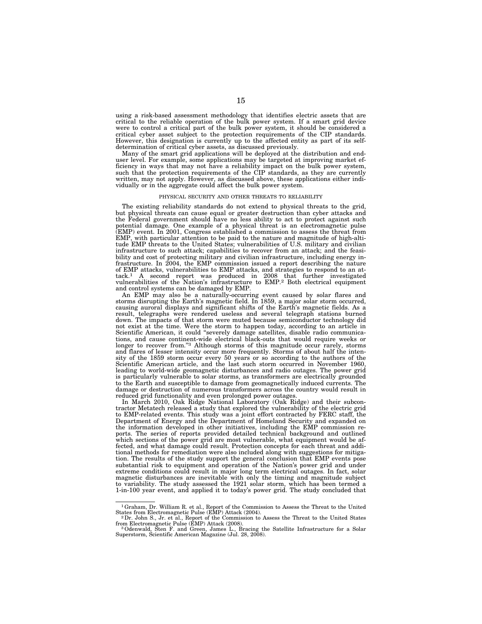using a risk-based assessment methodology that identifies electric assets that are critical to the reliable operation of the bulk power system. If a smart grid device were to control a critical part of the bulk power system, it should be considered a critical cyber asset subject to the protection requirements of the CIP standards. However, this designation is currently up to the affected entity as part of its selfdetermination of critical cyber assets, as discussed previously.

Many of the smart grid applications will be deployed at the distribution and enduser level. For example, some applications may be targeted at improving market efficiency in ways that may not have a reliability impact on the bulk power system, such that the protection requirements of the CIP standards, as they are currently written, may not apply. However, as discussed above, these applications either individually or in the aggregate could affect the bulk power system.

#### PHYSICAL SECURITY AND OTHER THREATS TO RELIABILITY

The existing reliability standards do not extend to physical threats to the grid, but physical threats can cause equal or greater destruction than cyber attacks and the Federal government should have no less ability to act to protect against such potential damage. One example of a physical threat is an electromagnetic pulse (EMP) event. In 2001, Congress established a commission to assess the threat from EMP, with particular attention to be paid to the nature and magnitude of high-altitude EMP threats to the United States; vulnerabilities of U.S. military and civilian infrastructure to such attack; capabilities to recover from an attack; and the feasibility and cost of protecting military and civilian infrastructure, including energy infrastructure. In 2004, the EMP commission issued a report describing the nature of EMP attacks, vulnerabilities to EMP attacks, and strategies to respond to an attack.1 A second report was produced in 2008 that further investigated vulnerabilities of the Nation's infrastructure to EMP.2 Both electrical equipment and control systems can be damaged by EMP.

An EMP may also be a naturally-occurring event caused by solar flares and storms disrupting the Earth's magnetic field. In 1859, a major solar storm occurred, causing auroral displays and significant shifts of the Earth's magnetic fields. As a result, telegraphs were rendered useless and several telegraph stations burned down. The impacts of that storm were muted because semiconductor technology did not exist at the time. Were the storm to happen today, according to an article in Scientific American, it could ''severely damage satellites, disable radio communications, and cause continent-wide electrical black-outs that would require weeks or longer to recover from."<sup>3</sup> Although storms of this magnitude occur rarely, storms and flares of lesser intensity occur more frequently. Storms of about half the intensity of the 1859 storm occur every 50 years or so according to the authors of the Scientific American article, and the last such storm occurred in November 1960, leading to world-wide geomagnetic disturbances and radio outages. The power grid is particularly vulnerable to solar storms, as transformers are electrically grounded to the Earth and susceptible to damage from geomagnetically induced currents. The damage or destruction of numerous transformers across the country would result in reduced grid functionality and even prolonged power outages.

In March 2010, Oak Ridge National Laboratory (Oak Ridge) and their subcontractor Metatech released a study that explored the vulnerability of the electric grid to EMP-related events. This study was a joint effort contracted by FERC staff, the Department of Energy and the Department of Homeland Security and expanded on the information developed in other initiatives, including the EMP commission reports. The series of reports provided detailed technical background and outlined which sections of the power grid are most vulnerable, what equipment would be affected, and what damage could result. Protection concepts for each threat and additional methods for remediation were also included along with suggestions for mitigation. The results of the study support the general conclusion that EMP events pose substantial risk to equipment and operation of the Nation's power grid and under extreme conditions could result in major long term electrical outages. In fact, solar magnetic disturbances are inevitable with only the timing and magnitude subject to variability. The study assessed the 1921 solar storm, which has been termed a 1-in-100 year event, and applied it to today's power grid. The study concluded that

<sup>1</sup>Graham, Dr. William R. et al., Report of the Commission to Assess the Threat to the United States from Electromagnetic Pulse (EMP) Attack (2004). 2Dr. John S., Jr. et al., Report of the Commission to Assess the Threat to the United States

from Electromagnetic Pulse (EMP) Attack (2008). 3Odenwald, Sten F. and Green, James L., Bracing the Satellite Infrastructure for a Solar

A Superstorm, Scientific American Magazine (Jul. 28, 2008).<br>Superstorm, Scientific American Magazine (Jul. 28, 2008).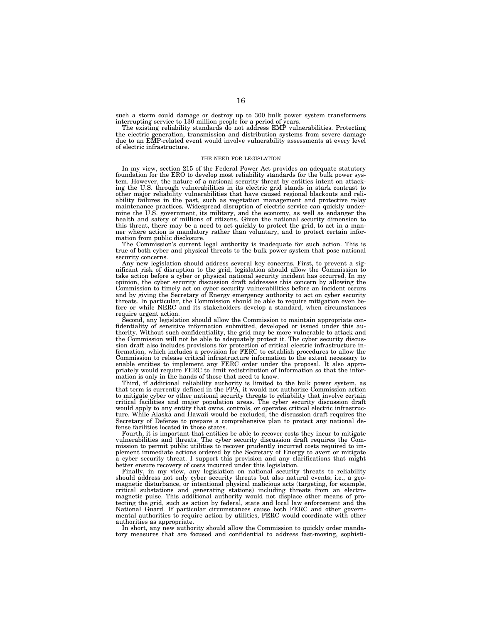such a storm could damage or destroy up to 300 bulk power system transformers interrupting service to 130 million people for a period of years.

The existing reliability standards do not address EMP vulnerabilities. Protecting the electric generation, transmission and distribution systems from severe damage due to an EMP-related event would involve vulnerability assessments at every level of electric infrastructure.

#### THE NEED FOR LEGISLATION

In my view, section 215 of the Federal Power Act provides an adequate statutory foundation for the ERO to develop most reliability standards for the bulk power system. However, the nature of a national security threat by entities intent on attacking the U.S. through vulnerabilities in its electric grid stands in stark contrast to other major reliability vulnerabilities that have caused regional blackouts and reliability failures in the past, such as vegetation management and protective relay maintenance practices. Widespread disruption of electric service can quickly undermine the U.S. government, its military, and the economy, as well as endanger the health and safety of millions of citizens. Given the national security dimension to this threat, there may be a need to act quickly to protect the grid, to act in a manner where action is mandatory rather than voluntary, and to protect certain information from public disclosure.

The Commission's current legal authority is inadequate for such action. This is true of both cyber and physical threats to the bulk power system that pose national security concerns.

Any new legislation should address several key concerns. First, to prevent a significant risk of disruption to the grid, legislation should allow the Commission to take action before a cyber or physical national security incident has occurred. In my opinion, the cyber security discussion draft addresses this concern by allowing the Commission to timely act on cyber security vulnerabilities before an incident occurs and by giving the Secretary of Energy emergency authority to act on cyber security threats. In particular, the Commission should be able to require mitigation even before or while NERC and its stakeholders develop a standard, when circumstances require urgent action.

Second, any legislation should allow the Commission to maintain appropriate confidentiality of sensitive information submitted, developed or issued under this authority. Without such confidentiality, the grid may be more vulnerable to attack and the Commission will not be able to adequately protect it. The cyber security discussion draft also includes provisions for protection of critical electric infrastructure information, which includes a provision for FERC to establish procedures to allow the Commission to release critical infrastructure information to the extent necessary to enable entities to implement any FERC order under the proposal. It also appropriately would require FERC to limit redistribution of information so that the information is only in the hands of those that need to know.

Third, if additional reliability authority is limited to the bulk power system, as that term is currently defined in the FPA, it would not authorize Commission action to mitigate cyber or other national security threats to reliability that involve certain critical facilities and major population areas. The cyber security discussion draft would apply to any entity that owns, controls, or operates critical electric infrastructure. While Alaska and Hawaii would be excluded, the discussion draft requires the Secretary of Defense to prepare a comprehensive plan to protect any national defense facilities located in those states.

Fourth, it is important that entities be able to recover costs they incur to mitigate vulnerabilities and threats. The cyber security discussion draft requires the Commission to permit public utilities to recover prudently incurred costs required to implement immediate actions ordered by the Secretary of Energy to avert or mitigate a cyber security threat. I support this provision and any clarifications that might better ensure recovery of costs incurred under this legislation.

Finally, in my view, any legislation on national security threats to reliability should address not only cyber security threats but also natural events; i.e., a geomagnetic disturbance, or intentional physical malicious acts (targeting, for example, critical substations and generating stations) including threats from an electromagnetic pulse. This additional authority would not displace other means of protecting the grid, such as action by federal, state and local law enforcement and the National Guard. If particular circumstances cause both FERC and other governmental authorities to require action by utilities, FERC would coordinate with other authorities as appropriate.

In short, any new authority should allow the Commission to quickly order mandatory measures that are focused and confidential to address fast-moving, sophisti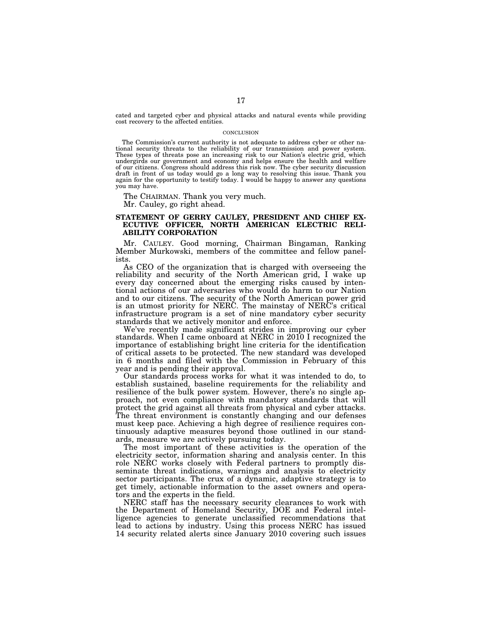cated and targeted cyber and physical attacks and natural events while providing cost recovery to the affected entities.

#### CONCLUSION

The Commission's current authority is not adequate to address cyber or other na-tional security threats to the reliability of our transmission and power system. These types of threats pose an increasing risk to our Nation's electric grid, which undergirds our government and economy and helps ensure the health and welfare of our citizens. Congress should address this risk now. The cyber security discussion draft in front of us today would go a long way to resolving this issue. Thank you again for the opportunity to testify today. I would be happy to answer any questions you may have.

The CHAIRMAN. Thank you very much. Mr. Cauley, go right ahead.

## **STATEMENT OF GERRY CAULEY, PRESIDENT AND CHIEF EX-ECUTIVE OFFICER, NORTH AMERICAN ELECTRIC RELI-ABILITY CORPORATION**

Mr. CAULEY. Good morning, Chairman Bingaman, Ranking Member Murkowski, members of the committee and fellow panelists.

As CEO of the organization that is charged with overseeing the reliability and security of the North American grid, I wake up every day concerned about the emerging risks caused by intentional actions of our adversaries who would do harm to our Nation and to our citizens. The security of the North American power grid is an utmost priority for NERC. The mainstay of NERC's critical infrastructure program is a set of nine mandatory cyber security standards that we actively monitor and enforce.

We've recently made significant strides in improving our cyber standards. When I came onboard at NERC in 2010 I recognized the importance of establishing bright line criteria for the identification of critical assets to be protected. The new standard was developed in 6 months and filed with the Commission in February of this year and is pending their approval.

Our standards process works for what it was intended to do, to establish sustained, baseline requirements for the reliability and resilience of the bulk power system. However, there's no single approach, not even compliance with mandatory standards that will protect the grid against all threats from physical and cyber attacks. The threat environment is constantly changing and our defenses must keep pace. Achieving a high degree of resilience requires continuously adaptive measures beyond those outlined in our standards, measure we are actively pursuing today.

The most important of these activities is the operation of the electricity sector, information sharing and analysis center. In this role NERC works closely with Federal partners to promptly disseminate threat indications, warnings and analysis to electricity sector participants. The crux of a dynamic, adaptive strategy is to get timely, actionable information to the asset owners and operators and the experts in the field.

NERC staff has the necessary security clearances to work with the Department of Homeland Security, DOE and Federal intelligence agencies to generate unclassified recommendations that lead to actions by industry. Using this process NERC has issued 14 security related alerts since January 2010 covering such issues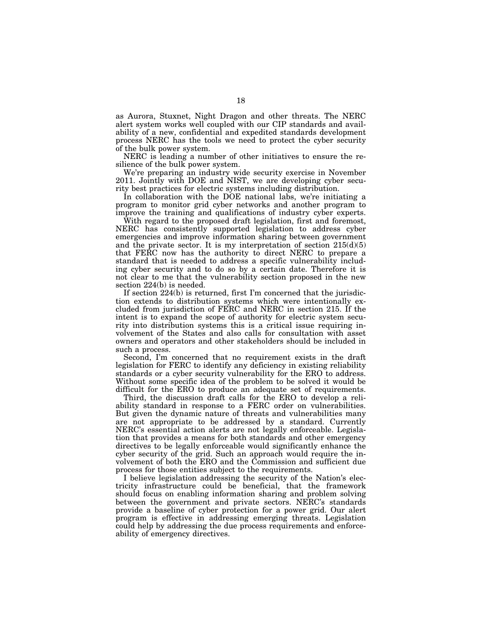as Aurora, Stuxnet, Night Dragon and other threats. The NERC alert system works well coupled with our CIP standards and availability of a new, confidential and expedited standards development process NERC has the tools we need to protect the cyber security of the bulk power system.

NERC is leading a number of other initiatives to ensure the resilience of the bulk power system.

We're preparing an industry wide security exercise in November 2011. Jointly with DOE and NIST, we are developing cyber security best practices for electric systems including distribution.

In collaboration with the DOE national labs, we're initiating a program to monitor grid cyber networks and another program to improve the training and qualifications of industry cyber experts.

With regard to the proposed draft legislation, first and foremost, NERC has consistently supported legislation to address cyber emergencies and improve information sharing between government and the private sector. It is my interpretation of section  $215(d)(5)$ that FERC now has the authority to direct NERC to prepare a standard that is needed to address a specific vulnerability including cyber security and to do so by a certain date. Therefore it is not clear to me that the vulnerability section proposed in the new section 224(b) is needed.

If section 224(b) is returned, first I'm concerned that the jurisdiction extends to distribution systems which were intentionally excluded from jurisdiction of FERC and NERC in section 215. If the intent is to expand the scope of authority for electric system security into distribution systems this is a critical issue requiring involvement of the States and also calls for consultation with asset owners and operators and other stakeholders should be included in such a process.

Second, I'm concerned that no requirement exists in the draft legislation for FERC to identify any deficiency in existing reliability standards or a cyber security vulnerability for the ERO to address. Without some specific idea of the problem to be solved it would be difficult for the ERO to produce an adequate set of requirements.

Third, the discussion draft calls for the ERO to develop a reliability standard in response to a FERC order on vulnerabilities. But given the dynamic nature of threats and vulnerabilities many are not appropriate to be addressed by a standard. Currently NERC's essential action alerts are not legally enforceable. Legislation that provides a means for both standards and other emergency directives to be legally enforceable would significantly enhance the cyber security of the grid. Such an approach would require the involvement of both the ERO and the Commission and sufficient due process for those entities subject to the requirements.

I believe legislation addressing the security of the Nation's electricity infrastructure could be beneficial, that the framework should focus on enabling information sharing and problem solving between the government and private sectors. NERC's standards provide a baseline of cyber protection for a power grid. Our alert program is effective in addressing emerging threats. Legislation could help by addressing the due process requirements and enforceability of emergency directives.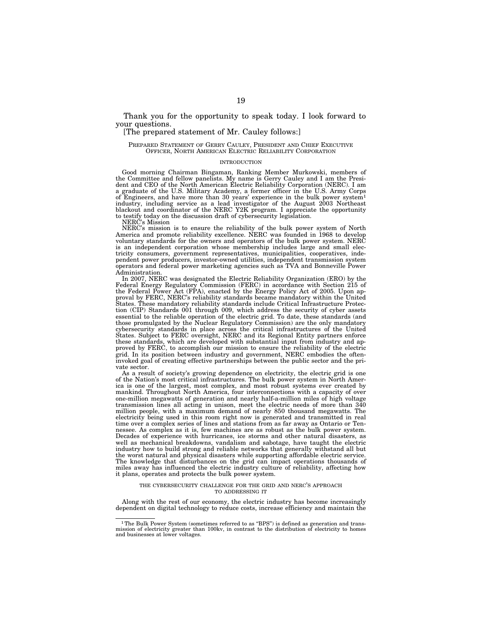Thank you for the opportunity to speak today. I look forward to your questions.

#### [The prepared statement of Mr. Cauley follows:]

#### PREPARED STATEMENT OF GERRY CAULEY, PRESIDENT AND CHIEF EXECUTIVE OFFICER, NORTH AMERICAN ELECTRIC RELIABILITY CORPORATION

#### INTRODUCTION

Good morning Chairman Bingaman, Ranking Member Murkowski, members of the Committee and fellow panelists. My name is Gerry Cauley and I am the Presi-dent and CEO of the North American Electric Reliability Corporation (NERC). I am a graduate of the U.S. Military Academy, a former officer in the U.S. Army Corps of Engineers, and have more than 30 years' experience in the bulk power system<sup>1</sup> industry, including service as a lead investigator of the August 2003 Northeast blackout and coordinator of the NERC Y2K program. I appreciate the opportunity to testify today on the discussion draft of cybersecurity legislation.

NERC's Mission

NERC's mission is to ensure the reliability of the bulk power system of North America and promote reliability excellence. NERC was founded in 1968 to develop voluntary standards for the owners and operators of the bulk power system. NERC is an independent corporation whose membership includes large and small electricity consumers, government representatives, municipalities, cooperatives, independent power producers, investor-owned utilities, independent transmission system operators and federal power marketing agencies such as TVA and Bonneville Power Administration.

In 2007, NERC was designated the Electric Reliability Organization (ERO) by the Federal Energy Regulatory Commission (FERC) in accordance with Section 215 of the Federal Power Act (FPA), enacted by the Energy Policy Act of 2005. Upon approval by FERC, NERC's reliability standards became mandatory within the United States. These mandatory reliability standards include Critical Infrastructure Protection (CIP) Standards 001 through 009, which address the security of cyber assets essential to the reliable operation of the electric grid. To date, these standards (and those promulgated by the Nuclear Regulatory Commission) are the only mandatory cybersecurity standards in place across the critical infrastructures of the United States. Subject to FERC oversight, NERC and its Regional Entity partners enforce these standards, which are developed with substantial input from industry and approved by FERC, to accomplish our mission to ensure the reliability of the electric grid. In its position between industry and government, NERC embodies the ofteninvoked goal of creating effective partnerships between the public sector and the private sector.

As a result of society's growing dependence on electricity, the electric grid is one of the Nation's most critical infrastructures. The bulk power system in North America is one of the largest, most complex, and most robust systems ever created by mankind. Throughout North America, four interconnections with a capacity of over one-million megawatts of generation and nearly half-a-million miles of high voltage transmission lines all acting in unison, meet the electric needs of more than 340 million people, with a maximum demand of nearly 850 thousand megawatts. The electricity being used in this room right now is generated and transmitted in real time over a complex series of lines and stations from as far away as Ontario or Tennessee. As complex as it is, few machines are as robust as the bulk power system. Decades of experience with hurricanes, ice storms and other natural disasters, as well as mechanical breakdowns, vandalism and sabotage, have taught the electric industry how to build strong and reliable networks that generally withstand all but the worst natural and physical disasters while supporting affordable electric service. The knowledge that disturbances on the grid can impact operations thousands of miles away has influenced the electric industry culture of reliability, affecting how it plans, operates and protects the bulk power system.

#### THE CYBERSECURITY CHALLENGE FOR THE GRID AND NERC'S APPROACH TO ADDRESSING IT

Along with the rest of our economy, the electric industry has become increasingly dependent on digital technology to reduce costs, increase efficiency and maintain the

<sup>&</sup>lt;sup>1</sup>The Bulk Power System (sometimes referred to as "BPS") is defined as generation and transmission of electricity greater than 100kv, in contrast to the distribution of electricity to homes and businesses at lower voltages.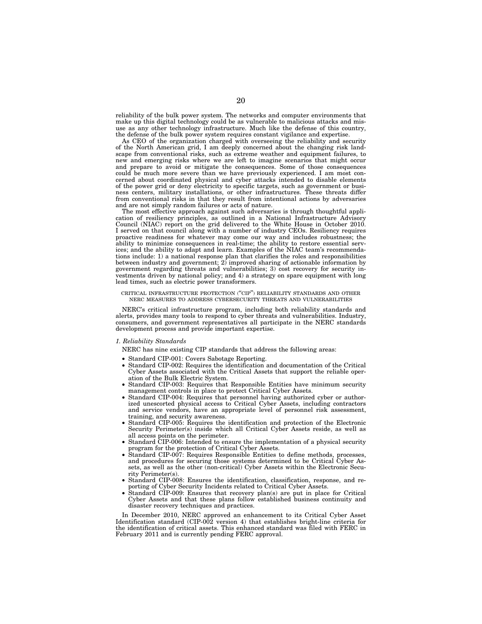reliability of the bulk power system. The networks and computer environments that make up this digital technology could be as vulnerable to malicious attacks and misuse as any other technology infrastructure. Much like the defense of this country, the defense of the bulk power system requires constant vigilance and expertise.

As CEO of the organization charged with overseeing the reliability and security of the North American grid, I am deeply concerned about the changing risk landscape from conventional risks, such as extreme weather and equipment failures, to new and emerging risks where we are left to imagine scenarios that might occur and prepare to avoid or mitigate the consequences. Some of those consequences could be much more severe than we have previously experienced. I am most concerned about coordinated physical and cyber attacks intended to disable elements of the power grid or deny electricity to specific targets, such as government or business centers, military installations, or other infrastructures. These threats differ from conventional risks in that they result from intentional actions by adversaries and are not simply random failures or acts of nature.

The most effective approach against such adversaries is through thoughtful application of resiliency principles, as outlined in a National Infrastructure Advisory Council (NIAC) report on the grid delivered to the White House in October 2010. I served on that council along with a number of industry CEOs. Resiliency requires proactive readiness for whatever may come our way and includes robustness; the ability to minimize consequences in real-time; the ability to restore essential services; and the ability to adapt and learn. Examples of the NIAC team's recommendations include: 1) a national response plan that clarifies the roles and responsibilities between industry and government; 2) improved sharing of actionable information by government regarding threats and vulnerabilities; 3) cost recovery for security investments driven by national policy; and 4) a strategy on spare equipment with long lead times, such as electric power transformers.

#### CRITICAL INFRASTRUCTURE PROTECTION (''CIP'') RELIABILITY STANDARDS AND OTHER NERC MEASURES TO ADDRESS CYBERSECURITY THREATS AND VULNERABILITIES

NERC's critical infrastructure program, including both reliability standards and alerts, provides many tools to respond to cyber threats and vulnerabilities. Industry, consumers, and government representatives all participate in the NERC standards development process and provide important expertise.

#### *1. Reliability Standards*

NERC has nine existing CIP standards that address the following areas:

- Standard CIP-001: Covers Sabotage Reporting.
- Standard CIP-002: Requires the identification and documentation of the Critical Cyber Assets associated with the Critical Assets that support the reliable operation of the Bulk Electric System.
- Standard CIP-003: Requires that Responsible Entities have minimum security management controls in place to protect Critical Cyber Assets.
- Standard CIP-004: Requires that personnel having authorized cyber or authorized unescorted physical access to Critical Cyber Assets, including contractors and service vendors, have an appropriate level of personnel risk assessment, training, and security awareness.
- Standard CIP-005: Requires the identification and protection of the Electronic Security Perimeter(s) inside which all Critical Cyber Assets reside, as well as all access points on the perimeter.
- Standard CIP-006: Intended to ensure the implementation of a physical security program for the protection of Critical Cyber Assets.
- Standard CIP-007: Requires Responsible Entities to define methods, processes, and procedures for securing those systems determined to be Critical Cyber Assets, as well as the other (non-critical) Cyber Assets within the Electronic Security Perimeter(s).
- Standard CIP-008: Ensures the identification, classification, response, and reporting of Cyber Security Incidents related to Critical Cyber Assets.
- Standard CIP-009: Ensures that recovery plan(s) are put in place for Critical Cyber Assets and that these plans follow established business continuity and disaster recovery techniques and practices.

In December 2010, NERC approved an enhancement to its Critical Cyber Asset Identification standard (CIP-002 version 4) that establishes bright-line criteria for the identification of critical assets. This enhanced standard was filed with FERC in February 2011 and is currently pending FERC approval.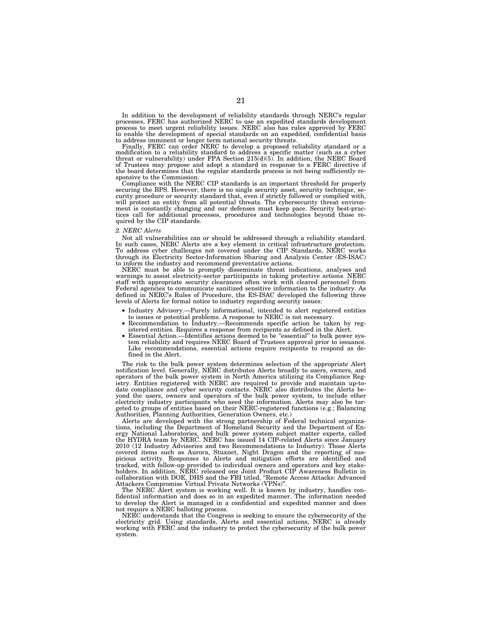In addition to the development of reliability standards through NERC's regular processes, FERC has authorized NERC to use an expedited standards development process to meet urgent reliability issues. NERC also has rules approved by FERC to enable the development of special standards on an expedited, confidential basis to address imminent or longer term national security threats.

Finally, FERC can order NERC to develop a proposed reliability standard or a modification to a reliability standard to address a specific matter (such as a cyber threat or vulnerability) under FPA Section 215(d)(5). In addition, the NERC Board of Trustees may propose and adopt a standard in response to a FERC directive if the board determines that the regular standards process is not being sufficiently responsive to the Commission.

Compliance with the NERC CIP standards is an important threshold for properly securing the BPS. However, there is no single security asset, security technique, security procedure or security standard that, even if strictly followed or complied with, will protect an entity from all potential threats. The cybersecurity threat environment is constantly changing and our defenses must keep pace. Security best-practices call for additional processes, procedures and technologies beyond those required by the CIP standards.

#### *2. NERC Alerts*

Not all vulnerabilities can or should be addressed through a reliability standard. In such cases, NERC Alerts are a key element in critical infrastructure protection. To address cyber challenges not covered under the CIP Standards, NERC works through its Electricity Sector-Information Sharing and Analysis Center (ES-ISAC) to inform the industry and recommend preventative actions.

NERC must be able to promptly disseminate threat indications, analyses and warnings to assist electricity-sector participants in taking protective actions. NERC staff with appropriate security clearances often work with cleared personnel from Federal agencies to communicate sanitized sensitive information to the industry. As defined in NERC's Rules of Procedure, the ES-ISAC developed the following three levels of Alerts for formal notice to industry regarding security issues:

- Industry Advisory.—Purely informational, intended to alert registered entities to issues or potential problems. A response to NERC is not necessary.
- Recommendation to Industry.—Recommends specific action be taken by registered entities. Requires a response from recipients as defined in the Alert.
- Essential Action.—Identifies actions deemed to be "essential" to bulk power system reliability and requires NERC Board of Trustees approval prior to issuance. Like recommendations, essential actions require recipients to respond as defined in the Alert.

The risk to the bulk power system determines selection of the appropriate Alert notification level. Generally, NERC distributes Alerts broadly to users, owners, and operators of the bulk power system in North America utilizing its Compliance Registry. Entities registered with NERC are required to provide and maintain up-todate compliance and cyber security contacts. NERC also distributes the Alerts beyond the users, owners and operators of the bulk power system, to include other electricity industry participants who need the information. Alerts may also be targeted to groups of entities based on their NERC-registered functions (e.g.; Balancing Authorities, Planning Authorities, Generation Owners, etc.)

Alerts are developed with the strong partnership of Federal technical organizations, including the Department of Homeland Security and the Department of Energy National Laboratories, and bulk power system subject matter experts, called the HYDRA team by NERC. NERC has issued 14 CIP-related Alerts since January 2010 (12 Industry Advisories and two Recommendations to Industry). Those Alerts covered items such as Aurora, Stuxnet, Night Dragon and the reporting of suspicious activity. Responses to Alerts and mitigation efforts are identified and tracked, with follow-up provided to individual owners and operators and key stakeholders. In addition, NERC released one Joint Product CIP Awareness Bulletin in collaboration with DOE, DHS and the FBI titled, ''Remote Access Attacks: Advanced Attackers Compromise Virtual Private Networks (VPNs)''.

The NERC Alert system is working well. It is known by industry, handles confidential information and does so in an expedited manner. The information needed to develop the Alert is managed in a confidential and expedited manner and does not require a NERC balloting process.

NERC understands that the Congress is seeking to ensure the cybersecurity of the electricity grid. Using standards, Alerts and essential actions, NERC is already working with FERC and the industry to protect the cybersecurity of the bulk power system.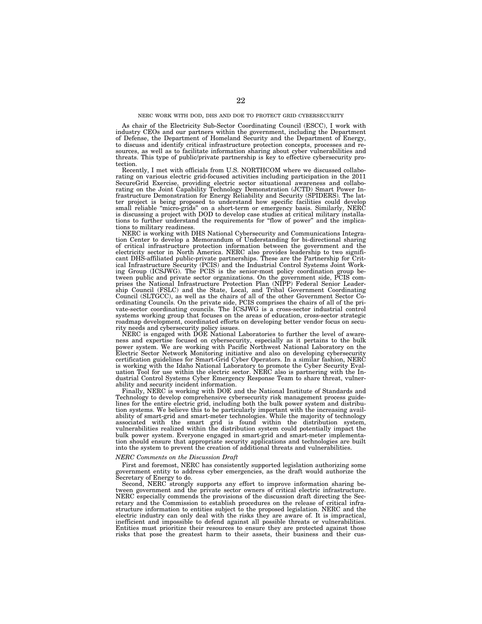#### NERC WORK WITH DOD, DHS AND DOE TO PROTECT GRID CYBERSECURITY

As chair of the Electricity Sub-Sector Coordinating Council (ESCC), I work with industry CEOs and our partners within the government, including the Department of Defense, the Department of Homeland Security and the Department of Energy, to discuss and identify critical infrastructure protection concepts, processes and resources, as well as to facilitate information sharing about cyber vulnerabilities and threats. This type of public/private partnership is key to effective cybersecurity protection.

Recently, I met with officials from U.S. NORTHCOM where we discussed collaborating on various electric grid-focused activities including participation in the 2011 SecureGrid Exercise, providing electric sector situational awareness and collaborating on the Joint Capability Technology Demonstration (JCTD) Smart Power Infrastructure Demonstration for Energy Reliability and Security (SPIDERS). The latter project is being proposed to understand how specific facilities could develop small reliable "micro-grids" on a short-term or emergency basis. Similarly, NERC is discussing a project with DOD to develop case studies at critical military installations to further understand the requirements for ''flow of power'' and the implications to military readiness.

NERC is working with DHS National Cybersecurity and Communications Integration Center to develop a Memorandum of Understanding for bi-directional sharing of critical infrastructure protection information between the government and the electricity sector in North America. NERC also provides leadership to two significant DHS-affiliated public-private partnerships. These are the Partnership for Critical Infrastructure Security (PCIS) and the Industrial Control Systems Joint Working Group (ICSJWG). The PCIS is the senior-most policy coordination group between public and private sector organizations. On the government side, PCIS comprises the National Infrastructure Protection Plan (NIPP) Federal Senior Leadership Council (FSLC) and the State, Local, and Tribal Government Coordinating Council (SLTGCC), as well as the chairs of all of the other Government Sector Coordinating Councils. On the private side, PCIS comprises the chairs of all of the private-sector coordinating councils. The ICSJWG is a cross-sector industrial control systems working group that focuses on the areas of education, cross-sector strategic roadmap development, coordinated efforts on developing better vendor focus on security needs and cybersecurity policy issues.

NERC is engaged with DOE National Laboratories to further the level of awareness and expertise focused on cybersecurity, especially as it pertains to the bulk power system. We are working with Pacific Northwest National Laboratory on the Electric Sector Network Monitoring initiative and also on developing cybersecurity certification guidelines for Smart-Grid Cyber Operators. In a similar fashion, NERC is working with the Idaho National Laboratory to promote the Cyber Security Evaluation Tool for use within the electric sector. NERC also is partnering with the Industrial Control Systems Cyber Emergency Response Team to share threat, vulnerability and security incident information.

Finally, NERC is working with DOE and the National Institute of Standards and Technology to develop comprehensive cybersecurity risk management process guidelines for the entire electric grid, including both the bulk power system and distribution systems. We believe this to be particularly important with the increasing availability of smart-grid and smart-meter technologies. While the majority of technology associated with the smart grid is found within the distribution system, vulnerabilities realized within the distribution system could potentially impact the bulk power system. Everyone engaged in smart-grid and smart-meter implementation should ensure that appropriate security applications and technologies are built into the system to prevent the creation of additional threats and vulnerabilities.

#### *NERC Comments on the Discussion Draft*

First and foremost, NERC has consistently supported legislation authorizing some government entity to address cyber emergencies, as the draft would authorize the Secretary of Energy to do.

Second, NERC strongly supports any effort to improve information sharing between government and the private sector owners of critical electric infrastructure. NERC especially commends the provisions of the discussion draft directing the Secretary and the Commission to establish procedures on the release of critical infrastructure information to entities subject to the proposed legislation. NERC and the electric industry can only deal with the risks they are aware of. It is impractical, inefficient and impossible to defend against all possible threats or vulnerabilities. Entities must prioritize their resources to ensure they are protected against those risks that pose the greatest harm to their assets, their business and their cus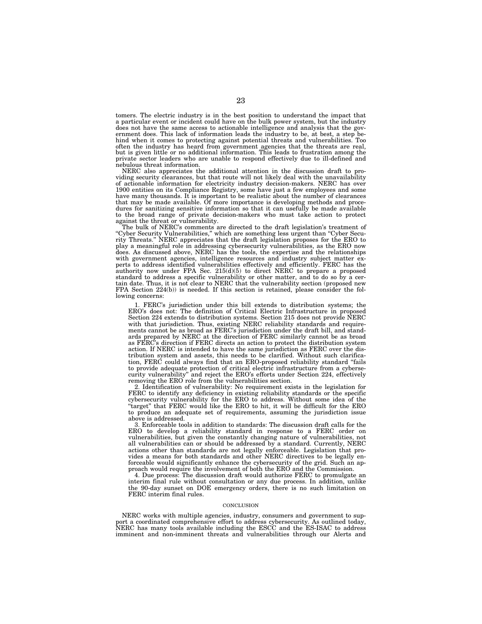tomers. The electric industry is in the best position to understand the impact that a particular event or incident could have on the bulk power system, but the industry does not have the same access to actionable intelligence and analysis that the government does. This lack of information leads the industry to be, at best, a step behind when it comes to protecting against potential threats and vulnerabilities. Too often the industry has heard from government agencies that the threats are real, but is given little or no additional information. This leads to frustration among the private sector leaders who are unable to respond effectively due to ill-defined and nebulous threat information.

NERC also appreciates the additional attention in the discussion draft to providing security clearances, but that route will not likely deal with the unavailability of actionable information for electricity industry decision-makers. NERC has over 1900 entities on its Compliance Registry, some have just a few employees and some have many thousands. It is important to be realistic about the number of clearances that may be made available. Of more importance is developing methods and procedures for sanitizing sensitive information so that it can usefully be made available to the broad range of private decision-makers who must take action to protect against the threat or vulnerability. The bulk of NERC's comments are directed to the draft legislation's treatment of

''Cyber Security Vulnerabilities,'' which are something less urgent than ''Cyber Secu-rity Threats.'' NERC appreciates that the draft legislation proposes for the ERO to play a meaningful role in addressing cybersecurity vulnerabilities, as the ERO now does. As discussed above, NERC has the tools, the expertise and the relationships with government agencies, intelligence resources and industry subject matter ex-perts to address identified vulnerabilities effectively and efficiently. FERC has the authority now under FPA Sec.  $215(d)(5)$  to direct NERC to prepare a proposed standard to address a specific vulnerability or other matter, and to do so by a certain date. Thus, it is not clear to NERC that the vulnerabilit lowing concerns:

1. FERC's jurisdiction under this bill extends to distribution systems; the ERO's does not: The definition of Critical Electric Infrastructure in proposed Section 224 extends to distribution systems. Section 215 does not provide NERC with that jurisdiction. Thus, existing NERC reliability standards and requirements cannot be as broad as FERC's jurisdiction under the draft bill, and standards prepared by NERC at the direction of FERC similarly cannot be as broad as FERC's direction if FERC directs an action to protect the distribution system action. If NERC is intended to have the same jurisdiction as FERC over the distribution system and assets, this needs to be clarified. Without such clarification, FERC could always find that an ERO-proposed reliability standard ''fails to provide adequate protection of critical electric infrastructure from a cybersecurity vulnerability'' and reject the ERO's efforts under Section 224, effectively removing the ERO role from the vulnerabilities section.

2. Identification of vulnerability: No requirement exists in the legislation for FERC to identify any deficiency in existing reliability standards or the specific cybersecurity vulnerability for the ERO to address. Without some idea of the ''target'' that FERC would like the ERO to hit, it will be difficult for the ERO to produce an adequate set of requirements, assuming the jurisdiction issue above is addressed.

3. Enforceable tools in addition to standards: The discussion draft calls for the ERO to develop a reliability standard in response to a FERC order on vulnerabilities, but given the constantly changing nature of vulnerabilities, not all vulnerabilities can or should be addressed by a standard. Currently, NERC actions other than standards are not legally enforceable. Legislation that provides a means for both standards and other NERC directives to be legally enforceable would significantly enhance the cybersecurity of the grid. Such an approach would require the involvement of both the ERO and the Commission.

4. Due process: The discussion draft would authorize FERC to promulgate an interim final rule without consultation or any due process. In addition, unlike the 90-day sunset on DOE emergency orders, there is no such limitation on FERC interim final rules.

#### **CONCLUSION**

NERC works with multiple agencies, industry, consumers and government to support a coordinated comprehensive effort to address cybersecurity. As outlined today, NERC has many tools available including the ESCC and the ES-ISAC to address imminent and non-imminent threats and vulnerabilities through our Alerts and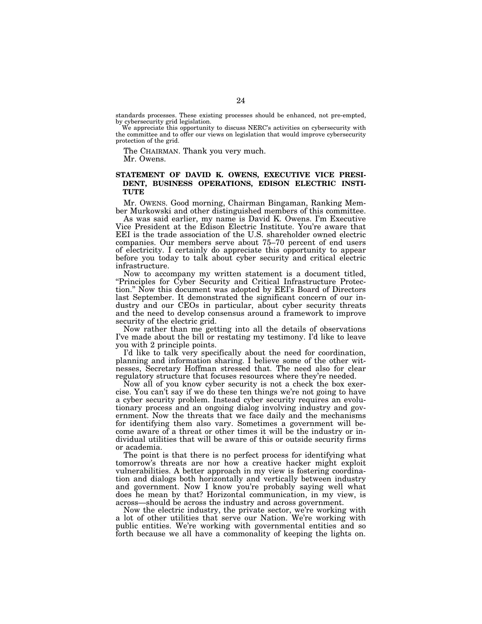standards processes. These existing processes should be enhanced, not pre-empted, by cybersecurity grid legislation.

We appreciate this opportunity to discuss NERC's activities on cybersecurity with the committee and to offer our views on legislation that would improve cybersecurity protection of the grid.

The CHAIRMAN. Thank you very much.

Mr. Owens.

# **STATEMENT OF DAVID K. OWENS, EXECUTIVE VICE PRESI-DENT, BUSINESS OPERATIONS, EDISON ELECTRIC INSTI-TUTE**

Mr. OWENS. Good morning, Chairman Bingaman, Ranking Member Murkowski and other distinguished members of this committee.

As was said earlier, my name is David K. Owens. I'm Executive Vice President at the Edison Electric Institute. You're aware that EEI is the trade association of the U.S. shareholder owned electric companies. Our members serve about 75–70 percent of end users of electricity. I certainly do appreciate this opportunity to appear before you today to talk about cyber security and critical electric infrastructure.

Now to accompany my written statement is a document titled, ''Principles for Cyber Security and Critical Infrastructure Protection.'' Now this document was adopted by EEI's Board of Directors last September. It demonstrated the significant concern of our industry and our CEOs in particular, about cyber security threats and the need to develop consensus around a framework to improve security of the electric grid.

Now rather than me getting into all the details of observations I've made about the bill or restating my testimony. I'd like to leave you with 2 principle points.

I'd like to talk very specifically about the need for coordination, planning and information sharing. I believe some of the other witnesses, Secretary Hoffman stressed that. The need also for clear regulatory structure that focuses resources where they're needed.

Now all of you know cyber security is not a check the box exercise. You can't say if we do these ten things we're not going to have a cyber security problem. Instead cyber security requires an evolutionary process and an ongoing dialog involving industry and government. Now the threats that we face daily and the mechanisms for identifying them also vary. Sometimes a government will become aware of a threat or other times it will be the industry or individual utilities that will be aware of this or outside security firms or academia.

The point is that there is no perfect process for identifying what tomorrow's threats are nor how a creative hacker might exploit vulnerabilities. A better approach in my view is fostering coordination and dialogs both horizontally and vertically between industry and government. Now I know you're probably saying well what does he mean by that? Horizontal communication, in my view, is across—should be across the industry and across government.

Now the electric industry, the private sector, we're working with a lot of other utilities that serve our Nation. We're working with public entities. We're working with governmental entities and so forth because we all have a commonality of keeping the lights on.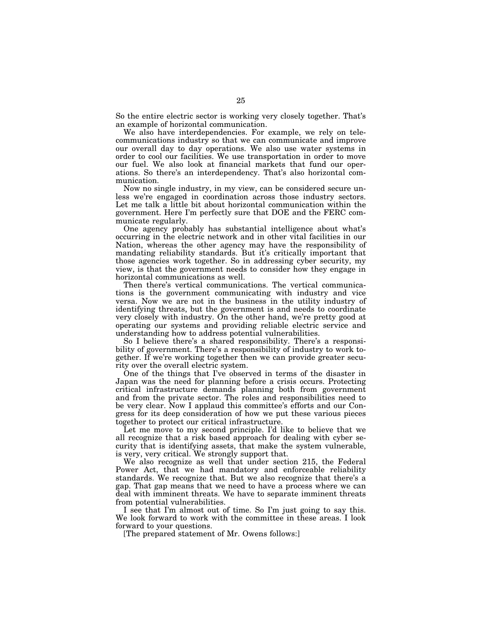So the entire electric sector is working very closely together. That's an example of horizontal communication.

We also have interdependencies. For example, we rely on telecommunications industry so that we can communicate and improve our overall day to day operations. We also use water systems in order to cool our facilities. We use transportation in order to move our fuel. We also look at financial markets that fund our operations. So there's an interdependency. That's also horizontal communication.

Now no single industry, in my view, can be considered secure unless we're engaged in coordination across those industry sectors. Let me talk a little bit about horizontal communication within the government. Here I'm perfectly sure that DOE and the FERC communicate regularly.

One agency probably has substantial intelligence about what's occurring in the electric network and in other vital facilities in our Nation, whereas the other agency may have the responsibility of mandating reliability standards. But it's critically important that those agencies work together. So in addressing cyber security, my view, is that the government needs to consider how they engage in horizontal communications as well.

Then there's vertical communications. The vertical communications is the government communicating with industry and vice versa. Now we are not in the business in the utility industry of identifying threats, but the government is and needs to coordinate very closely with industry. On the other hand, we're pretty good at operating our systems and providing reliable electric service and understanding how to address potential vulnerabilities.

So I believe there's a shared responsibility. There's a responsibility of government. There's a responsibility of industry to work together. If we're working together then we can provide greater security over the overall electric system.

One of the things that I've observed in terms of the disaster in Japan was the need for planning before a crisis occurs. Protecting critical infrastructure demands planning both from government and from the private sector. The roles and responsibilities need to be very clear. Now I applaud this committee's efforts and our Congress for its deep consideration of how we put these various pieces together to protect our critical infrastructure.

Let me move to my second principle. I'd like to believe that we all recognize that a risk based approach for dealing with cyber security that is identifying assets, that make the system vulnerable, is very, very critical. We strongly support that.

We also recognize as well that under section 215, the Federal Power Act, that we had mandatory and enforceable reliability standards. We recognize that. But we also recognize that there's a gap. That gap means that we need to have a process where we can deal with imminent threats. We have to separate imminent threats from potential vulnerabilities.

I see that I'm almost out of time. So I'm just going to say this. We look forward to work with the committee in these areas. I look forward to your questions.

[The prepared statement of Mr. Owens follows:]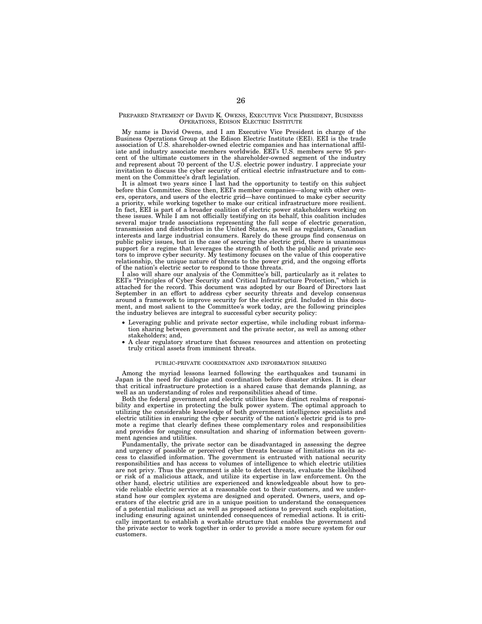#### PREPARED STATEMENT OF DAVID K. OWENS, EXECUTIVE VICE PRESIDENT, BUSINESS OPERATIONS, EDISON ELECTRIC INSTITUTE

My name is David Owens, and I am Executive Vice President in charge of the Business Operations Group at the Edison Electric Institute (EEI). EEI is the trade association of U.S. shareholder-owned electric companies and has international affiliate and industry associate members worldwide. EEI's U.S. members serve 95 percent of the ultimate customers in the shareholder-owned segment of the industry and represent about 70 percent of the U.S. electric power industry. I appreciate your invitation to discuss the cyber security of critical electric infrastructure and to comment on the Committee's draft legislation.

It is almost two years since I last had the opportunity to testify on this subject before this Committee. Since then, EEI's member companies—along with other owners, operators, and users of the electric grid—have continued to make cyber security a priority, while working together to make our critical infrastructure more resilient. In fact, EEI is part of a broader coalition of electric power stakeholders working on these issues. While I am not officially testifying on its behalf, this coalition includes several major trade associations representing the full scope of electric generation, transmission and distribution in the United States, as well as regulators, Canadian interests and large industrial consumers. Rarely do these groups find consensus on public policy issues, but in the case of securing the electric grid, there is unanimous support for a regime that leverages the strength of both the public and private sectors to improve cyber security. My testimony focuses on the value of this cooperative relationship, the unique nature of threats to the power grid, and the ongoing efforts of the nation's electric sector to respond to those threats.

I also will share our analysis of the Committee's bill, particularly as it relates to EEI's "Principles of Cyber Security and Critical Infrastructure Protection," which is attached for the record. This document was adopted by our Board of Directors last September in an effort to address cyber security threats and develop consensus around a framework to improve security for the electric grid. Included in this document, and most salient to the Committee's work today, are the following principles the industry believes are integral to successful cyber security policy:

- Leveraging public and private sector expertise, while including robust information sharing between government and the private sector, as well as among other stakeholders; and,
- A clear regulatory structure that focuses resources and attention on protecting truly critical assets from imminent threats.

#### PUBLIC-PRIVATE COORDINATION AND INFORMATION SHARING

Among the myriad lessons learned following the earthquakes and tsunami in Japan is the need for dialogue and coordination before disaster strikes. It is clear that critical infrastructure protection is a shared cause that demands planning, as well as an understanding of roles and responsibilities ahead of time.

Both the federal government and electric utilities have distinct realms of responsibility and expertise in protecting the bulk power system. The optimal approach to utilizing the considerable knowledge of both government intelligence specialists and electric utilities in ensuring the cyber security of the nation's electric grid is to promote a regime that clearly defines these complementary roles and responsibilities and provides for ongoing consultation and sharing of information between government agencies and utilities.

Fundamentally, the private sector can be disadvantaged in assessing the degree and urgency of possible or perceived cyber threats because of limitations on its access to classified information. The government is entrusted with national security responsibilities and has access to volumes of intelligence to which electric utilities are not privy. Thus the government is able to detect threats, evaluate the likelihood or risk of a malicious attack, and utilize its expertise in law enforcement. On the other hand, electric utilities are experienced and knowledgeable about how to provide reliable electric service at a reasonable cost to their customers, and we understand how our complex systems are designed and operated. Owners, users, and operators of the electric grid are in a unique position to understand the consequences of a potential malicious act as well as proposed actions to prevent such exploitation, including ensuring against unintended consequences of remedial actions. It is critically important to establish a workable structure that enables the government and the private sector to work together in order to provide a more secure system for our customers.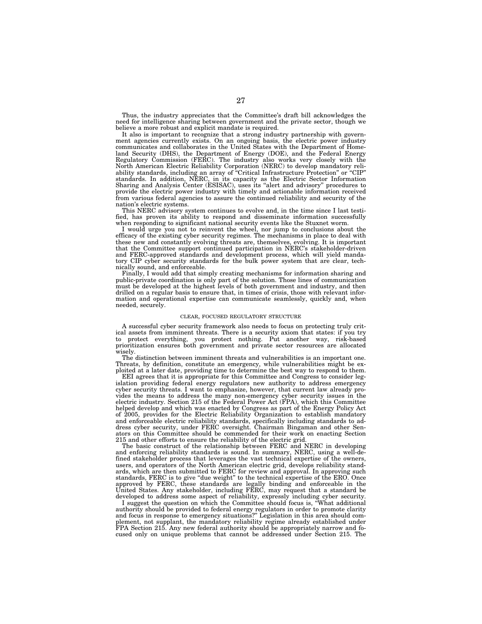Thus, the industry appreciates that the Committee's draft bill acknowledges the need for intelligence sharing between government and the private sector, though we believe a more robust and explicit mandate is required.

It also is important to recognize that a strong industry partnership with government agencies currently exists. On an ongoing basis, the electric power industry communicates and collaborates in the United States with the Department of Homeland Security (DHS), the Department of Energy (DOE), and the Federal Energy Regulatory Commission (FERC). The industry also works very closely with the North American Electric Reliability Corporation (NERC) to develop mandatory reliability standards, including an array of ''Critical Infrastructure Protection'' or ''CIP'' standards. In addition, NERC, in its capacity as the Electric Sector Information Sharing and Analysis Center (ESISAC), uses its ''alert and advisory'' procedures to provide the electric power industry with timely and actionable information received from various federal agencies to assure the continued reliability and security of the nation's electric systems.

This NERC advisory system continues to evolve and, in the time since I last testified, has proven its ability to respond and disseminate information successfully when responding to significant national security events like the Stuxnet worm.

I would urge you not to reinvent the wheel, nor jump to conclusions about the efficacy of the existing cyber security regimes. The mechanisms in place to deal with these new and constantly evolving threats are, themselves, evolving. It is important that the Committee support continued participation in NERC's stakeholder-driven and FERC-approved standards and development process, which will yield mandatory CIP cyber security standards for the bulk power system that are clear, technically sound, and enforceable.

Finally, I would add that simply creating mechanisms for information sharing and public-private coordination is only part of the solution. Those lines of communication must be developed at the highest levels of both government and industry, and then drilled on a regular basis to ensure that, in times of crisis, those with relevant information and operational expertise can communicate seamlessly, quickly and, when needed, securely.

#### CLEAR, FOCUSED REGULATORY STRUCTURE

A successful cyber security framework also needs to focus on protecting truly critical assets from imminent threats. There is a security axiom that states: if you try to protect everything, you protect nothing. Put another way, risk-based prioritization ensures both government and private sector resources are allocated wisely.

The distinction between imminent threats and vulnerabilities is an important one. Threats, by definition, constitute an emergency, while vulnerabilities might be exploited at a later date, providing time to determine the best way to respond to them.

EEI agrees that it is appropriate for this Committee and Congress to consider legislation providing federal energy regulators new authority to address emergency cyber security threats. I want to emphasize, however, that current law already provides the means to address the many non-emergency cyber security issues in the electric industry. Section 215 of the Federal Power Act (FPA), which this Committee helped develop and which was enacted by Congress as part of the Energy Policy Act of 2005, provides for the Electric Reliability Organization to establish mandatory and enforceable electric reliability standards, specifically including standards to address cyber security, under FERC oversight. Chairman Bingaman and other Senators on this Committee should be commended for their work on enacting Section 215 and other efforts to ensure the reliability of the electric grid.

The basic construct of the relationship between FERC and NERC in developing and enforcing reliability standards is sound. In summary, NERC, using a well-defined stakeholder process that leverages the vast technical expertise of the owners, users, and operators of the North American electric grid, develops reliability standards, which are then submitted to FERC for review and approval. In approving such standards, FERC is to give "due weight" to the technical expertise of the ERO. Once approved by FERC, these standards are legally binding and enforceable in the United States. Any stakeholder, including FERC, may request that a standard be developed to address some aspect of reliability, expressly including cyber security.

I suggest the question on which the Committee should focus is, ''What additional authority should be provided to federal energy regulators in order to promote clarity and focus in response to emergency situations?'' Legislation in this area should complement, not supplant, the mandatory reliability regime already established under FPA Section 215. Any new federal authority should be appropriately narrow and focused only on unique problems that cannot be addressed under Section 215. The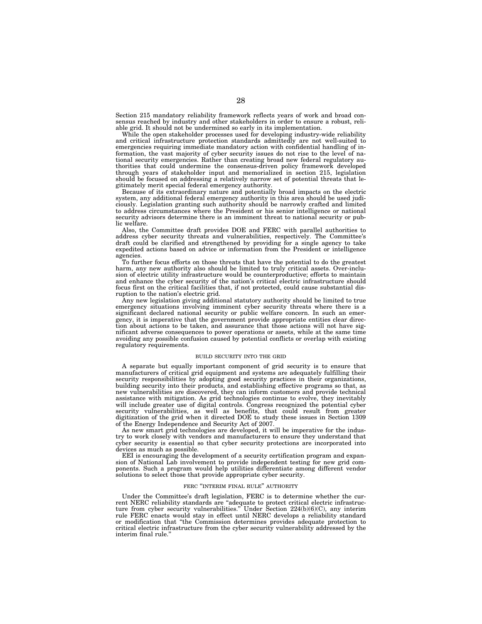Section 215 mandatory reliability framework reflects years of work and broad consensus reached by industry and other stakeholders in order to ensure a robust, reliable grid. It should not be undermined so early in its implementation.

While the open stakeholder processes used for developing industry-wide reliability and critical infrastructure protection standards admittedly are not well-suited to emergencies requiring immediate mandatory action with confidential handling of information, the vast majority of cyber security issues do not rise to the level of national security emergencies. Rather than creating broad new federal regulatory authorities that could undermine the consensus-driven policy framework developed through years of stakeholder input and memorialized in section 215, legislation should be focused on addressing a relatively narrow set of potential threats that legitimately merit special federal emergency authority.

Because of its extraordinary nature and potentially broad impacts on the electric system, any additional federal emergency authority in this area should be used judiciously. Legislation granting such authority should be narrowly crafted and limited to address circumstances where the President or his senior intelligence or national security advisors determine there is an imminent threat to national security or public welfare.

Also, the Committee draft provides DOE and FERC with parallel authorities to address cyber security threats and vulnerabilities, respectively. The Committee's draft could be clarified and strengthened by providing for a single agency to take expedited actions based on advice or information from the President or intelligence agencies.

To further focus efforts on those threats that have the potential to do the greatest harm, any new authority also should be limited to truly critical assets. Over-inclusion of electric utility infrastructure would be counterproductive; efforts to maintain and enhance the cyber security of the nation's critical electric infrastructure should focus first on the critical facilities that, if not protected, could cause substantial disruption to the nation's electric grid.

Any new legislation giving additional statutory authority should be limited to true emergency situations involving imminent cyber security threats where there is a significant declared national security or public welfare concern. In such an emergency, it is imperative that the government provide appropriate entities clear direction about actions to be taken, and assurance that those actions will not have significant adverse consequences to power operations or assets, while at the same time avoiding any possible confusion caused by potential conflicts or overlap with existing regulatory requirements.

#### BUILD SECURITY INTO THE GRID

A separate but equally important component of grid security is to ensure that manufacturers of critical grid equipment and systems are adequately fulfilling their security responsibilities by adopting good security practices in their organizations, building security into their products, and establishing effective programs so that, as new vulnerabilities are discovered, they can inform customers and provide technical assistance with mitigation. As grid technologies continue to evolve, they inevitably will include greater use of digital controls. Congress recognized the potential cyber security vulnerabilities, as well as benefits, that could result from greater digitization of the grid when it directed DOE to study these issues in Section 1309 of the Energy Independence and Security Act of 2007.

As new smart grid technologies are developed, it will be imperative for the industry to work closely with vendors and manufacturers to ensure they understand that cyber security is essential so that cyber security protections are incorporated into devices as much as possible.

EEI is encouraging the development of a security certification program and expansion of National Lab involvement to provide independent testing for new grid components. Such a program would help utilities differentiate among different vendor solutions to select those that provide appropriate cyber security.

#### FERC "INTERIM FINAL RULE" AUTHORITY

Under the Committee's draft legislation, FERC is to determine whether the current NERC reliability standards are ''adequate to protect critical electric infrastructure from cyber security vulnerabilities.'' Under Section 224(b)(6)(C), any interim rule FERC enacts would stay in effect until NERC develops a reliability standard or modification that ''the Commission determines provides adequate protection to critical electric infrastructure from the cyber security vulnerability addressed by the interim final rule.''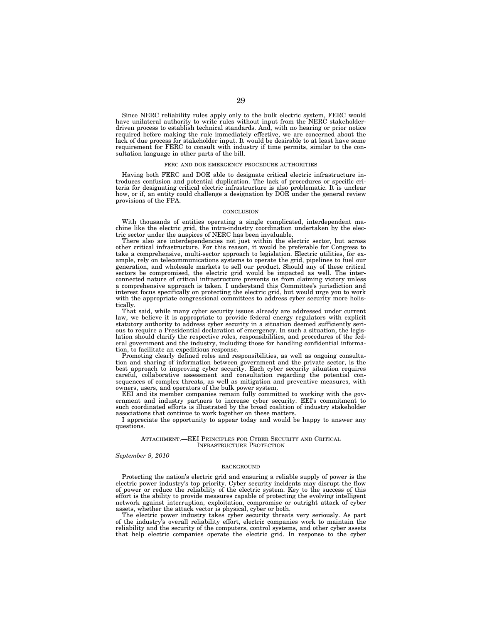Since NERC reliability rules apply only to the bulk electric system, FERC would have unilateral authority to write rules without input from the NERC stakeholderdriven process to establish technical standards. And, with no hearing or prior notice required before making the rule immediately effective, we are concerned about the lack of due process for stakeholder input. It would be desirable to at least have some requirement for FERC to consult with industry if time permits, similar to the consultation language in other parts of the bill.

#### FERC AND DOE EMERGENCY PROCEDURE AUTHORITIES

Having both FERC and DOE able to designate critical electric infrastructure introduces confusion and potential duplication. The lack of procedures or specific criteria for designating critical electric infrastructure is also problematic. It is unclear how, or if, an entity could challenge a designation by DOE under the general review provisions of the FPA.

#### **CONCLUSION**

With thousands of entities operating a single complicated, interdependent machine like the electric grid, the intra-industry coordination undertaken by the electric sector under the auspices of NERC has been invaluable.

There also are interdependencies not just within the electric sector, but across other critical infrastructure. For this reason, it would be preferable for Congress to take a comprehensive, multi-sector approach to legislation. Electric utilities, for example, rely on telecommunications systems to operate the grid, pipelines to fuel our generation, and wholesale markets to sell our product. Should any of these critical sectors be compromised, the electric grid would be impacted as well. The interconnected nature of critical infrastructure prevents us from claiming victory unless a comprehensive approach is taken. I understand this Committee's jurisdiction and interest focus specifically on protecting the electric grid, but would urge you to work with the appropriate congressional committees to address cyber security more holistically.

That said, while many cyber security issues already are addressed under current law, we believe it is appropriate to provide federal energy regulators with explicit statutory authority to address cyber security in a situation deemed sufficiently serious to require a Presidential declaration of emergency. In such a situation, the legislation should clarify the respective roles, responsibilities, and procedures of the federal government and the industry, including those for handling confidential information, to facilitate an expeditious response.

Promoting clearly defined roles and responsibilities, as well as ongoing consultation and sharing of information between government and the private sector, is the best approach to improving cyber security. Each cyber security situation requires careful, collaborative assessment and consultation regarding the potential consequences of complex threats, as well as mitigation and preventive measures, with owners, users, and operators of the bulk power system.

EEI and its member companies remain fully committed to working with the government and industry partners to increase cyber security. EEI's commitment to such coordinated efforts is illustrated by the broad coalition of industry stakeholder associations that continue to work together on these matters.

I appreciate the opportunity to appear today and would be happy to answer any questions.

#### ATTACHMENT.—EEI PRINCIPLES FOR CYBER SECURITY AND CRITICAL INFRASTRUCTURE PROTECTION

## *September 9, 2010*

#### **BACKGROUND**

Protecting the nation's electric grid and ensuring a reliable supply of power is the electric power industry's top priority. Cyber security incidents may disrupt the flow of power or reduce the reliability of the electric system. Key to the success of this effort is the ability to provide measures capable of protecting the evolving intelligent network against interruption, exploitation, compromise or outright attack of cyber assets, whether the attack vector is physical, cyber or both.

The electric power industry takes cyber security threats very seriously. As part of the industry's overall reliability effort, electric companies work to maintain the reliability and the security of the computers, control systems, and other cyber assets that help electric companies operate the electric grid. In response to the cyber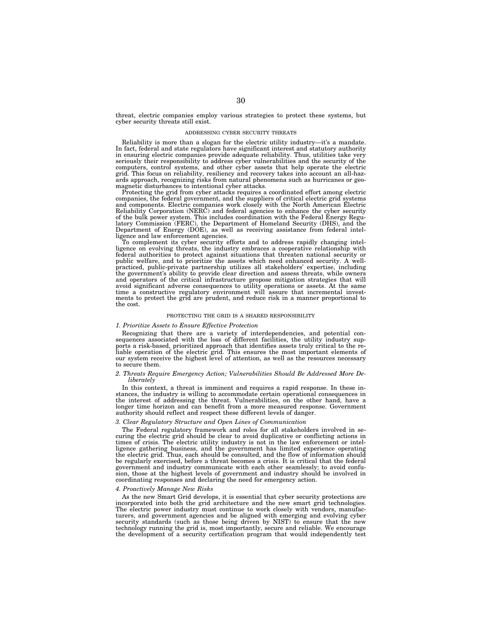threat, electric companies employ various strategies to protect these systems, but cyber security threats still exist.

#### ADDRESSING CYBER SECURITY THREATS

Reliability is more than a slogan for the electric utility industry—it's a mandate. In fact, federal and state regulators have significant interest and statutory authority in ensuring electric companies provide adequate reliability. Thus, utilities take very seriously their responsibility to address cyber vulnerabilities and the security of the computers, control systems, and other cyber assets that help operate the electric grid. This focus on reliability, resiliency and recovery takes into account an all-hazards approach, recognizing risks from natural phenomena such as hurricanes or geomagnetic disturbances to intentional cyber attacks.

Protecting the grid from cyber attacks requires a coordinated effort among electric companies, the federal government, and the suppliers of critical electric grid systems and components. Electric companies work closely with the North American Electric Reliability Corporation (NERC) and federal agencies to enhance the cyber security of the bulk power system. This includes coordination with the Federal Energy Regulatory Commission (FERC), the Department of Homeland Security (DHS), and the Department of Energy (DOE), as well as receiving assistance from ligence and law enforcement agencies.

To complement its cyber security efforts and to address rapidly changing intelligence on evolving threats, the industry embraces a cooperative relationship with federal authorities to protect against situations that threaten national security or public welfare, and to prioritize the assets which need enhanced security. A wellpracticed, public-private partnership utilizes all stakeholders' expertise, including the government's ability to provide clear direction and assess threats, while owners and operators of the critical infrastructure propose mitigation strategies that will avoid significant adverse consequences to utility operations or assets. At the same time a constructive regulatory environment will assure that incremental invest-ments to protect the grid are prudent, and reduce risk in a manner proportional to the cost.

#### PROTECTING THE GRID IS A SHARED RESPONSIBILITY

#### *1. Prioritize Assets to Ensure Effective Protection*

Recognizing that there are a variety of interdependencies, and potential con-<br>sequences associated with the loss of different facilities, the utility industry supports a risk-based, prioritized approach that identifies assets truly critical to the re-liable operation of the electric grid. This ensures the most important elements of our system receive the highest level of attention, as well as the resources necessary to secure them.

#### *2. Threats Require Emergency Action; Vulnerabilities Should Be Addressed More Deliberately*

In this context, a threat is imminent and requires a rapid response. In these instances, the industry is willing to accommodate certain operational consequences in the interest of addressing the threat. Vulnerabilities, on the other hand, have a longer time horizon and can benefit from a more measured response. Government authority should reflect and respect these different levels of danger.

#### *3. Clear Regulatory Structure and Open Lines of Communication*

The Federal regulatory framework and roles for all stakeholders involved in securing the electric grid should be clear to avoid duplicative or conflicting actions in times of crisis. The electric utility industry is not in the law enforcement or intelligence gathering business, and the government has limited experience operating the electric grid. Thus, each should be consulted, and the flow of information should be regularly exercised, before a threat becomes a crisis. It is critical that the federal government and industry communicate with each other seamlessly; to avoid confusion, those at the highest levels of government and industry should be involved in coordinating responses and declaring the need for emergency action.

#### *4. Proactively Manage New Risks*

As the new Smart Grid develops, it is essential that cyber security protections are incorporated into both the grid architecture and the new smart grid technologies. The electric power industry must continue to work closely with vendors, manufacturers, and government agencies and be aligned with emerging and evolving cyber security standards (such as those being driven by NIST) to ensure that the new technology running the grid is, most importantly, secure and reliable. We encourage the development of a security certification program that would independently test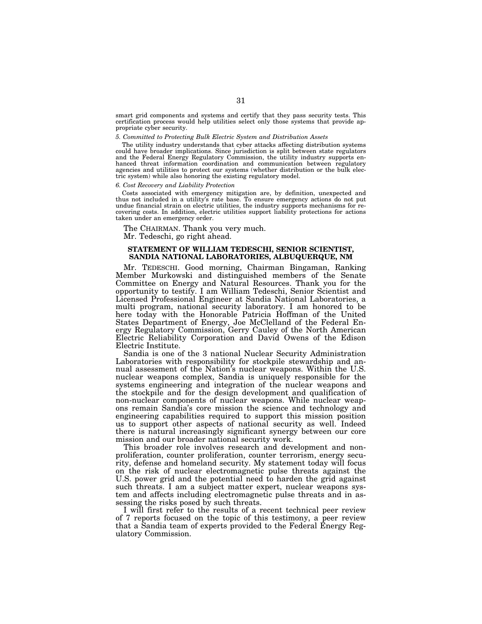smart grid components and systems and certify that they pass security tests. This certification process would help utilities select only those systems that provide appropriate cyber security.

#### *5. Committed to Protecting Bulk Electric System and Distribution Assets*

The utility industry understands that cyber attacks affecting distribution systems could have broader implications. Since jurisdiction is split between state regulators and the Federal Energy Regulatory Commission, the utility industry supports enhanced threat information coordination and communication between regulatory agencies and utilities to protect our systems (whether distribution or the bulk electric system) while also honoring the existing regulatory model.

#### *6. Cost Recovery and Liability Protection*

Costs associated with emergency mitigation are, by definition, unexpected and thus not included in a utility's rate base. To ensure emergency actions do not put undue financial strain on electric utilities, the industry supports mechanisms for recovering costs. In addition, electric utilities support liability protections for actions taken under an emergency order.

The CHAIRMAN. Thank you very much. Mr. Tedeschi, go right ahead.

# **STATEMENT OF WILLIAM TEDESCHI, SENIOR SCIENTIST, SANDIA NATIONAL LABORATORIES, ALBUQUERQUE, NM**

Mr. TEDESCHI. Good morning, Chairman Bingaman, Ranking Member Murkowski and distinguished members of the Senate Committee on Energy and Natural Resources. Thank you for the opportunity to testify. I am William Tedeschi, Senior Scientist and Licensed Professional Engineer at Sandia National Laboratories, a multi program, national security laboratory. I am honored to be here today with the Honorable Patricia Hoffman of the United States Department of Energy, Joe McClelland of the Federal Energy Regulatory Commission, Gerry Cauley of the North American Electric Reliability Corporation and David Owens of the Edison Electric Institute.

Sandia is one of the 3 national Nuclear Security Administration Laboratories with responsibility for stockpile stewardship and annual assessment of the Nation's nuclear weapons. Within the U.S. nuclear weapons complex, Sandia is uniquely responsible for the systems engineering and integration of the nuclear weapons and the stockpile and for the design development and qualification of non-nuclear components of nuclear weapons. While nuclear weapons remain Sandia's core mission the science and technology and engineering capabilities required to support this mission position us to support other aspects of national security as well. Indeed there is natural increasingly significant synergy between our core mission and our broader national security work.

This broader role involves research and development and nonproliferation, counter proliferation, counter terrorism, energy security, defense and homeland security. My statement today will focus on the risk of nuclear electromagnetic pulse threats against the U.S. power grid and the potential need to harden the grid against such threats. I am a subject matter expert, nuclear weapons system and affects including electromagnetic pulse threats and in assessing the risks posed by such threats.

I will first refer to the results of a recent technical peer review of 7 reports focused on the topic of this testimony, a peer review that a Sandia team of experts provided to the Federal Energy Regulatory Commission.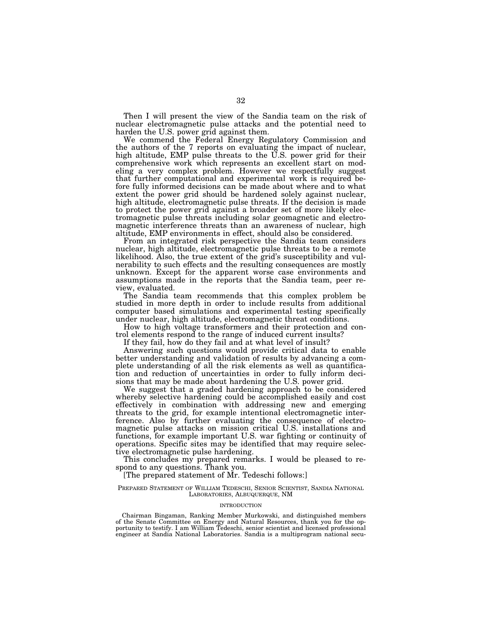Then I will present the view of the Sandia team on the risk of nuclear electromagnetic pulse attacks and the potential need to harden the U.S. power grid against them.

We commend the Federal Energy Regulatory Commission and the authors of the 7 reports on evaluating the impact of nuclear, high altitude, EMP pulse threats to the U.S. power grid for their comprehensive work which represents an excellent start on modeling a very complex problem. However we respectfully suggest that further computational and experimental work is required before fully informed decisions can be made about where and to what extent the power grid should be hardened solely against nuclear, high altitude, electromagnetic pulse threats. If the decision is made to protect the power grid against a broader set of more likely electromagnetic pulse threats including solar geomagnetic and electromagnetic interference threats than an awareness of nuclear, high altitude, EMP environments in effect, should also be considered.

From an integrated risk perspective the Sandia team considers nuclear, high altitude, electromagnetic pulse threats to be a remote likelihood. Also, the true extent of the grid's susceptibility and vulnerability to such effects and the resulting consequences are mostly unknown. Except for the apparent worse case environments and assumptions made in the reports that the Sandia team, peer review, evaluated.

The Sandia team recommends that this complex problem be studied in more depth in order to include results from additional computer based simulations and experimental testing specifically under nuclear, high altitude, electromagnetic threat conditions.

How to high voltage transformers and their protection and control elements respond to the range of induced current insults?

If they fail, how do they fail and at what level of insult?

Answering such questions would provide critical data to enable better understanding and validation of results by advancing a complete understanding of all the risk elements as well as quantification and reduction of uncertainties in order to fully inform decisions that may be made about hardening the U.S. power grid.

We suggest that a graded hardening approach to be considered whereby selective hardening could be accomplished easily and cost effectively in combination with addressing new and emerging threats to the grid, for example intentional electromagnetic interference. Also by further evaluating the consequence of electromagnetic pulse attacks on mission critical U.S. installations and functions, for example important U.S. war fighting or continuity of operations. Specific sites may be identified that may require selective electromagnetic pulse hardening.

This concludes my prepared remarks. I would be pleased to respond to any questions. Thank you.

# [The prepared statement of Mr. Tedeschi follows:]

#### PREPARED STATEMENT OF WILLIAM TEDESCHI, SENIOR SCIENTIST, SANDIA NATIONAL LABORATORIES, ALBUQUERQUE, NM

## INTRODUCTION

Chairman Bingaman, Ranking Member Murkowski, and distinguished members of the Senate Committee on Energy and Natural Resources, thank you for the opportunity to testify. I am William Tedeschi, senior scientist and licensed professional engineer at Sandia National Laboratories. Sandia is a multiprogram national secu-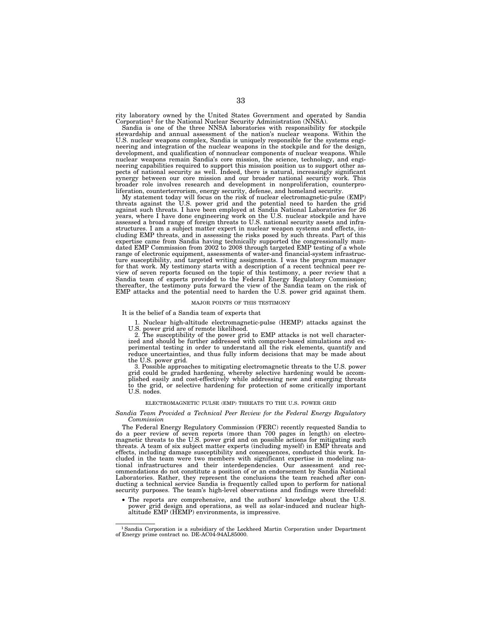rity laboratory owned by the United States Government and operated by Sandia Corporation<sup>1</sup> for the National Nuclear Security Administration (NNSA).

Sandia is one of the three NNSA laboratories with responsibility for stockpile stewardship and annual assessment of the nation's nuclear weapons. Within the U.S. nuclear weapons complex, Sandia is uniquely responsible for the systems engineering and integration of the nuclear weapons in the stockpile and for the design, development, and qualification of nonnuclear components of nuclear weapons. While nuclear weapons remain Sandia's core mission, the science, technology, and engineering capabilities required to support this mission position us to support other aspects of national security as well. Indeed, there is natural, increasingly significant synergy between our core mission and our broader national security work. This broader role involves research and development in nonproliferation, counterproliferation, counterterrorism, energy security, defense, and homeland security.

My statement today will focus on the risk of nuclear electromagnetic-pulse (EMP) threats against the U.S. power grid and the potential need to harden the grid against such threats. I have been employed at Sandia National Laboratories for 26 years, where I have done engineering work on the U.S. nuclear stockpile and have assessed a broad range of foreign threats to U.S. national security assets and infrastructures. I am a subject matter expert in nuclear weapon systems and effects, including EMP threats, and in assessing the risks posed by such threats. Part of this expertise came from Sandia having technically supported the congressionally mandated EMP Commission from 2002 to 2008 through targeted EMP testing of a whole range of electronic equipment, assessments of water-and financial-system infrastructure susceptibility, and targeted writing assignments. I was the program manager for that work. My testimony starts with a description of a recent technical peer review of seven reports focused on the topic of this testimony, a peer review that a Sandia team of experts provided to the Federal Energy Regulatory Commission; thereafter, the testimony puts forward the view of the Sandia team on the risk of EMP attacks and the potential need to harden the U.S. power grid against them.

#### MAJOR POINTS OF THIS TESTIMONY

## It is the belief of a Sandia team of experts that

1. Nuclear high-altitude electromagnetic-pulse (HEMP) attacks against the U.S. power grid are of remote likelihood.

2. The susceptibility of the power grid to EMP attacks is not well characterized and should be further addressed with computer-based simulations and experimental testing in order to understand all the risk elements, quantify and reduce uncertainties, and thus fully inform decisions that may be made about the U.S. power grid.

3. Possible approaches to mitigating electromagnetic threats to the U.S. power grid could be graded hardening, whereby selective hardening would be accomplished easily and cost-effectively while addressing new and emerging threats to the grid, or selective hardening for protection of some critically important U.S. nodes.

## ELECTROMAGNETIC PULSE (EMP) THREATS TO THE U.S. POWER GRID

#### *Sandia Team Provided a Technical Peer Review for the Federal Energy Regulatory Commission*

The Federal Energy Regulatory Commission (FERC) recently requested Sandia to do a peer review of seven reports (more than 700 pages in length) on electromagnetic threats to the U.S. power grid and on possible actions for mitigating such threats. A team of six subject matter experts (including myself) in EMP threats and effects, including damage susceptibility and consequences, conducted this work. Included in the team were two members with significant expertise in modeling national infrastructures and their interdependencies. Our assessment and recommendations do not constitute a position of or an endorsement by Sandia National Laboratories. Rather, they represent the conclusions the team reached after conducting a technical service Sandia is frequently called upon to perform for national security purposes. The team's high-level observations and findings were threefold:

• The reports are comprehensive, and the authors' knowledge about the U.S. power grid design and operations, as well as solar-induced and nuclear highaltitude EMP (HEMP) environments, is impressive.

<sup>1</sup>Sandia Corporation is a subsidiary of the Lockheed Martin Corporation under Department of Energy prime contract no. DE-AC04-94AL85000.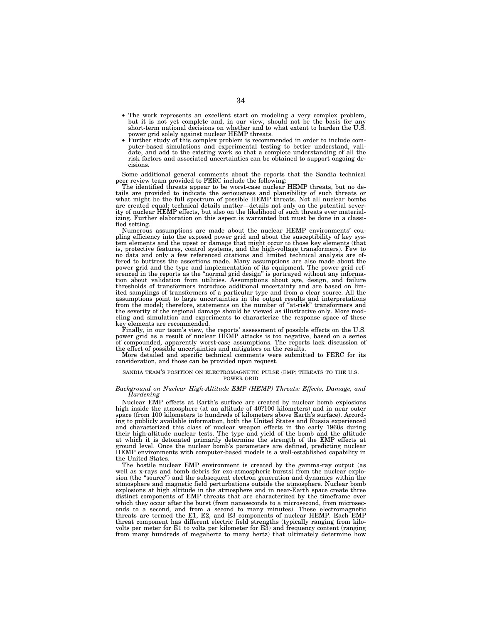- The work represents an excellent start on modeling a very complex problem, but it is not yet complete and, in our view, should not be the basis for any short-term national decisions on whether and to what extent to harden the U.S. power grid solely against nuclear HEMP threats.
- Further study of this complex problem is recommended in order to include computer-based simulations and experimental testing to better understand, validate, and add to the existing work so that a complete understanding of all the risk factors and associated uncertainties can be obtained to support ongoing decisions.

Some additional general comments about the reports that the Sandia technical peer review team provided to FERC include the following:

The identified threats appear to be worst-case nuclear HEMP threats, but no details are provided to indicate the seriousness and plausibility of such threats or what might be the full spectrum of possible HEMP threats. Not all nuclear bombs are created equal; technical details matter—details not only on the potential severity of nuclear HEMP effects, but also on the likelihood of such threats ever materializing. Further elaboration on this aspect is warranted but must be done in a classified setting.

Numerous assumptions are made about the nuclear HEMP environments' coupling efficiency into the exposed power grid and about the susceptibility of key system elements and the upset or damage that might occur to those key elements (that is, protective features, control systems, and the high-voltage transformers). Few to no data and only a few referenced citations and limited technical analysis are offered to buttress the assertions made. Many assumptions are also made about the power grid and the type and implementation of its equipment. The power grid ref-erenced in the reports as the ''normal grid design'' is portrayed without any information about validation from utilities. Assumptions about age, design, and failure thresholds of transformers introduce additional uncertainty and are based on limited samplings of transformers of a particular type and from a clear source. All the assumptions point to large uncertainties in the output results and interpretations from the model; therefore, statements on the number of "at-risk" transformers and the severity of the regional damage should be viewed as illustrative only. More modeling and simulation and experiments to characterize the response space of these

key elements are recommended. Finally, in our team's view, the reports' assessment of possible effects on the U.S. power grid as a result of nuclear HEMP attacks is too negative, based on a series of compounded, apparently worst-case assumptions. The reports lack discussion of the effect of possible uncertainties and mitigators on the results.

More detailed and specific technical comments were submitted to FERC for its consideration, and those can be provided upon request.

# SANDIA TEAM'S POSITION ON ELECTROMAGNETIC PULSE (EMP) THREATS TO THE U.S. POWER GRID

## *Background on Nuclear High-Altitude EMP (HEMP) Threats: Effects, Damage, and Hardening*

Nuclear EMP effects at Earth's surface are created by nuclear bomb explosions high inside the atmosphere (at an altitude of 40?100 kilometers) and in near outer space (from 100 kilometers to hundreds of kilometers above Earth's surface). According to publicly available information, both the United States and Russia experienced and characterized this class of nuclear weapon effects in the early 1960s during their high-altitude nuclear tests. The type and yield of the bomb and the altitude at which it is detonated primarily determine the strength of the EMP effects at ground level. Once the nuclear bomb's parameters are defined, predicting nuclear HEMP environments with computer-based models is a well-established capability in the United States.

The hostile nuclear EMP environment is created by the gamma-ray output (as well as x-rays and bomb debris for exo-atmospheric bursts) from the nuclear explosion (the ''source'') and the subsequent electron generation and dynamics within the atmosphere and magnetic field perturbations outside the atmosphere. Nuclear bomb explosions at high altitude in the atmosphere and in near-Earth space create three distinct components of EMP threats that are characterized by the timeframe over which they occur after the burst (from nanoseconds to a microsecond, from microseconds to a second, and from a second to many minutes). These electromagnetic threats are termed the E1, E2, and E3 components of nuclear HEMP. Each EMP threat component has different electric field strengths (typically ranging from kilo-volts per meter for E1 to volts per kilometer for E3) and frequency content (ranging from many hundreds of megahertz to many hertz) that ultimately determine how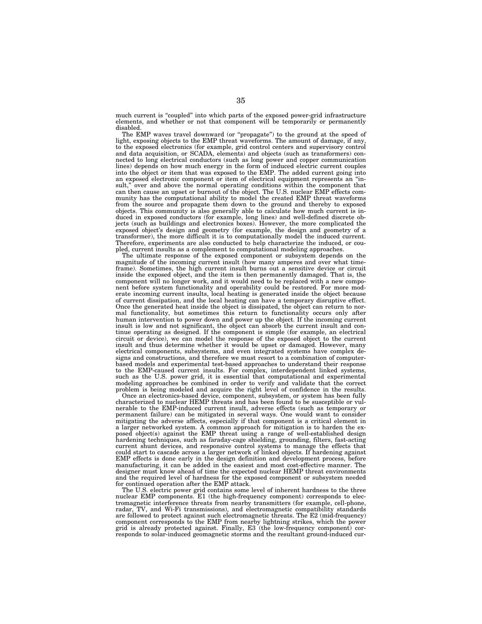much current is "coupled" into which parts of the exposed power-grid infrastructure elements, and whether or not that component will be temporarily or permanently disabled.

The EMP waves travel downward (or ''propagate'') to the ground at the speed of light, exposing objects to the EMP threat waveforms. The amount of damage, if any, to the exposed electronics (for example, grid control centers and supervisory control and data acquisition, or SCADA, elements) and objects (such as transformers) connected to long electrical conductors (such as long power and copper communication lines) depends on how much energy in the form of induced electric current couples into the object or item that was exposed to the EMP. The added current going into an exposed electronic component or item of electrical equipment represents an "in-<br>sult," over and above the normal operating conditions within the component that over and above the normal operating conditions within the component that can then cause an upset or burnout of the object. The U.S. nuclear EMP effects community has the computational ability to model the created EMP threat waveforms from the source and propagate them down to the ground and thereby to exposed objects. This community is also generally able to calculate how much current is induced in exposed conductors (for example, long lines) and well-defined discrete objects (such as buildings and electronics boxes). However, the more complicated the exposed object's design and geometry (for example, the design and geometry of a transformer), the more difficult it is to computationally model the induced current. Therefore, experiments are also conducted to help characterize the induced, or coupled, current insults as a complement to computational modeling approaches.

The ultimate response of the exposed component or subsystem depends on the magnitude of the incoming current insult (how many amperes and over what timeframe). Sometimes, the high current insult burns out a sensitive device or circuit inside the exposed object, and the item is then permanently damaged. That is, the component will no longer work, and it would need to be replaced with a new component before system functionality and operability could be restored. For more moderate incoming current insults, local heating is generated inside the object because of current dissipation, and the local heating can have a temporary disruptive effect. Once the generated heat inside the object is dissipated, the object can return to normal functionality, but sometimes this return to functionality occurs only after human intervention to power down and power up the object. If the incoming current insult is low and not significant, the object can absorb the current insult and continue operating as designed. If the component is simple (for example, an electrical circuit or device), we can model the response of the exposed object to the current insult and thus determine whether it would be upset or damaged. However, many electrical components, subsystems, and even integrated systems have complex designs and constructions, and therefore we must resort to a combination of computerbased models and experimental test-based approaches to understand their response to the EMP-caused current insults. For complex, interdependent linked systems, such as the U.S. power grid, it is essential that computational and experimental modeling approaches be combined in order to verify and validate that the correct problem is being modeled and acquire the right level of confidence in the results.

Once an electronics-based device, component, subsystem, or system has been fully characterized to nuclear HEMP threats and has been found to be susceptible or vulnerable to the EMP-induced current insult, adverse effects (such as temporary or permanent failure) can be mitigated in several ways. One would want to consider mitigating the adverse affects, especially if that component is a critical element in a larger networked system. A common approach for mitigation is to harden the exposed object(s) against the EMP threat using a range of well-established design hardening techniques, such as faraday-cage shielding, grounding, filters, fast-acting current shunt devices, and responsive control systems to manage the effects that could start to cascade across a larger network of linked objects. If hardening against EMP effects is done early in the design definition and development process, before manufacturing, it can be added in the easiest and most cost-effective manner. The designer must know ahead of time the expected nuclear HEMP threat environments and the required level of hardness for the exposed component or subsystem needed for continued operation after the EMP attack.

The U.S. electric power grid contains some level of inherent hardness to the three nuclear EMP components. E1 (the high-frequency component) corresponds to electromagnetic interference threats from nearby transmitters (for example, cell-phone, radar, TV, and Wi-Fi transmissions), and electromagnetic compatibility standards are followed to protect against such electromagnetic threats. The E2 (mid-frequency) component corresponds to the EMP from nearby lightning strikes, which the power grid is already protected against. Finally, E3 (the low-frequency component) corresponds to solar-induced geomagnetic storms and the resultant ground-induced cur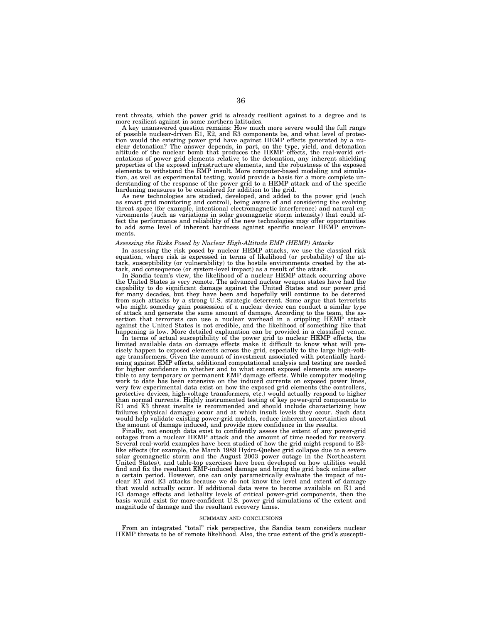rent threats, which the power grid is already resilient against to a degree and is more resilient against in some northern latitudes.

A key unanswered question remains: How much more severe would the full range of possible nuclear-driven E1, E2, and E3 components be, and what level of protection would the existing power grid have against HEMP effects generated by a nu-<br>clear detonation? The answer depends, in part, on the type, yield, and detonation<br>altitude of the nuclear bomb that produces the HEMP effects, entations of power grid elements relative to the detonation, any inherent shielding properties of the exposed infrastructure elements, and the robustness of the exposed elements to withstand the EMP insult. More computer-based modeling and simulation, as well as experimental testing, would provide a basis for a more complete understanding of the response of the power grid to a HEMP attack and of the specific hardening measures to be considered for addition to the grid.

As new technologies are studied, developed, and added to the power grid (such as smart grid monitoring and control), being aware of and considering the evolving threat space (for example, intentional electromagnetic interference) and natural environments (such as variations in solar geomagnetic storm intensity) that could affect the performance and reliability of the new technologies may offer opportunities to add some level of inherent hardness against specific nuclear HEMP environments.

## *Assessing the Risks Posed by Nuclear High-Altitude EMP (HEMP) Attacks*

In assessing the risk posed by nuclear HEMP attacks, we use the classical risk equation, where risk is expressed in terms of likelihood (or probability) of the attack, susceptibility (or vulnerability) to the hostile environments created by the attack, and consequence (or system-level impact) as a result of the attack.

In Sandia team's view, the likelihood of a nuclear HEMP attack occurring above the United States is very remote. The advanced nuclear weapon states have had the capability to do significant damage against the United States and our power grid for many decades, but they have been and hopefully will continue to be deterred from such attacks by a strong U.S. strategic deterrent. Some argue that terrorists who might someday gain possession of a nuclear device can conduct a similar type of attack and generate the same amount of damage. According to the team, the as-sertion that terrorists can use a nuclear warhead in a crippling HEMP attack against the United States is not credible, and the likelihood of something like that happening is low. More detailed explanation can be provided in a classified venue.

In terms of actual susceptibility of the power grid to nuclear HEMP effects, the limited available data on damage effects make it difficult to know what will precisely happen to exposed elements across the grid, especially to the large high-voltage transformers. Given the amount of investment associated with potentially hardening against EMP effects, additional computational analysis and testing are needed for higher confidence in whether and to what extent exposed elements are susceptible to any temporary or permanent EMP damage effects. While computer modeling work to date has been extensive on the induced currents on exposed power lines, very few experimental data exist on how the exposed grid elements (the controllers, protective devices, high-voltage transformers, etc.) would actually respond to higher than normal currents. Highly instrumented testing of key power-grid components to E1 and E3 threat insults is recommended and should include characterizing how failures (physical damage) occur and at which insult levels they occur. Such data would help validate existing power-grid models, reduce inherent uncertainties about

the amount of damage induced, and provide more confidence in the results. Finally, not enough data exist to confidently assess the extent of any power-grid outages from a nuclear HEMP attack and the amount of time needed for recovery. Several real-world examples have been studied of how the grid might respond to E3 like effects (for example, the March 1989 Hydro-Quebec grid collapse due to a severe solar geomagnetic storm and the August 2003 power outage in the Northeastern United States), and table-top exercises have been developed on how utilities would find and fix the resultant EMP-induced damage and bring the grid back online after a certain period. However, one can only parametrically evaluate the impact of nuclear E1 and E3 attacks because we do not know the level and extent of damage that would actually occur. If additional data were to become available on E1 and E3 damage effects and lethality levels of critical power-grid components, then the basis would exist for more-confident U.S. power grid simulations of the extent and magnitude of damage and the resultant recovery times.

## SUMMARY AND CONCLUSIONS

From an integrated "total" risk perspective, the Sandia team considers nuclear HEMP threats to be of remote likelihood. Also, the true extent of the grid's suscepti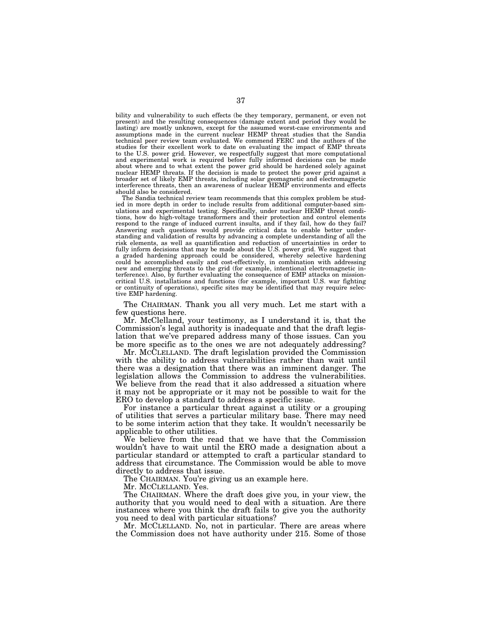bility and vulnerability to such effects (be they temporary, permanent, or even not present) and the resulting consequences (damage extent and period they would be lasting) are mostly unknown, except for the assumed worst-case environments and assumptions made in the current nuclear HEMP threat studies that the Sandia technical peer review team evaluated. We commend FERC and the authors of the studies for their excellent work to date on evaluating the impact of EMP threats to the U.S. power grid. However, we respectfully suggest that more computational and experimental work is required before fully informed decisions can be made about where and to what extent the power grid should be hardened solely against nuclear HEMP threats. If the decision is made to protect the power grid against a broader set of likely EMP threats, including solar geomagnetic and electromagnetic interference threats, then an awareness of nuclear HEMP environments and effects should also be considered.

The Sandia technical review team recommends that this complex problem be studied in more depth in order to include results from additional computer-based simulations and experimental testing. Specifically, under nuclear HEMP threat conditions, how do high-voltage transformers and their protection and control elements respond to the range of induced current insults, and if they fail, how do they fail? Answering such questions would provide critical data to enable better understanding and validation of results by advancing a complete understanding of all the risk elements, as well as quantification and reduction of uncertainties in order to fully inform decisions that may be made about the U.S. power grid. We suggest that a graded hardening approach could be considered, whereby selective hardening could be accomplished easily and cost-effectively, in combination with addressing new and emerging threats to the grid (for example, intentional electromagnetic interference). Also, by further evaluating the consequence of EMP attacks on missioncritical U.S. installations and functions (for example, important U.S. war fighting or continuity of operations), specific sites may be identified that may require selective EMP hardening.

The CHAIRMAN. Thank you all very much. Let me start with a few questions here.

Mr. McClelland, your testimony, as I understand it is, that the Commission's legal authority is inadequate and that the draft legislation that we've prepared address many of those issues. Can you be more specific as to the ones we are not adequately addressing?

Mr. MCCLELLAND. The draft legislation provided the Commission with the ability to address vulnerabilities rather than wait until there was a designation that there was an imminent danger. The legislation allows the Commission to address the vulnerabilities. We believe from the read that it also addressed a situation where it may not be appropriate or it may not be possible to wait for the ERO to develop a standard to address a specific issue.

For instance a particular threat against a utility or a grouping of utilities that serves a particular military base. There may need to be some interim action that they take. It wouldn't necessarily be applicable to other utilities.

We believe from the read that we have that the Commission wouldn't have to wait until the ERO made a designation about a particular standard or attempted to craft a particular standard to address that circumstance. The Commission would be able to move directly to address that issue.

The CHAIRMAN. You're giving us an example here.

Mr. MCCLELLAND. Yes.

The CHAIRMAN. Where the draft does give you, in your view, the authority that you would need to deal with a situation. Are there instances where you think the draft fails to give you the authority you need to deal with particular situations?

Mr. MCCLELLAND. No, not in particular. There are areas where the Commission does not have authority under 215. Some of those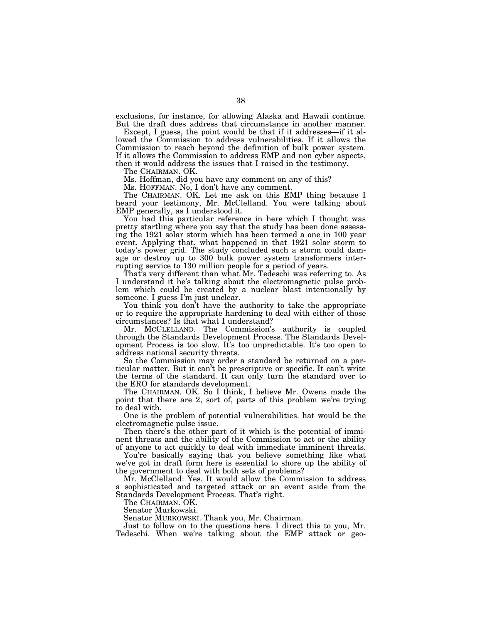exclusions, for instance, for allowing Alaska and Hawaii continue. But the draft does address that circumstance in another manner.

Except, I guess, the point would be that if it addresses—if it allowed the Commission to address vulnerabilities. If it allows the Commission to reach beyond the definition of bulk power system. If it allows the Commission to address EMP and non cyber aspects, then it would address the issues that I raised in the testimony.

The CHAIRMAN. OK.

Ms. Hoffman, did you have any comment on any of this?

Ms. HOFFMAN. No, I don't have any comment.

The CHAIRMAN. OK. Let me ask on this EMP thing because I heard your testimony, Mr. McClelland. You were talking about EMP generally, as I understood it.

You had this particular reference in here which I thought was pretty startling where you say that the study has been done assessing the 1921 solar storm which has been termed a one in 100 year event. Applying that, what happened in that 1921 solar storm to today's power grid. The study concluded such a storm could damage or destroy up to 300 bulk power system transformers interrupting service to 130 million people for a period of years.

That's very different than what Mr. Tedeschi was referring to. As I understand it he's talking about the electromagnetic pulse problem which could be created by a nuclear blast intentionally by someone. I guess I'm just unclear.

You think you don't have the authority to take the appropriate or to require the appropriate hardening to deal with either of those circumstances? Is that what I understand?

Mr. MCCLELLAND. The Commission's authority is coupled through the Standards Development Process. The Standards Development Process is too slow. It's too unpredictable. It's too open to address national security threats.

So the Commission may order a standard be returned on a particular matter. But it can't be prescriptive or specific. It can't write the terms of the standard. It can only turn the standard over to the ERO for standards development.

The CHAIRMAN. OK. So I think, I believe Mr. Owens made the point that there are 2, sort of, parts of this problem we're trying to deal with.

One is the problem of potential vulnerabilities. hat would be the electromagnetic pulse issue.

Then there's the other part of it which is the potential of imminent threats and the ability of the Commission to act or the ability of anyone to act quickly to deal with immediate imminent threats.

You're basically saying that you believe something like what we've got in draft form here is essential to shore up the ability of the government to deal with both sets of problems?

Mr. McClelland: Yes. It would allow the Commission to address a sophisticated and targeted attack or an event aside from the Standards Development Process. That's right.

The CHAIRMAN. OK.

Senator Murkowski.

Senator MURKOWSKI. Thank you, Mr. Chairman.

Just to follow on to the questions here. I direct this to you, Mr. Tedeschi. When we're talking about the EMP attack or geo-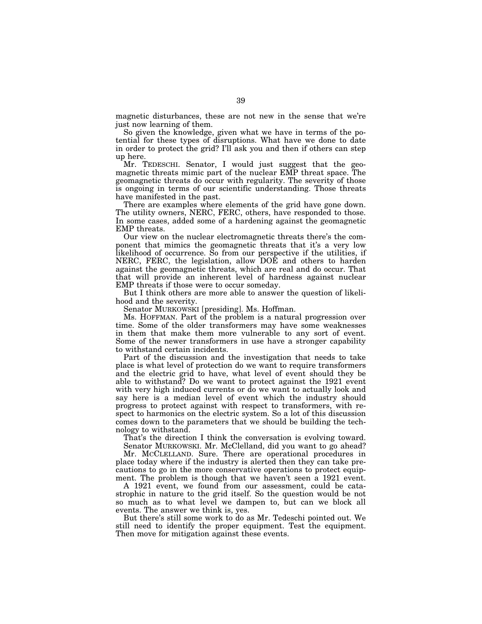magnetic disturbances, these are not new in the sense that we're just now learning of them.

So given the knowledge, given what we have in terms of the potential for these types of disruptions. What have we done to date in order to protect the grid? I'll ask you and then if others can step up here.

Mr. TEDESCHI. Senator, I would just suggest that the geomagnetic threats mimic part of the nuclear EMP threat space. The geomagnetic threats do occur with regularity. The severity of those is ongoing in terms of our scientific understanding. Those threats have manifested in the past.

There are examples where elements of the grid have gone down. The utility owners, NERC, FERC, others, have responded to those. In some cases, added some of a hardening against the geomagnetic EMP threats.

Our view on the nuclear electromagnetic threats there's the component that mimics the geomagnetic threats that it's a very low likelihood of occurrence. So from our perspective if the utilities, if NERC, FERC, the legislation, allow DOE and others to harden against the geomagnetic threats, which are real and do occur. That that will provide an inherent level of hardness against nuclear EMP threats if those were to occur someday.

But I think others are more able to answer the question of likelihood and the severity.

Senator MURKOWSKI [presiding]. Ms. Hoffman.

Ms. HOFFMAN. Part of the problem is a natural progression over time. Some of the older transformers may have some weaknesses in them that make them more vulnerable to any sort of event. Some of the newer transformers in use have a stronger capability to withstand certain incidents.

Part of the discussion and the investigation that needs to take place is what level of protection do we want to require transformers and the electric grid to have, what level of event should they be able to withstand? Do we want to protect against the 1921 event with very high induced currents or do we want to actually look and say here is a median level of event which the industry should progress to protect against with respect to transformers, with respect to harmonics on the electric system. So a lot of this discussion comes down to the parameters that we should be building the technology to withstand.

That's the direction I think the conversation is evolving toward. Senator MURKOWSKI. Mr. McClelland, did you want to go ahead?

Mr. MCCLELLAND. Sure. There are operational procedures in place today where if the industry is alerted then they can take precautions to go in the more conservative operations to protect equipment. The problem is though that we haven't seen a 1921 event.

A 1921 event, we found from our assessment, could be catastrophic in nature to the grid itself. So the question would be not so much as to what level we dampen to, but can we block all events. The answer we think is, yes.

But there's still some work to do as Mr. Tedeschi pointed out. We still need to identify the proper equipment. Test the equipment. Then move for mitigation against these events.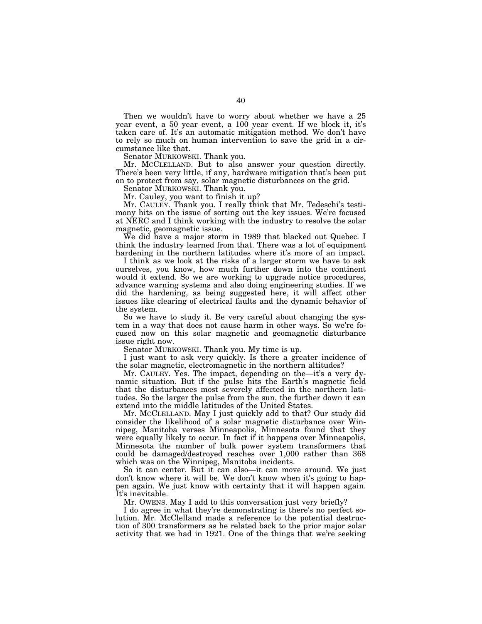Then we wouldn't have to worry about whether we have a 25 year event, a 50 year event, a 100 year event. If we block it, it's taken care of. It's an automatic mitigation method. We don't have to rely so much on human intervention to save the grid in a circumstance like that.

Senator MURKOWSKI. Thank you.

Mr. MCCLELLAND. But to also answer your question directly. There's been very little, if any, hardware mitigation that's been put on to protect from say, solar magnetic disturbances on the grid.

Senator MURKOWSKI. Thank you.

Mr. Cauley, you want to finish it up?

Mr. CAULEY. Thank you. I really think that Mr. Tedeschi's testimony hits on the issue of sorting out the key issues. We're focused at NERC and I think working with the industry to resolve the solar magnetic, geomagnetic issue.

We did have a major storm in 1989 that blacked out Quebec. I think the industry learned from that. There was a lot of equipment hardening in the northern latitudes where it's more of an impact.

I think as we look at the risks of a larger storm we have to ask ourselves, you know, how much further down into the continent would it extend. So we are working to upgrade notice procedures, advance warning systems and also doing engineering studies. If we did the hardening, as being suggested here, it will affect other issues like clearing of electrical faults and the dynamic behavior of the system.

So we have to study it. Be very careful about changing the system in a way that does not cause harm in other ways. So we're focused now on this solar magnetic and geomagnetic disturbance issue right now.

Senator MURKOWSKI. Thank you. My time is up.

I just want to ask very quickly. Is there a greater incidence of the solar magnetic, electromagnetic in the northern altitudes?

Mr. CAULEY. Yes. The impact, depending on the—it's a very dynamic situation. But if the pulse hits the Earth's magnetic field that the disturbances most severely affected in the northern latitudes. So the larger the pulse from the sun, the further down it can extend into the middle latitudes of the United States.

Mr. MCCLELLAND. May I just quickly add to that? Our study did consider the likelihood of a solar magnetic disturbance over Winnipeg, Manitoba verses Minneapolis, Minnesota found that they were equally likely to occur. In fact if it happens over Minneapolis, Minnesota the number of bulk power system transformers that could be damaged/destroyed reaches over 1,000 rather than 368 which was on the Winnipeg, Manitoba incidents.

So it can center. But it can also—it can move around. We just don't know where it will be. We don't know when it's going to happen again. We just know with certainty that it will happen again. It's inevitable.

Mr. OWENS. May I add to this conversation just very briefly?

I do agree in what they're demonstrating is there's no perfect solution. Mr. McClelland made a reference to the potential destruction of 300 transformers as he related back to the prior major solar activity that we had in 1921. One of the things that we're seeking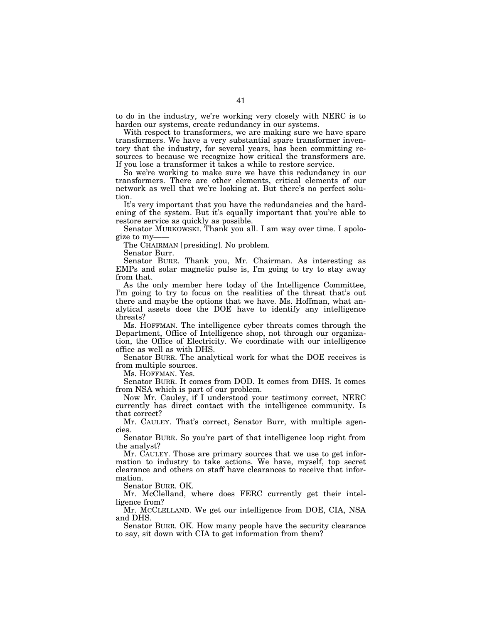to do in the industry, we're working very closely with NERC is to harden our systems, create redundancy in our systems.

With respect to transformers, we are making sure we have spare transformers. We have a very substantial spare transformer inventory that the industry, for several years, has been committing resources to because we recognize how critical the transformers are. If you lose a transformer it takes a while to restore service.

So we're working to make sure we have this redundancy in our transformers. There are other elements, critical elements of our network as well that we're looking at. But there's no perfect solution.

It's very important that you have the redundancies and the hardening of the system. But it's equally important that you're able to restore service as quickly as possible.

Senator MURKOWSKI. Thank you all. I am way over time. I apologize to my-

The CHAIRMAN [presiding]. No problem.

Senator Burr.

Senator BURR. Thank you, Mr. Chairman. As interesting as EMPs and solar magnetic pulse is, I'm going to try to stay away from that.

As the only member here today of the Intelligence Committee, I'm going to try to focus on the realities of the threat that's out there and maybe the options that we have. Ms. Hoffman, what analytical assets does the DOE have to identify any intelligence threats?

Ms. HOFFMAN. The intelligence cyber threats comes through the Department, Office of Intelligence shop, not through our organization, the Office of Electricity. We coordinate with our intelligence office as well as with DHS.

Senator BURR. The analytical work for what the DOE receives is from multiple sources.

Ms. HOFFMAN. Yes.

Senator BURR. It comes from DOD. It comes from DHS. It comes from NSA which is part of our problem.

Now Mr. Cauley, if I understood your testimony correct, NERC currently has direct contact with the intelligence community. Is that correct?

Mr. CAULEY. That's correct, Senator Burr, with multiple agencies.

Senator BURR. So you're part of that intelligence loop right from the analyst?

Mr. CAULEY. Those are primary sources that we use to get information to industry to take actions. We have, myself, top secret clearance and others on staff have clearances to receive that information.

Senator BURR. OK.

Mr. McClelland, where does FERC currently get their intelligence from?

Mr. MCCLELLAND. We get our intelligence from DOE, CIA, NSA and DHS.

Senator BURR. OK. How many people have the security clearance to say, sit down with CIA to get information from them?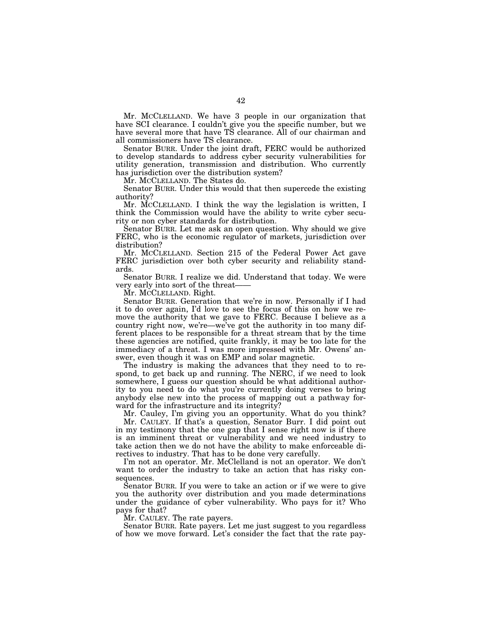Mr. MCCLELLAND. We have 3 people in our organization that have SCI clearance. I couldn't give you the specific number, but we have several more that have TS clearance. All of our chairman and all commissioners have TS clearance.

Senator BURR. Under the joint draft, FERC would be authorized to develop standards to address cyber security vulnerabilities for utility generation, transmission and distribution. Who currently has jurisdiction over the distribution system?

Mr. MCCLELLAND. The States do.

Senator BURR. Under this would that then supercede the existing authority?

Mr. MCCLELLAND. I think the way the legislation is written, I think the Commission would have the ability to write cyber security or non cyber standards for distribution.

Senator BURR. Let me ask an open question. Why should we give FERC, who is the economic regulator of markets, jurisdiction over distribution?

Mr. MCCLELLAND. Section 215 of the Federal Power Act gave FERC jurisdiction over both cyber security and reliability standards.

Senator BURR. I realize we did. Understand that today. We were very early into sort of the threat-

Mr. MCCLELLAND. Right.

Senator BURR. Generation that we're in now. Personally if I had it to do over again, I'd love to see the focus of this on how we remove the authority that we gave to FERC. Because I believe as a country right now, we're—we've got the authority in too many different places to be responsible for a threat stream that by the time these agencies are notified, quite frankly, it may be too late for the immediacy of a threat. I was more impressed with Mr. Owens' answer, even though it was on EMP and solar magnetic.

The industry is making the advances that they need to to respond, to get back up and running. The NERC, if we need to look somewhere, I guess our question should be what additional authority to you need to do what you're currently doing verses to bring anybody else new into the process of mapping out a pathway forward for the infrastructure and its integrity?

Mr. Cauley, I'm giving you an opportunity. What do you think?

Mr. CAULEY. If that's a question, Senator Burr. I did point out in my testimony that the one gap that I sense right now is if there is an imminent threat or vulnerability and we need industry to take action then we do not have the ability to make enforceable directives to industry. That has to be done very carefully.

I'm not an operator. Mr. McClelland is not an operator. We don't want to order the industry to take an action that has risky consequences.

Senator BURR. If you were to take an action or if we were to give you the authority over distribution and you made determinations under the guidance of cyber vulnerability. Who pays for it? Who pays for that?

Mr. CAULEY. The rate payers.

Senator BURR. Rate payers. Let me just suggest to you regardless of how we move forward. Let's consider the fact that the rate pay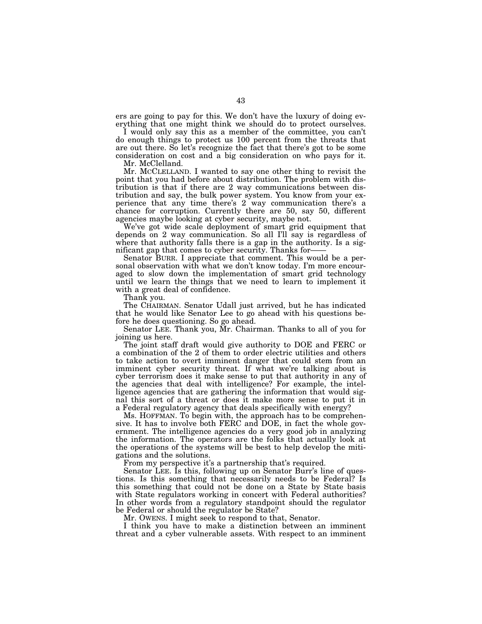ers are going to pay for this. We don't have the luxury of doing everything that one might think we should do to protect ourselves.

I would only say this as a member of the committee, you can't do enough things to protect us 100 percent from the threats that are out there. So let's recognize the fact that there's got to be some consideration on cost and a big consideration on who pays for it.

Mr. McClelland.

Mr. MCCLELLAND. I wanted to say one other thing to revisit the point that you had before about distribution. The problem with distribution is that if there are 2 way communications between distribution and say, the bulk power system. You know from your experience that any time there's 2 way communication there's a chance for corruption. Currently there are 50, say 50, different agencies maybe looking at cyber security, maybe not.

We've got wide scale deployment of smart grid equipment that depends on 2 way communication. So all I'll say is regardless of where that authority falls there is a gap in the authority. Is a significant gap that comes to cyber security. Thanks for——

Senator BURR. I appreciate that comment. This would be a personal observation with what we don't know today. I'm more encouraged to slow down the implementation of smart grid technology until we learn the things that we need to learn to implement it with a great deal of confidence.

Thank you.

The CHAIRMAN. Senator Udall just arrived, but he has indicated that he would like Senator Lee to go ahead with his questions before he does questioning. So go ahead.

Senator LEE. Thank you, Mr. Chairman. Thanks to all of you for joining us here.

The joint staff draft would give authority to DOE and FERC or a combination of the 2 of them to order electric utilities and others to take action to overt imminent danger that could stem from an imminent cyber security threat. If what we're talking about is cyber terrorism does it make sense to put that authority in any of the agencies that deal with intelligence? For example, the intelligence agencies that are gathering the information that would signal this sort of a threat or does it make more sense to put it in a Federal regulatory agency that deals specifically with energy?

Ms. HOFFMAN. To begin with, the approach has to be comprehensive. It has to involve both FERC and DOE, in fact the whole government. The intelligence agencies do a very good job in analyzing the information. The operators are the folks that actually look at the operations of the systems will be best to help develop the mitigations and the solutions.

From my perspective it's a partnership that's required.

Senator LEE. Is this, following up on Senator Burr's line of questions. Is this something that necessarily needs to be Federal? Is this something that could not be done on a State by State basis with State regulators working in concert with Federal authorities? In other words from a regulatory standpoint should the regulator be Federal or should the regulator be State?

Mr. OWENS. I might seek to respond to that, Senator.

I think you have to make a distinction between an imminent threat and a cyber vulnerable assets. With respect to an imminent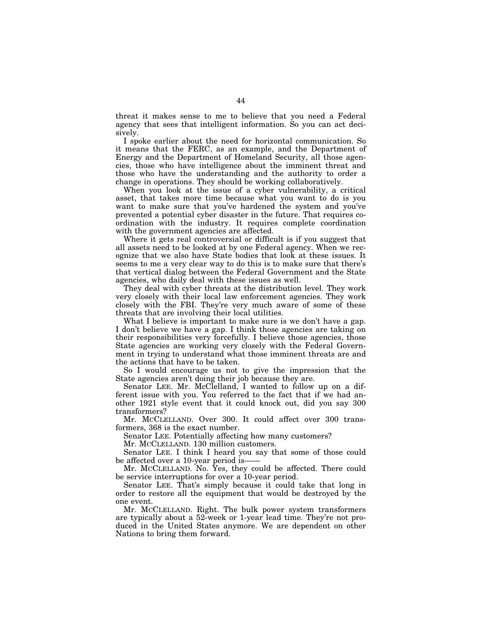threat it makes sense to me to believe that you need a Federal agency that sees that intelligent information. So you can act decisively.

I spoke earlier about the need for horizontal communication. So it means that the FERC, as an example, and the Department of Energy and the Department of Homeland Security, all those agencies, those who have intelligence about the imminent threat and those who have the understanding and the authority to order a change in operations. They should be working collaboratively.

When you look at the issue of a cyber vulnerability, a critical asset, that takes more time because what you want to do is you want to make sure that you've hardened the system and you've prevented a potential cyber disaster in the future. That requires coordination with the industry. It requires complete coordination with the government agencies are affected.

Where it gets real controversial or difficult is if you suggest that all assets need to be looked at by one Federal agency. When we recognize that we also have State bodies that look at these issues. It seems to me a very clear way to do this is to make sure that there's that vertical dialog between the Federal Government and the State agencies, who daily deal with these issues as well.

They deal with cyber threats at the distribution level. They work very closely with their local law enforcement agencies. They work closely with the FBI. They're very much aware of some of these threats that are involving their local utilities.

What I believe is important to make sure is we don't have a gap. I don't believe we have a gap. I think those agencies are taking on their responsibilities very forcefully. I believe those agencies, those State agencies are working very closely with the Federal Government in trying to understand what those imminent threats are and the actions that have to be taken.

So I would encourage us not to give the impression that the State agencies aren't doing their job because they are.

Senator LEE. Mr. McClelland, I wanted to follow up on a different issue with you. You referred to the fact that if we had another 1921 style event that it could knock out, did you say 300 transformers?

Mr. MCCLELLAND. Over 300. It could affect over 300 transformers, 368 is the exact number.

Senator LEE. Potentially affecting how many customers?

Mr. MCCLELLAND. 130 million customers.

Senator LEE. I think I heard you say that some of those could be affected over a 10-year period is-

Mr. MCCLELLAND. No. Yes, they could be affected. There could be service interruptions for over a 10-year period.

Senator LEE. That's simply because it could take that long in order to restore all the equipment that would be destroyed by the one event.

Mr. MCCLELLAND. Right. The bulk power system transformers are typically about a 52-week or 1-year lead time. They're not produced in the United States anymore. We are dependent on other Nations to bring them forward.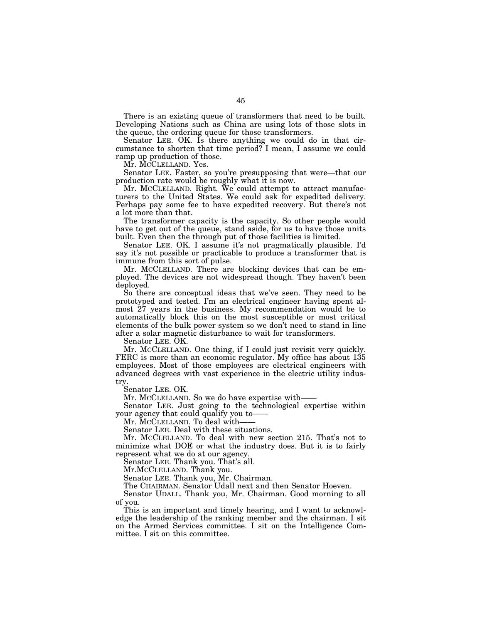There is an existing queue of transformers that need to be built. Developing Nations such as China are using lots of those slots in the queue, the ordering queue for those transformers.

Senator LEE. OK. Is there anything we could do in that circumstance to shorten that time period? I mean, I assume we could ramp up production of those.

Mr. MCCLELLAND. Yes.

Senator LEE. Faster, so you're presupposing that were—that our production rate would be roughly what it is now.

Mr. MCCLELLAND. Right. We could attempt to attract manufacturers to the United States. We could ask for expedited delivery. Perhaps pay some fee to have expedited recovery. But there's not a lot more than that.

The transformer capacity is the capacity. So other people would have to get out of the queue, stand aside, for us to have those units built. Even then the through put of those facilities is limited.

Senator LEE. OK. I assume it's not pragmatically plausible. I'd say it's not possible or practicable to produce a transformer that is immune from this sort of pulse.

Mr. MCCLELLAND. There are blocking devices that can be employed. The devices are not widespread though. They haven't been deployed.

So there are conceptual ideas that we've seen. They need to be prototyped and tested. I'm an electrical engineer having spent almost 27 years in the business. My recommendation would be to automatically block this on the most susceptible or most critical elements of the bulk power system so we don't need to stand in line after a solar magnetic disturbance to wait for transformers.

Senator LEE. OK.

Mr. MCCLELLAND. One thing, if I could just revisit very quickly. FERC is more than an economic regulator. My office has about 135 employees. Most of those employees are electrical engineers with advanced degrees with vast experience in the electric utility industry.

Senator LEE. OK.

Mr. MCCLELLAND. So we do have expertise with-

Senator LEE. Just going to the technological expertise within your agency that could qualify you to——

Mr. MCCLELLAND. To deal with-

Senator LEE. Deal with these situations.

Mr. MCCLELLAND. To deal with new section 215. That's not to minimize what DOE or what the industry does. But it is to fairly represent what we do at our agency.

Senator LEE. Thank you. That's all.

Mr.MCCLELLAND. Thank you.

Senator LEE. Thank you, Mr. Chairman.

The CHAIRMAN. Senator Udall next and then Senator Hoeven.

Senator UDALL. Thank you, Mr. Chairman. Good morning to all of you.

This is an important and timely hearing, and I want to acknowledge the leadership of the ranking member and the chairman. I sit on the Armed Services committee. I sit on the Intelligence Committee. I sit on this committee.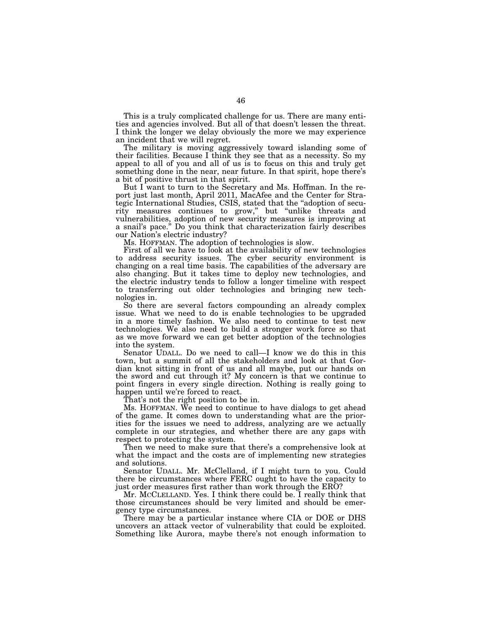This is a truly complicated challenge for us. There are many entities and agencies involved. But all of that doesn't lessen the threat. I think the longer we delay obviously the more we may experience an incident that we will regret.

The military is moving aggressively toward islanding some of their facilities. Because I think they see that as a necessity. So my appeal to all of you and all of us is to focus on this and truly get something done in the near, near future. In that spirit, hope there's a bit of positive thrust in that spirit.

But I want to turn to the Secretary and Ms. Hoffman. In the report just last month, April 2011, MacAfee and the Center for Strategic International Studies, CSIS, stated that the ''adoption of security measures continues to grow,'' but ''unlike threats and vulnerabilities, adoption of new security measures is improving at a snail's pace.'' Do you think that characterization fairly describes our Nation's electric industry?

Ms. HOFFMAN. The adoption of technologies is slow.

First of all we have to look at the availability of new technologies to address security issues. The cyber security environment is changing on a real time basis. The capabilities of the adversary are also changing. But it takes time to deploy new technologies, and the electric industry tends to follow a longer timeline with respect to transferring out older technologies and bringing new technologies in.

So there are several factors compounding an already complex issue. What we need to do is enable technologies to be upgraded in a more timely fashion. We also need to continue to test new technologies. We also need to build a stronger work force so that as we move forward we can get better adoption of the technologies into the system.

Senator UDALL. Do we need to call—I know we do this in this town, but a summit of all the stakeholders and look at that Gordian knot sitting in front of us and all maybe, put our hands on the sword and cut through it? My concern is that we continue to point fingers in every single direction. Nothing is really going to happen until we're forced to react.

That's not the right position to be in.

Ms. HOFFMAN. We need to continue to have dialogs to get ahead of the game. It comes down to understanding what are the priorities for the issues we need to address, analyzing are we actually complete in our strategies, and whether there are any gaps with respect to protecting the system.

Then we need to make sure that there's a comprehensive look at what the impact and the costs are of implementing new strategies and solutions.

Senator UDALL. Mr. McClelland, if I might turn to you. Could there be circumstances where FERC ought to have the capacity to just order measures first rather than work through the ERO?

Mr. MCCLELLAND. Yes. I think there could be. I really think that those circumstances should be very limited and should be emergency type circumstances.

There may be a particular instance where CIA or DOE or DHS uncovers an attack vector of vulnerability that could be exploited. Something like Aurora, maybe there's not enough information to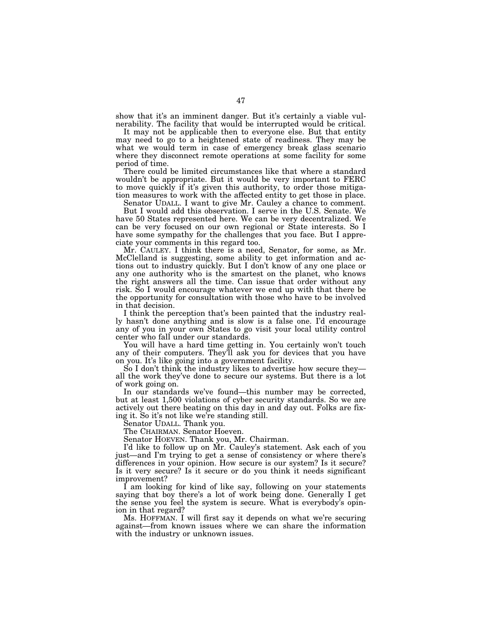show that it's an imminent danger. But it's certainly a viable vulnerability. The facility that would be interrupted would be critical.

It may not be applicable then to everyone else. But that entity may need to go to a heightened state of readiness. They may be what we would term in case of emergency break glass scenario where they disconnect remote operations at some facility for some period of time.

There could be limited circumstances like that where a standard wouldn't be appropriate. But it would be very important to FERC to move quickly if it's given this authority, to order those mitigation measures to work with the affected entity to get those in place.

Senator UDALL. I want to give Mr. Cauley a chance to comment. But I would add this observation. I serve in the U.S. Senate. We have 50 States represented here. We can be very decentralized. We can be very focused on our own regional or State interests. So I have some sympathy for the challenges that you face. But I appreciate your comments in this regard too.

Mr. CAULEY. I think there is a need, Senator, for some, as Mr. McClelland is suggesting, some ability to get information and actions out to industry quickly. But I don't know of any one place or any one authority who is the smartest on the planet, who knows the right answers all the time. Can issue that order without any risk. So I would encourage whatever we end up with that there be the opportunity for consultation with those who have to be involved in that decision.

I think the perception that's been painted that the industry really hasn't done anything and is slow is a false one. I'd encourage any of you in your own States to go visit your local utility control center who fall under our standards.

You will have a hard time getting in. You certainly won't touch any of their computers. They'll ask you for devices that you have on you. It's like going into a government facility.

So I don't think the industry likes to advertise how secure they all the work they've done to secure our systems. But there is a lot of work going on.

In our standards we've found—this number may be corrected, but at least 1,500 violations of cyber security standards. So we are actively out there beating on this day in and day out. Folks are fixing it. So it's not like we're standing still.

Senator UDALL. Thank you.

The CHAIRMAN. Senator Hoeven.

Senator HOEVEN. Thank you, Mr. Chairman.

I'd like to follow up on Mr. Cauley's statement. Ask each of you just—and I'm trying to get a sense of consistency or where there's differences in your opinion. How secure is our system? Is it secure? Is it very secure? Is it secure or do you think it needs significant improvement?

I am looking for kind of like say, following on your statements saying that boy there's a lot of work being done. Generally I get the sense you feel the system is secure. What is everybody's opinion in that regard?

Ms. HOFFMAN. I will first say it depends on what we're securing against—from known issues where we can share the information with the industry or unknown issues.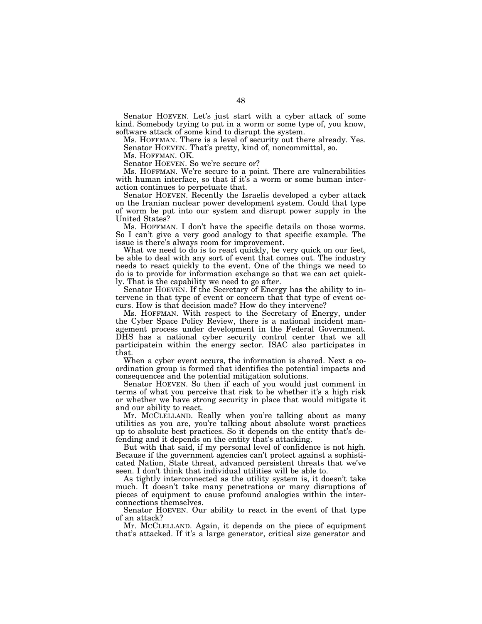Senator HOEVEN. Let's just start with a cyber attack of some kind. Somebody trying to put in a worm or some type of, you know, software attack of some kind to disrupt the system.

Ms. HOFFMAN. There is a level of security out there already. Yes. Senator HOEVEN. That's pretty, kind of, noncommittal, so.

Ms. HOFFMAN. OK.

Senator HOEVEN. So we're secure or?

Ms. HOFFMAN. We're secure to a point. There are vulnerabilities with human interface, so that if it's a worm or some human interaction continues to perpetuate that.

Senator HOEVEN. Recently the Israelis developed a cyber attack on the Iranian nuclear power development system. Could that type of worm be put into our system and disrupt power supply in the United States?

Ms. HOFFMAN. I don't have the specific details on those worms. So I can't give a very good analogy to that specific example. The issue is there's always room for improvement.

What we need to do is to react quickly, be very quick on our feet, be able to deal with any sort of event that comes out. The industry needs to react quickly to the event. One of the things we need to do is to provide for information exchange so that we can act quickly. That is the capability we need to go after.

Senator HOEVEN. If the Secretary of Energy has the ability to intervene in that type of event or concern that that type of event occurs. How is that decision made? How do they intervene?

Ms. HOFFMAN. With respect to the Secretary of Energy, under the Cyber Space Policy Review, there is a national incident management process under development in the Federal Government. DHS has a national cyber security control center that we all participatein within the energy sector. ISAC also participates in that.

When a cyber event occurs, the information is shared. Next a coordination group is formed that identifies the potential impacts and consequences and the potential mitigation solutions.

Senator HOEVEN. So then if each of you would just comment in terms of what you perceive that risk to be whether it's a high risk or whether we have strong security in place that would mitigate it and our ability to react.

Mr. MCCLELLAND. Really when you're talking about as many utilities as you are, you're talking about absolute worst practices up to absolute best practices. So it depends on the entity that's defending and it depends on the entity that's attacking.

But with that said, if my personal level of confidence is not high. Because if the government agencies can't protect against a sophisticated Nation, State threat, advanced persistent threats that we've seen. I don't think that individual utilities will be able to.

As tightly interconnected as the utility system is, it doesn't take much. It doesn't take many penetrations or many disruptions of pieces of equipment to cause profound analogies within the interconnections themselves.

Senator HOEVEN. Our ability to react in the event of that type of an attack?

Mr. MCCLELLAND. Again, it depends on the piece of equipment that's attacked. If it's a large generator, critical size generator and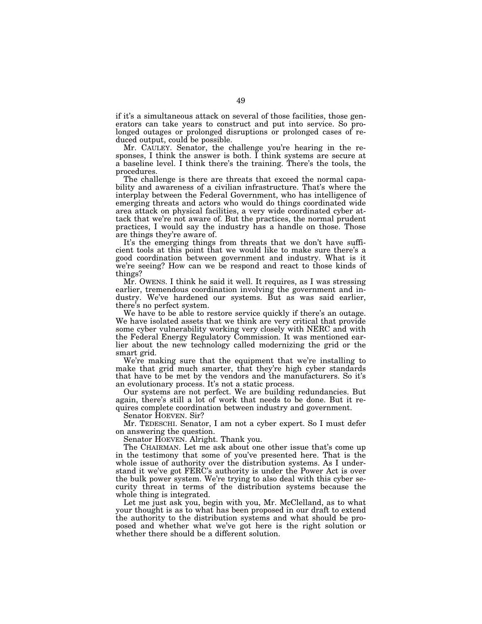if it's a simultaneous attack on several of those facilities, those generators can take years to construct and put into service. So prolonged outages or prolonged disruptions or prolonged cases of reduced output, could be possible.

Mr. CAULEY. Senator, the challenge you're hearing in the responses, I think the answer is both. I think systems are secure at a baseline level. I think there's the training. There's the tools, the procedures.

The challenge is there are threats that exceed the normal capability and awareness of a civilian infrastructure. That's where the interplay between the Federal Government, who has intelligence of emerging threats and actors who would do things coordinated wide area attack on physical facilities, a very wide coordinated cyber attack that we're not aware of. But the practices, the normal prudent practices, I would say the industry has a handle on those. Those are things they're aware of.

It's the emerging things from threats that we don't have sufficient tools at this point that we would like to make sure there's a good coordination between government and industry. What is it we're seeing? How can we be respond and react to those kinds of things?

Mr. OWENS. I think he said it well. It requires, as I was stressing earlier, tremendous coordination involving the government and industry. We've hardened our systems. But as was said earlier, there's no perfect system.

We have to be able to restore service quickly if there's an outage. We have isolated assets that we think are very critical that provide some cyber vulnerability working very closely with NERC and with the Federal Energy Regulatory Commission. It was mentioned earlier about the new technology called modernizing the grid or the smart grid.

We're making sure that the equipment that we're installing to make that grid much smarter, that they're high cyber standards that have to be met by the vendors and the manufacturers. So it's an evolutionary process. It's not a static process.

Our systems are not perfect. We are building redundancies. But again, there's still a lot of work that needs to be done. But it requires complete coordination between industry and government.

Senator HOEVEN. Sir?

Mr. TEDESCHI. Senator, I am not a cyber expert. So I must defer on answering the question.

Senator HOEVEN. Alright. Thank you.

The CHAIRMAN. Let me ask about one other issue that's come up in the testimony that some of you've presented here. That is the whole issue of authority over the distribution systems. As I understand it we've got FERC's authority is under the Power Act is over the bulk power system. We're trying to also deal with this cyber security threat in terms of the distribution systems because the whole thing is integrated.

Let me just ask you, begin with you, Mr. McClelland, as to what your thought is as to what has been proposed in our draft to extend the authority to the distribution systems and what should be proposed and whether what we've got here is the right solution or whether there should be a different solution.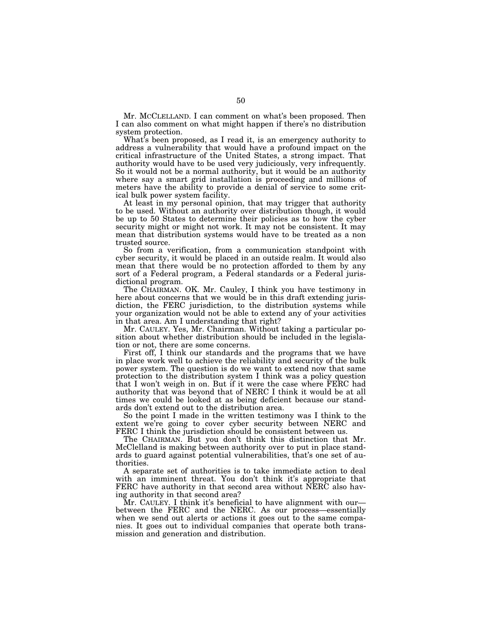Mr. MCCLELLAND. I can comment on what's been proposed. Then I can also comment on what might happen if there's no distribution system protection.

What's been proposed, as I read it, is an emergency authority to address a vulnerability that would have a profound impact on the critical infrastructure of the United States, a strong impact. That authority would have to be used very judiciously, very infrequently. So it would not be a normal authority, but it would be an authority where say a smart grid installation is proceeding and millions of meters have the ability to provide a denial of service to some critical bulk power system facility.

At least in my personal opinion, that may trigger that authority to be used. Without an authority over distribution though, it would be up to 50 States to determine their policies as to how the cyber security might or might not work. It may not be consistent. It may mean that distribution systems would have to be treated as a non trusted source.

So from a verification, from a communication standpoint with cyber security, it would be placed in an outside realm. It would also mean that there would be no protection afforded to them by any sort of a Federal program, a Federal standards or a Federal jurisdictional program.

The CHAIRMAN. OK. Mr. Cauley, I think you have testimony in here about concerns that we would be in this draft extending jurisdiction, the FERC jurisdiction, to the distribution systems while your organization would not be able to extend any of your activities in that area. Am I understanding that right?

Mr. CAULEY. Yes, Mr. Chairman. Without taking a particular position about whether distribution should be included in the legislation or not, there are some concerns.

First off, I think our standards and the programs that we have in place work well to achieve the reliability and security of the bulk power system. The question is do we want to extend now that same protection to the distribution system I think was a policy question that I won't weigh in on. But if it were the case where FERC had authority that was beyond that of NERC I think it would be at all times we could be looked at as being deficient because our standards don't extend out to the distribution area.

So the point I made in the written testimony was I think to the extent we're going to cover cyber security between NERC and FERC I think the jurisdiction should be consistent between us.

The CHAIRMAN. But you don't think this distinction that Mr. McClelland is making between authority over to put in place standards to guard against potential vulnerabilities, that's one set of authorities.

A separate set of authorities is to take immediate action to deal with an imminent threat. You don't think it's appropriate that FERC have authority in that second area without NERC also having authority in that second area?

Mr. CAULEY. I think it's beneficial to have alignment with our between the FERC and the NERC. As our process—essentially when we send out alerts or actions it goes out to the same companies. It goes out to individual companies that operate both transmission and generation and distribution.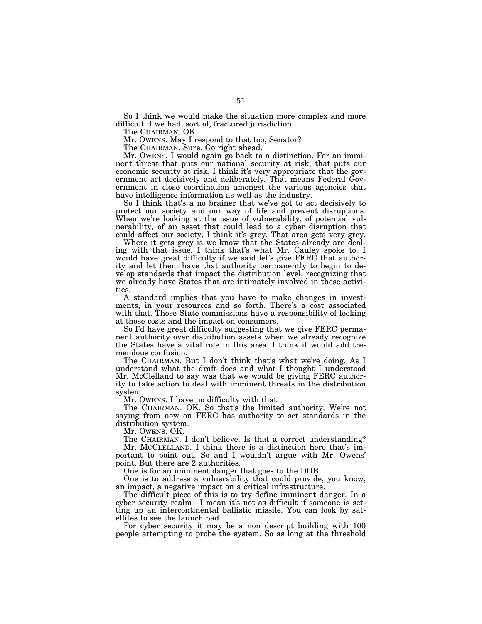So I think we would make the situation more complex and more difficult if we had, sort of, fractured jurisdiction.

The CHAIRMAN. OK.

Mr. OWENS. May I respond to that too, Senator?

The CHAIRMAN. Sure. Go right ahead.

Mr. OWENS. I would again go back to a distinction. For an imminent threat that puts our national security at risk, that puts our economic security at risk, I think it's very appropriate that the government act decisively and deliberately. That means Federal Government in close coordination amongst the various agencies that have intelligence information as well as the industry.

So I think that's a no brainer that we've got to act decisively to protect our society and our way of life and prevent disruptions. When we're looking at the issue of vulnerability, of potential vulnerability, of an asset that could lead to a cyber disruption that could affect our society, I think it's grey. That area gets very grey.

Where it gets grey is we know that the States already are dealing with that issue. I think that's what Mr. Cauley spoke to. I would have great difficulty if we said let's give FERC that authority and let them have that authority permanently to begin to develop standards that impact the distribution level, recognizing that we already have States that are intimately involved in these activities.

A standard implies that you have to make changes in investments, in your resources and so forth. There's a cost associated with that. Those State commissions have a responsibility of looking at those costs and the impact on consumers.

So I'd have great difficulty suggesting that we give FERC permanent authority over distribution assets when we already recognize the States have a vital role in this area. I think it would add tremendous confusion.

The CHAIRMAN. But I don't think that's what we're doing. As I understand what the draft does and what I thought I understood Mr. McClelland to say was that we would be giving FERC authority to take action to deal with imminent threats in the distribution system.

Mr. OWENS. I have no difficulty with that.

The CHAIRMAN. OK. So that's the limited authority. We're not saying from now on FERC has authority to set standards in the distribution system.

Mr. OWENS. OK.

The CHAIRMAN. I don't believe. Is that a correct understanding? Mr. MCCLELLAND. I think there is a distinction here that's important to point out. So and I wouldn't argue with Mr. Owens' point. But there are 2 authorities.

One is for an imminent danger that goes to the DOE.

One is to address a vulnerability that could provide, you know, an impact, a negative impact on a critical infrastructure.

The difficult piece of this is to try define imminent danger. In a cyber security realm—I mean it's not as difficult if someone is setting up an intercontinental ballistic missile. You can look by satellites to see the launch pad.

For cyber security it may be a non descript building with 100 people attempting to probe the system. So as long at the threshold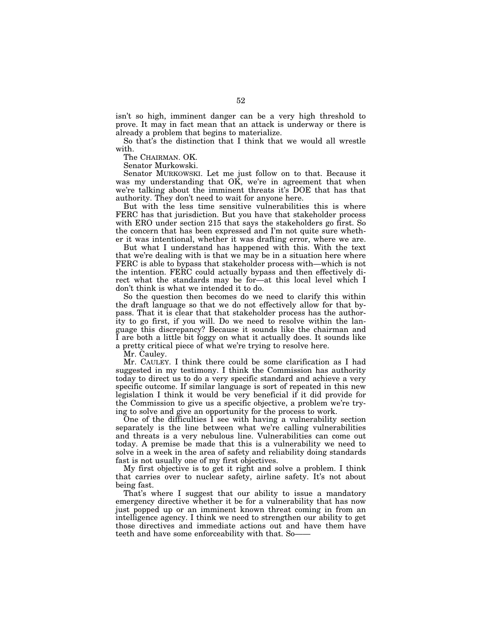isn't so high, imminent danger can be a very high threshold to prove. It may in fact mean that an attack is underway or there is already a problem that begins to materialize.

So that's the distinction that I think that we would all wrestle with.

The CHAIRMAN. OK.

Senator Murkowski.

Senator MURKOWSKI. Let me just follow on to that. Because it was my understanding that  $\overrightarrow{OK}$ , we're in agreement that when we're talking about the imminent threats it's DOE that has that authority. They don't need to wait for anyone here.

But with the less time sensitive vulnerabilities this is where FERC has that jurisdiction. But you have that stakeholder process with ERO under section 215 that says the stakeholders go first. So the concern that has been expressed and I'm not quite sure whether it was intentional, whether it was drafting error, where we are.

But what I understand has happened with this. With the text that we're dealing with is that we may be in a situation here where FERC is able to bypass that stakeholder process with—which is not the intention. FERC could actually bypass and then effectively direct what the standards may be for—at this local level which I don't think is what we intended it to do.

So the question then becomes do we need to clarify this within the draft language so that we do not effectively allow for that bypass. That it is clear that that stakeholder process has the authority to go first, if you will. Do we need to resolve within the language this discrepancy? Because it sounds like the chairman and I are both a little bit foggy on what it actually does. It sounds like a pretty critical piece of what we're trying to resolve here.

Mr. Cauley.

Mr. CAULEY. I think there could be some clarification as I had suggested in my testimony. I think the Commission has authority today to direct us to do a very specific standard and achieve a very specific outcome. If similar language is sort of repeated in this new legislation I think it would be very beneficial if it did provide for the Commission to give us a specific objective, a problem we're trying to solve and give an opportunity for the process to work.

One of the difficulties  $\overline{I}$  see with having a vulnerability section separately is the line between what we're calling vulnerabilities and threats is a very nebulous line. Vulnerabilities can come out today. A premise be made that this is a vulnerability we need to solve in a week in the area of safety and reliability doing standards fast is not usually one of my first objectives.

My first objective is to get it right and solve a problem. I think that carries over to nuclear safety, airline safety. It's not about being fast.

That's where I suggest that our ability to issue a mandatory emergency directive whether it be for a vulnerability that has now just popped up or an imminent known threat coming in from an intelligence agency. I think we need to strengthen our ability to get those directives and immediate actions out and have them have teeth and have some enforceability with that. So——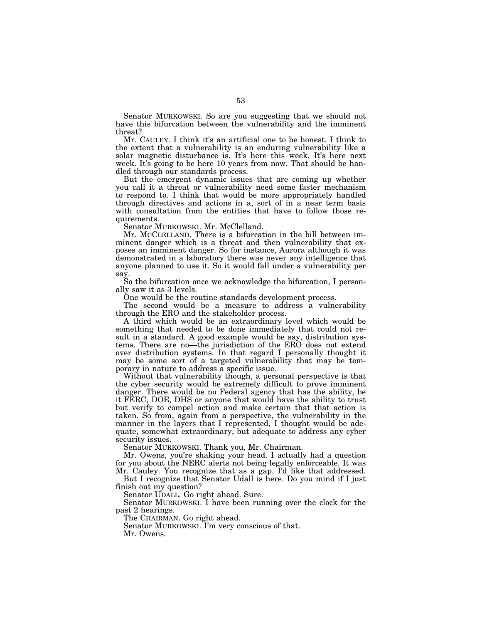Senator MURKOWSKI. So are you suggesting that we should not have this bifurcation between the vulnerability and the imminent threat?

Mr. CAULEY. I think it's an artificial one to be honest. I think to the extent that a vulnerability is an enduring vulnerability like a solar magnetic disturbance is. It's here this week. It's here next week. It's going to be here 10 years from now. That should be handled through our standards process.

But the emergent dynamic issues that are coming up whether you call it a threat or vulnerability need some faster mechanism to respond to. I think that would be more appropriately handled through directives and actions in a, sort of in a near term basis with consultation from the entities that have to follow those requirements.

Senator MURKOWSKI. Mr. McClelland.

Mr. MCCLELLAND. There is a bifurcation in the bill between imminent danger which is a threat and then vulnerability that exposes an imminent danger. So for instance, Aurora although it was demonstrated in a laboratory there was never any intelligence that anyone planned to use it. So it would fall under a vulnerability per say.

So the bifurcation once we acknowledge the bifurcation, I personally saw it as 3 levels.

One would be the routine standards development process.

The second would be a measure to address a vulnerability through the ERO and the stakeholder process.

A third which would be an extraordinary level which would be something that needed to be done immediately that could not result in a standard. A good example would be say, distribution systems. There are no—the jurisdiction of the ERO does not extend over distribution systems. In that regard I personally thought it may be some sort of a targeted vulnerability that may be temporary in nature to address a specific issue.

Without that vulnerability though, a personal perspective is that the cyber security would be extremely difficult to prove imminent danger. There would be no Federal agency that has the ability, be it FERC, DOE, DHS or anyone that would have the ability to trust but verify to compel action and make certain that that action is taken. So from, again from a perspective, the vulnerability in the manner in the layers that I represented, I thought would be adequate, somewhat extraordinary, but adequate to address any cyber security issues.

Senator MURKOWSKI. Thank you, Mr. Chairman.

Mr. Owens, you're shaking your head. I actually had a question for you about the NERC alerts not being legally enforceable. It was Mr. Cauley. You recognize that as a gap. I'd like that addressed.

But I recognize that Senator Udall is here. Do you mind if I just finish out my question?

Senator UDALL. Go right ahead. Sure.

Senator MURKOWSKI. I have been running over the clock for the past 2 hearings.

The CHAIRMAN. Go right ahead.

Senator MURKOWSKI. I'm very conscious of that. Mr. Owens.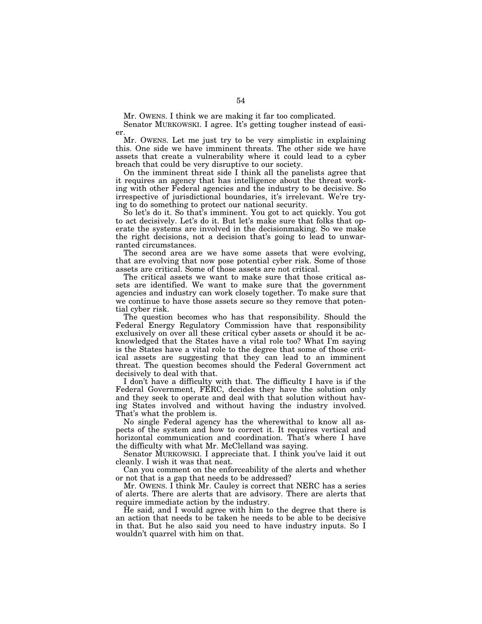Mr. OWENS. I think we are making it far too complicated.

Senator MURKOWSKI. I agree. It's getting tougher instead of easier.

Mr. OWENS. Let me just try to be very simplistic in explaining this. One side we have imminent threats. The other side we have assets that create a vulnerability where it could lead to a cyber breach that could be very disruptive to our society.

On the imminent threat side I think all the panelists agree that it requires an agency that has intelligence about the threat working with other Federal agencies and the industry to be decisive. So irrespective of jurisdictional boundaries, it's irrelevant. We're trying to do something to protect our national security.

So let's do it. So that's imminent. You got to act quickly. You got to act decisively. Let's do it. But let's make sure that folks that operate the systems are involved in the decisionmaking. So we make the right decisions, not a decision that's going to lead to unwarranted circumstances.

The second area are we have some assets that were evolving, that are evolving that now pose potential cyber risk. Some of those assets are critical. Some of those assets are not critical.

The critical assets we want to make sure that those critical assets are identified. We want to make sure that the government agencies and industry can work closely together. To make sure that we continue to have those assets secure so they remove that potential cyber risk.

The question becomes who has that responsibility. Should the Federal Energy Regulatory Commission have that responsibility exclusively on over all these critical cyber assets or should it be acknowledged that the States have a vital role too? What I'm saying is the States have a vital role to the degree that some of those critical assets are suggesting that they can lead to an imminent threat. The question becomes should the Federal Government act decisively to deal with that.

I don't have a difficulty with that. The difficulty I have is if the Federal Government, FERC, decides they have the solution only and they seek to operate and deal with that solution without having States involved and without having the industry involved. That's what the problem is.

No single Federal agency has the wherewithal to know all aspects of the system and how to correct it. It requires vertical and horizontal communication and coordination. That's where I have the difficulty with what Mr. McClelland was saying.

Senator MURKOWSKI. I appreciate that. I think you've laid it out cleanly. I wish it was that neat.

Can you comment on the enforceability of the alerts and whether or not that is a gap that needs to be addressed?

Mr. OWENS. I think Mr. Cauley is correct that NERC has a series of alerts. There are alerts that are advisory. There are alerts that require immediate action by the industry.

He said, and I would agree with him to the degree that there is an action that needs to be taken he needs to be able to be decisive in that. But he also said you need to have industry inputs. So I wouldn't quarrel with him on that.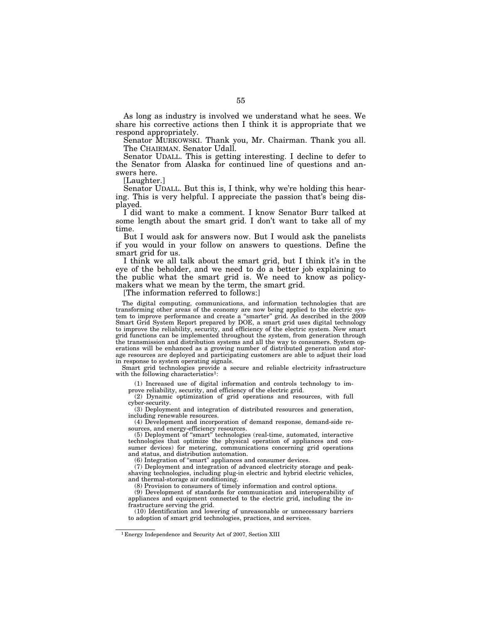As long as industry is involved we understand what he sees. We share his corrective actions then I think it is appropriate that we respond appropriately.

Senator MURKOWSKI. Thank you, Mr. Chairman. Thank you all. The CHAIRMAN. Senator Udall.

Senator UDALL. This is getting interesting. I decline to defer to the Senator from Alaska for continued line of questions and answers here.

[Laughter.]

Senator UDALL. But this is, I think, why we're holding this hearing. This is very helpful. I appreciate the passion that's being displayed.

I did want to make a comment. I know Senator Burr talked at some length about the smart grid. I don't want to take all of my time.

But I would ask for answers now. But I would ask the panelists if you would in your follow on answers to questions. Define the smart grid for us.

I think we all talk about the smart grid, but I think it's in the eye of the beholder, and we need to do a better job explaining to the public what the smart grid is. We need to know as policymakers what we mean by the term, the smart grid.

[The information referred to follows:]

The digital computing, communications, and information technologies that are transforming other areas of the economy are now being applied to the electric system to improve performance and create a ''smarter'' grid. As described in the 2009 Smart Grid System Report prepared by DOE, a smart grid uses digital technology to improve the reliability, security, and efficiency of the electric system. New smart grid functions can be implemented throughout the system, from generation through the transmission and distribution systems and all the way to consumers. System operations will be enhanced as a growing number of distributed generation and storage resources are deployed and participating customers are able to adjust their load in response to system operating signals.

Smart grid technologies provide a secure and reliable electricity infrastructure with the following characteristics<sup>1</sup>:

(1) Increased use of digital information and controls technology to im-

prove reliability, security, and efficiency of the electric grid.

(2) Dynamic optimization of grid operations and resources, with full cyber-security.

(3) Deployment and integration of distributed resources and generation, including renewable resources.

(4) Development and incorporation of demand response, demand-side resources, and energy-efficiency resources.

(5) Deployment of ''smart'' technologies (real-time, automated, interactive technologies that optimize the physical operation of appliances and consumer devices) for metering, communications concerning grid operations and status, and distribution automation.

(6) Integration of ''smart'' appliances and consumer devices.

(7) Deployment and integration of advanced electricity storage and peakshaving technologies, including plug-in electric and hybrid electric vehicles, and thermal-storage air conditioning.

(8) Provision to consumers of timely information and control options.

(9) Development of standards for communication and interoperability of appliances and equipment connected to the electric grid, including the infrastructure serving the grid.

(10) Identification and lowering of unreasonable or unnecessary barriers to adoption of smart grid technologies, practices, and services.

1 Energy Independence and Security Act of 2007, Section XIII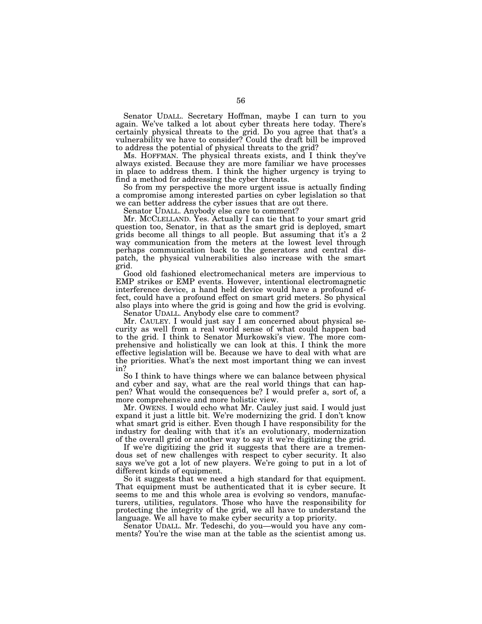Senator UDALL. Secretary Hoffman, maybe I can turn to you again. We've talked a lot about cyber threats here today. There's certainly physical threats to the grid. Do you agree that that's a vulnerability we have to consider? Could the draft bill be improved to address the potential of physical threats to the grid?

Ms. HOFFMAN. The physical threats exists, and I think they've always existed. Because they are more familiar we have processes in place to address them. I think the higher urgency is trying to find a method for addressing the cyber threats.

So from my perspective the more urgent issue is actually finding a compromise among interested parties on cyber legislation so that we can better address the cyber issues that are out there.

Senator UDALL. Anybody else care to comment?

Mr. MCCLELLAND. Yes. Actually I can tie that to your smart grid question too, Senator, in that as the smart grid is deployed, smart grids become all things to all people. But assuming that it's a 2 way communication from the meters at the lowest level through perhaps communication back to the generators and central dispatch, the physical vulnerabilities also increase with the smart grid.

Good old fashioned electromechanical meters are impervious to EMP strikes or EMP events. However, intentional electromagnetic interference device, a hand held device would have a profound effect, could have a profound effect on smart grid meters. So physical also plays into where the grid is going and how the grid is evolving.

Senator UDALL. Anybody else care to comment?

Mr. CAULEY. I would just say I am concerned about physical security as well from a real world sense of what could happen bad to the grid. I think to Senator Murkowski's view. The more comprehensive and holistically we can look at this. I think the more effective legislation will be. Because we have to deal with what are the priorities. What's the next most important thing we can invest in?

So I think to have things where we can balance between physical and cyber and say, what are the real world things that can happen? What would the consequences be? I would prefer a, sort of, a more comprehensive and more holistic view.

Mr. OWENS. I would echo what Mr. Cauley just said. I would just expand it just a little bit. We're modernizing the grid. I don't know what smart grid is either. Even though I have responsibility for the industry for dealing with that it's an evolutionary, modernization of the overall grid or another way to say it we're digitizing the grid.

If we're digitizing the grid it suggests that there are a tremendous set of new challenges with respect to cyber security. It also says we've got a lot of new players. We're going to put in a lot of different kinds of equipment.

So it suggests that we need a high standard for that equipment. That equipment must be authenticated that it is cyber secure. It seems to me and this whole area is evolving so vendors, manufacturers, utilities, regulators. Those who have the responsibility for protecting the integrity of the grid, we all have to understand the language. We all have to make cyber security a top priority.

Senator UDALL. Mr. Tedeschi, do you—would you have any comments? You're the wise man at the table as the scientist among us.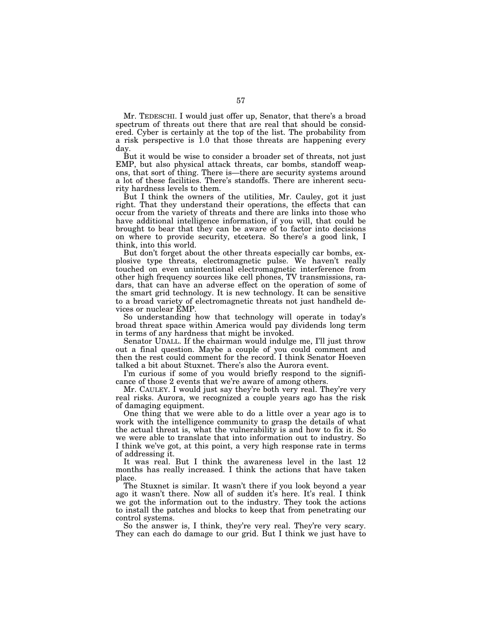Mr. TEDESCHI. I would just offer up, Senator, that there's a broad spectrum of threats out there that are real that should be considered. Cyber is certainly at the top of the list. The probability from a risk perspective is 1.0 that those threats are happening every day.

But it would be wise to consider a broader set of threats, not just EMP, but also physical attack threats, car bombs, standoff weapons, that sort of thing. There is—there are security systems around a lot of these facilities. There's standoffs. There are inherent security hardness levels to them.

But I think the owners of the utilities, Mr. Cauley, got it just right. That they understand their operations, the effects that can occur from the variety of threats and there are links into those who have additional intelligence information, if you will, that could be brought to bear that they can be aware of to factor into decisions on where to provide security, etcetera. So there's a good link, I think, into this world.

But don't forget about the other threats especially car bombs, explosive type threats, electromagnetic pulse. We haven't really touched on even unintentional electromagnetic interference from other high frequency sources like cell phones, TV transmissions, radars, that can have an adverse effect on the operation of some of the smart grid technology. It is new technology. It can be sensitive to a broad variety of electromagnetic threats not just handheld devices or nuclear EMP.

So understanding how that technology will operate in today's broad threat space within America would pay dividends long term in terms of any hardness that might be invoked.

Senator UDALL. If the chairman would indulge me, I'll just throw out a final question. Maybe a couple of you could comment and then the rest could comment for the record. I think Senator Hoeven talked a bit about Stuxnet. There's also the Aurora event.

I'm curious if some of you would briefly respond to the significance of those 2 events that we're aware of among others.

Mr. CAULEY. I would just say they're both very real. They're very real risks. Aurora, we recognized a couple years ago has the risk of damaging equipment.

One thing that we were able to do a little over a year ago is to work with the intelligence community to grasp the details of what the actual threat is, what the vulnerability is and how to fix it. So we were able to translate that into information out to industry. So I think we've got, at this point, a very high response rate in terms of addressing it.

It was real. But I think the awareness level in the last 12 months has really increased. I think the actions that have taken place.

The Stuxnet is similar. It wasn't there if you look beyond a year ago it wasn't there. Now all of sudden it's here. It's real. I think we got the information out to the industry. They took the actions to install the patches and blocks to keep that from penetrating our control systems.

So the answer is, I think, they're very real. They're very scary. They can each do damage to our grid. But I think we just have to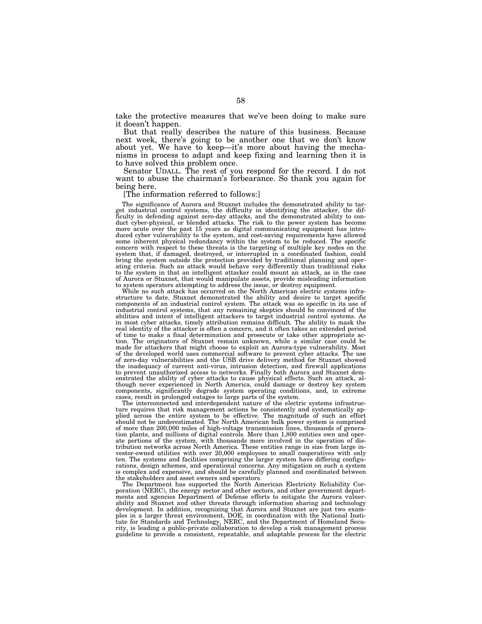take the protective measures that we've been doing to make sure it doesn't happen.

But that really describes the nature of this business. Because next week, there's going to be another one that we don't know about yet. We have to keep—it's more about having the mechanisms in process to adapt and keep fixing and learning then it is to have solved this problem once.

Senator UDALL. The rest of you respond for the record. I do not want to abuse the chairman's forbearance. So thank you again for being here.

## [The information referred to follows:]

The significance of Aurora and Stuxnet includes the demonstrated ability to target industrial control systems, the difficulty in identifying the attacker, the difficulty in defending against zero-day attacks, and the demonstrated ability to conduct cyber-physical, or blended attacks. The risk to the more acute over the past 15 years as digital communicating equipment has intro-duced cyber vulnerability to the system, and cost-saving requirements have allowed some inherent physical redundancy within the system to be reduced. The specific concern with respect to these threats is the targeting of multiple key nodes on the system that, if damaged, destroyed, or interrupted in a coordinated fashion, could bring the system outside the protection provided by traditional planning and operating criteria. Such an attack would behave very differently than traditional risks to the system in that an intelligent attacker could mount an attack, as in the case of Aurora or Stuxnet, that would manipulate assets, provide misleading information to system operators attempting to address the issue, or destroy equipment.

While no such attack has occurred on the North American electric systems infrastructure to date, Stuxnet demonstrated the ability and desire to target specific components of an industrial control system. The attack was so specific in its use of industrial control systems, that any remaining skeptics should be convinced of the abilities and intent of intelligent attackers to target industrial control systems. As in most cyber attacks, timely attribution remains difficult. The ability to mask the real identity of the attacker is often a concern, and it often takes an extended period of time to make a final determination and prosecute or take other appropriate action. The originators of Stuxnet remain unknown, while a similar case could be made for attackers that might choose to exploit an Aurora-type vulnerability. Most of the developed world uses commercial software to prevent cyber attacks. The use of zero-day vulnerabilities and the USB drive delivery method for Stuxnet showed the inadequacy of current anti-virus, intrusion detection, and firewall applications to prevent unauthorized access to networks. Finally both Aurora and Stuxnet demonstrated the ability of cyber attacks to cause physical effects. Such an attack, although never experienced in North America, could damage or destroy key system components, significantly degrade system operating conditions, and, in extreme cases, result in prolonged outages to large parts of the system.

The interconnected and interdependent nature of the electric systems infrastructure requires that risk management actions be consistently and systematically applied across the entire system to be effective. The magnitude of such an effort should not be underestimated. The North American bulk power system is comprised of more than 200,000 miles of high-voltage transmission lines, thousands of generation plants, and millions of digital controls. More than 1,800 entities own and operate portions of the system, with thousands more involved in the operation of distribution networks across North America. These entities range in size from large investor-owned utilities with over 20,000 employees to small cooperatives with only ten. The systems and facilities comprising the larger system have differing configurations, design schemes, and operational concerns. Any mitigation on such a system is complex and expensive, and should be carefully planned and coordinated between the stakeholders and asset owners and operators.

The Department has supported the North American Electricity Reliability Corporation (NERC), the energy sector and other sectors, and other government departments and agencies Department of Defense efforts to mitigate the Aurora vulnerability and Stuxnet and other threats through information sharing and technology development. In addition, recognizing that Aurora and Stuxnet are just two examples in a larger threat environment, DOE, in coordination with the National Institute for Standards and Technology, NERC, and the Department of Homeland Security, is leading a public-private collaboration to develop a risk guideline to provide a consistent, repeatable, and adaptable process for the electric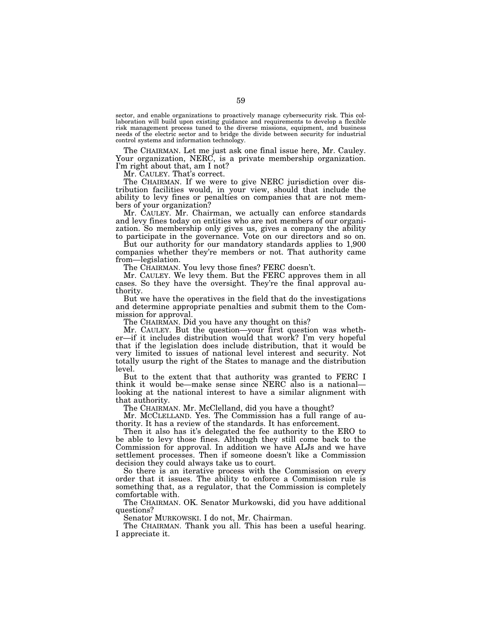sector, and enable organizations to proactively manage cybersecurity risk. This collaboration will build upon existing guidance and requirements to develop a flexible risk management process tuned to the diverse missions, equipment, and business needs of the electric sector and to bridge the divide between security for industrial control systems and information technology.

The CHAIRMAN. Let me just ask one final issue here, Mr. Cauley. Your organization, NERC, is a private membership organization. I'm right about that, am I not?

Mr. CAULEY. That's correct.

The CHAIRMAN. If we were to give NERC jurisdiction over distribution facilities would, in your view, should that include the ability to levy fines or penalties on companies that are not members of your organization?

Mr. CAULEY. Mr. Chairman, we actually can enforce standards and levy fines today on entities who are not members of our organization. So membership only gives us, gives a company the ability to participate in the governance. Vote on our directors and so on.

But our authority for our mandatory standards applies to 1,900 companies whether they're members or not. That authority came from—legislation.

The CHAIRMAN. You levy those fines? FERC doesn't.

Mr. CAULEY. We levy them. But the FERC approves them in all cases. So they have the oversight. They're the final approval authority.

But we have the operatives in the field that do the investigations and determine appropriate penalties and submit them to the Commission for approval.

The CHAIRMAN. Did you have any thought on this?

Mr. CAULEY. But the question—your first question was whether—if it includes distribution would that work? I'm very hopeful that if the legislation does include distribution, that it would be very limited to issues of national level interest and security. Not totally usurp the right of the States to manage and the distribution level.

But to the extent that that authority was granted to FERC I think it would be—make sense since NERC also is a national looking at the national interest to have a similar alignment with that authority.

The CHAIRMAN. Mr. McClelland, did you have a thought?

Mr. MCCLELLAND. Yes. The Commission has a full range of authority. It has a review of the standards. It has enforcement.

Then it also has it's delegated the fee authority to the ERO to be able to levy those fines. Although they still come back to the Commission for approval. In addition we have ALJs and we have settlement processes. Then if someone doesn't like a Commission decision they could always take us to court.

So there is an iterative process with the Commission on every order that it issues. The ability to enforce a Commission rule is something that, as a regulator, that the Commission is completely comfortable with.

The CHAIRMAN. OK. Senator Murkowski, did you have additional questions?

Senator MURKOWSKI. I do not, Mr. Chairman.

The CHAIRMAN. Thank you all. This has been a useful hearing. I appreciate it.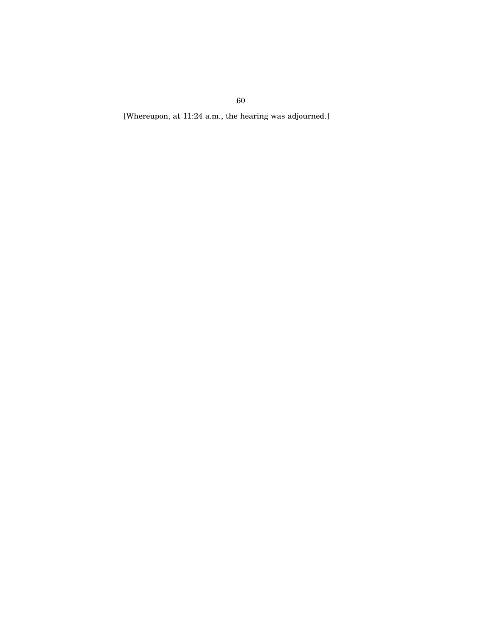[Whereupon, at 11:24 a.m., the hearing was adjourned.]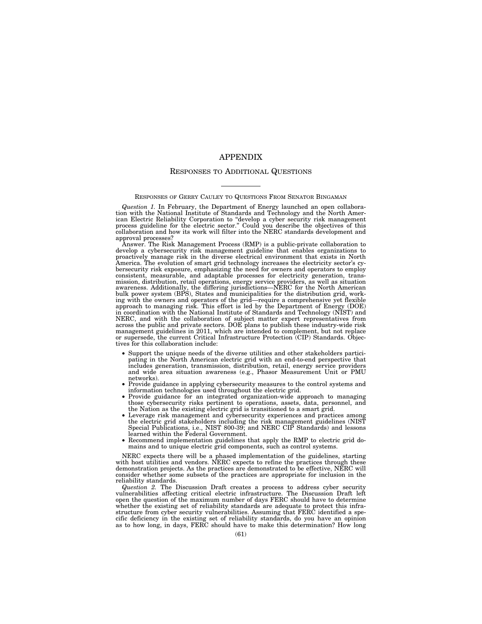# APPENDIX

## RESPONSES TO ADDITIONAL QUESTIONS

### RESPONSES OF GERRY CAULEY TO QUESTIONS FROM SENATOR BINGAMAN

*Question 1.* In February, the Department of Energy launched an open collaboration with the National Institute of Standards and Technology and the North American Electric Reliability Corporation to "develop a cyber security risk management process guideline for the electric sector." Could you descri collaboration and how its work will filter into the NERC standards development and approval processes?

Answer. The Risk Management Process (RMP) is a public-private collaboration to develop a cybersecurity risk management guideline that enables organizations to proactively manage risk in the diverse electrical environment that exists in North America. The evolution of smart grid technology increases the electricity sector's cy-bersecurity risk exposure, emphasizing the need for owners and operators to employ consistent, measurable, and adaptable processes for electricity generation, transmission, distribution, retail operations, energy service providers, as well as situation awareness. Additionally, the differing jurisdictions—NERC for the North American bulk power system (BPS), States and municipalities for the distribution grid, working with the owners and operators of the grid—require a comprehensive yet flexible approach to managing risk. This effort is led by the Department of Energy (DOE) in coordination with the National Institute of Standards and Technology (NIST) and NERC, and with the collaboration of subject matter expert representatives from across the public and private sectors. DOE plans to publish these industry-wide risk management guidelines in 2011, which are intended to complement, but not replace or supersede, the current Critical Infrastructure Protection (CIP) Standards. Objectives for this collaboration include:

- Support the unique needs of the diverse utilities and other stakeholders participating in the North American electric grid with an end-to-end perspective that includes generation, transmission, distribution, retail, energy service providers and wide area situation awareness (e.g., Phasor Measurement Unit or PMU networks).
- Provide guidance in applying cybersecurity measures to the control systems and information technologies used throughout the electric grid.
- Provide guidance for an integrated organization-wide approach to managing those cybersecurity risks pertinent to operations, assets, data, personnel, and
- the Nation as the existing electric grid is transitioned to a smart grid.<br>• Leverage risk management and cybersecurity experiences and practices among the electric grid stakeholders including the risk management guidelines Special Publications, i.e., NIST 800-39; and NERC CIP Standards) and lessons learned within the Federal Government.
- Recommend implementation guidelines that apply the RMP to electric grid domains and to unique electric grid components, such as control systems.

NERC expects there will be a phased implementation of the guidelines, starting<br>with host utilities and vendors. NERC expects to refine the practices through these<br>demonstration projects. As the practices are demonstrated t consider whether some subsets of the practices are appropriate for inclusion in the reliability standards.

*Question 2.* The Discussion Draft creates a process to address cyber security vulnerabilities affecting critical electric infrastructure. The Discussion Draft left open the question of the maximum number of days FERC should have to determine whether the existing set of reliability standards are adequate to protect this infrastructure from cyber security vulnerabilities. Assuming that FERC identified a specific deficiency in the existing set of reliability standards, do you have an opinion as to how long, in days, FERC should have to make this determination? How long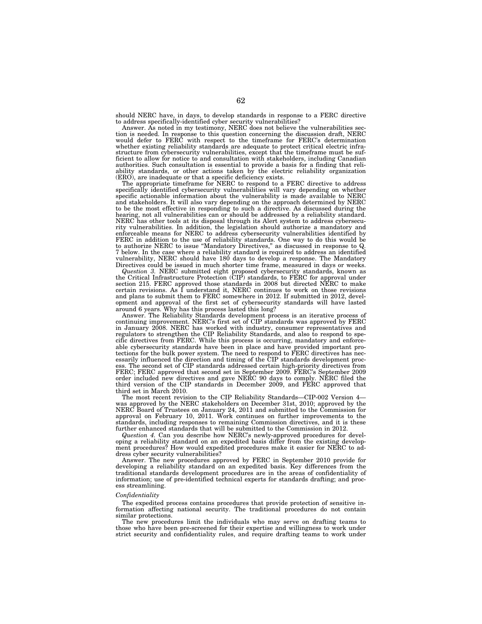should NERC have, in days, to develop standards in response to a FERC directive to address specifically-identified cyber security vulnerabilities?

Answer. As noted in my testimony, NERC does not believe the vulnerabilities section is needed. In response to this question concerning the discussion draft, NERC would defer to FERC with respect to the timeframe for FERC's determination whether existing reliability standards are adequate to protect critical electric infrastructure from cybersecurity vulnerabilities, except that the timeframe must be sufficient to allow for notice to and consultation with stakeholders, including Canadian authorities. Such consultation is essential to provide a basis for a finding that reliability standards, or other actions taken by the electric reliability organization (ERO), are inadequate or that a specific deficiency exists.

The appropriate timeframe for NERC to respond to a FERC directive to address specifically identified cybersecurity vulnerabilities will vary depending on whether specific actionable information about the vulnerability is made available to NERC and stakeholders. It will also vary depending on the approach determined by NERC to be the most effective in responding to such a directive. As discussed during the hearing, not all vulnerabilities can or should be addressed by a reliability standard. NERC has other tools at its disposal through its Alert system to address cybersecu-rity vulnerabilities. In addition, the legislation should authorize a mandatory and enforceable means for NERC to address cybersecurity vulnerabilities identified by FERC in addition to the use of reliability standards. One way to do this would be to authorize NERC to issue ''Mandatory Directives,'' as discussed in response to Q. 7 below. In the case where a reliability standard is required to address an identified vulnerability, NERC should have 180 days to develop a response. The Mandatory Directives could be issued in much shorter time frame, measured in days or weeks.

*Question 3.* NERC submitted eight proposed cybersecurity standards, known as the Critical Infrastructure Protection (CIP) standards, to FERC for approval under section 215. FERC approved those standards in 2008 but directed NERC to make certain revisions. As I understand it, NERC continues to work on those revisions and plans to submit them to FERC somewhere in 2012. If submitted in 2012, development and approval of the first set of cybersecurity standards will have lasted around 6 years. Why has this process lasted this long?

Answer. The Reliability Standards development process is an iterative process of continuing improvement. NERC's first set of CIP standards was approved by FERC in January 2008. NERC has worked with industry, consumer representatives and regulators to strengthen the CIP Reliability Standards, and also to respond to specific directives from FERC. While this process is occurring, mandatory and enforceable cybersecurity standards have been in place and have provided important protections for the bulk power system. The need to respond to FERC directives has necessarily influenced the direction and timing of the CIP standards development proc-The second set of CIP standards addressed certain high-priority directives from FERC; FERC approved that second set in September 2009. FERC's September 2009 order included new directives and gave NERC 90 days to comply. NERC filed the third version of the CIP standards in December 2009, and FERC approved that third set in March 2010.

The most recent revision to the CIP Reliability Standards—CIP-002 Version 4 was approved by the NERC stakeholders on December 31st, 2010; approved by the NERC Board of Trustees on January 24, 2011 and submitted to the Commission for approval on February 10, 2011. Work continues on further improvements to the standards, including responses to remaining Commission directives, and it is these further enhanced standards that will be submitted to the Commission in 2012.

*Question 4.* Can you describe how NERC's newly-approved procedures for developing a reliability standard on an expedited basis differ from the existing development procedures? How would expedited procedures make it easier for NERC to address cyber security vulnerabilities?

Answer. The new procedures approved by FERC in September 2010 provide for developing a reliability standard on an expedited basis. Key differences from the traditional standards development procedures are in the areas of confidentiality of information; use of pre-identified technical experts for standards drafting; and process streamlining.

#### *Confidentiality*

The expedited process contains procedures that provide protection of sensitive information affecting national security. The traditional procedures do not contain similar protections.

The new procedures limit the individuals who may serve on drafting teams to those who have been pre-screened for their expertise and willingness to work under strict security and confidentiality rules, and require drafting teams to work under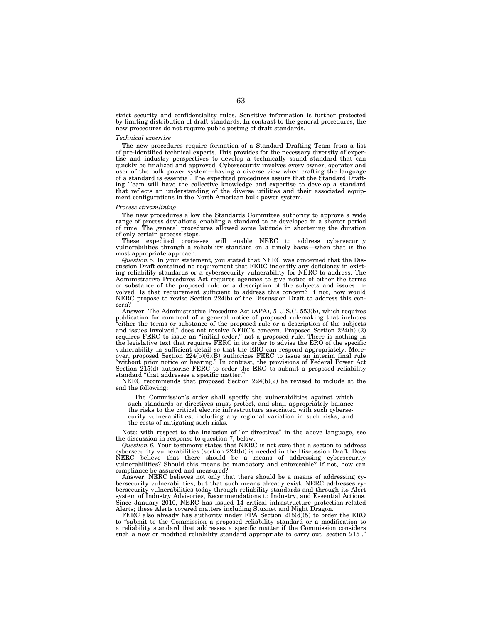strict security and confidentiality rules. Sensitive information is further protected by limiting distribution of draft standards. In contrast to the general procedures, the new procedures do not require public posting of draft standards.

## *Technical expertise*

The new procedures require formation of a Standard Drafting Team from a list of pre-identified technical experts. This provides for the necessary diversity of expertise and industry perspectives to develop a technically sound standard that can quickly be finalized and approved. Cybersecurity involves every owner, operator and user of the bulk power system—having a diverse view when crafting the language of a standard is essential. The expedited procedures assure that the Standard Drafting Team will have the collective knowledge and expertise to develop a standard that reflects an understanding of the diverse utilities and their associated equipment configurations in the North American bulk power system.

## *Process streamlining*

The new procedures allow the Standards Committee authority to approve a wide range of process deviations, enabling a standard to be developed in a shorter period of time. The general procedures allowed some latitude in shortening the duration

of only certain process steps. will enable NERC to address cybersecurity vulnerabilities through a reliability standard on a timely basis—when that is the most appropriate approach.

*Question 5.* In your statement, you stated that NERC was concerned that the Discussion Draft contained no requirement that FERC indentify any deficiency in existing reliability standards or a cybersecurity vulnerability for NERC to address. The Administrative Procedures Act requires agencies to give notice of either the terms or substance of the proposed rule or a description of the subjects and issues involved. Is that requirement sufficient to address this concern? If not, how would NERC propose to revise Section 224(b) of the Discussion Draft to address this concern?

Answer. The Administrative Procedure Act (APA), 5 U.S.C. 553(b), which requires publication for comment of a general notice of proposed rulemaking that includes 'either the terms or substance of the proposed rule or a description of the subjects and issues involved,'' does not resolve NERC's concern. Proposed Section 224(b) (2) requires FERC to issue an ''initial order,'' not a proposed rule. There is nothing in the legislative text that requires FERC in its order to advise the ERO of the specific vulnerability in sufficient detail so that the ERO can respond appropriately. Moreover, proposed Section 224(b)(6)(B) authorizes FERC to issue an interim final rule ''without prior notice or hearing.'' In contrast, the provisions of Federal Power Act Section 215(d) authorize FERC to order the ERO to submit a proposed reliability standard ''that addresses a specific matter.''

NERC recommends that proposed Section  $224(b)(2)$  be revised to include at the end the following:

The Commission's order shall specify the vulnerabilities against which such standards or directives must protect, and shall appropriately balance the risks to the critical electric infrastructure associated with such cybersecurity vulnerabilities, including any regional variation in such risks, and the costs of mitigating such risks.

Note: with respect to the inclusion of "or directives" in the above language, see the discussion in response to question 7, below.

*Question 6.* Your testimony states that NERC is not sure that a section to address cybersecurity vulnerabilities (section 224(b)) is needed in the Discussion Draft. Does NERC believe that there should be a means of addressing cybersecurity vulnerabilities? Should this means be mandatory and enforceable? If not, how can compliance be assured and measured?

Answer. NERC believes not only that there should be a means of addressing cybersecurity vulnerabilities, but that such means already exist. NERC addresses cybersecurity vulnerabilities today through reliability standards and through its Alert system of Industry Advisories, Recommendations to Industry, and Essential Actions. Since January 2010, NERC has issued 14 critical infrastructure protection-related Alerts; these Alerts covered matters including Stuxnet and Night Dragon.

FERC also already has authority under FPA Section  $215(\tilde{d})(5)$  to order the ERO to ''submit to the Commission a proposed reliability standard or a modification to a reliability standard that addresses a specific matter if the Commission considers such a new or modified reliability standard appropriate to carry out [section 215].''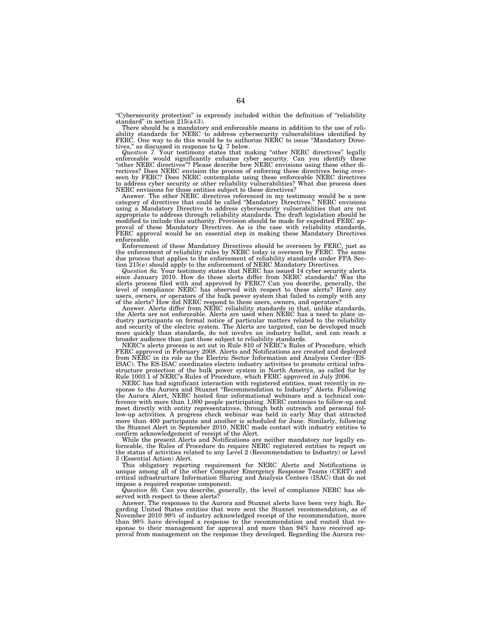''Cybersecurity protection'' is expressly included within the definition of ''reliability standard'' in section 215(a)(3).

There should be a mandatory and enforceable means in addition to the use of reliability standards for NERC to address cybersecurity vulnerabilities identified by FERC. One way to do this would be to authorize NERC to issue ''Mandatory Directives,'' as discussed in response to Q. 7 below.

*Question 7.* Your testimony states that making ''other NERC directives'' legally enforceable would significantly enhance cyber security. Can you identify these "other NERC directives"? Please describe how NERC envisions using these other directives? Does NERC envision the process of enforcing these directives being overseen by FERC? Does NERC contemplate using these enforceable NERC directives to address cyber security or other reliability vulnerabilities? What due process does NERC envisions for those entities subject to these directives?

Answer. The other NERC directives referenced in my testimony would be a new category of directives that could be called ''Mandatory Directives.'' NERC envisions using a Mandatory Directive to address cybersecurity vulnerabilities that are not appropriate to address through reliability standards. The draft legislation should be modified to include this authority. Provision should be made for expedited FERC ap-proval of these Mandatory Directives. As is the case with reliability standards, FERC approval would be an essential step in making these Mandatory Directives enforceable.

Enforcement of these Mandatory Directives should be overseen by FERC, just as the enforcement of reliability rules by NERC today is overseen by FERC. The same due process that applies to the enforcement of reliability standards under FPA Sec-tion 215(e) should apply to the enforcement of NERC Mandatory Directives.

*Question 8a.* Your testimony states that NERC has issued 14 cyber security alerts since January 2010. How do these alerts differ from NERC standards? Was the<br>alerts process filed with and approved by FERC? Can you describe, generally, the<br>level of compliance NERC has observed with respect to these alert users, owners, or operators of the bulk power system that failed to comply with any of the alerts? How did NERC respond to these users, owners, and operators?

Answer. Alerts differ from NERC reliability standards in that, unlike standards, the Alerts are not enforceable. Alerts are used when NERC has a need to place industry participants on formal notice of particular matters related to the reliability and security of the electric system. The Alerts are targeted, can be developed much more quickly than standards, do not involve an industry ballot, and can reach a broader audience than just those subject to reliability standards.

NERC's alerts process is set out in Rule 810 of NERC's Rules of Procedure, which FERC approved in February 2008. Alerts and Notifications are created and deployed from NERC in its role as the Electric Sector Information and Analysis Center (ES-ISAC). The ES-ISAC coordinates electric industry activities to promote critical infrastructure protection of the bulk power system in North America, as called for by Rule 1003.1 of NERC's Rules of Procedure, which FERC approved in July 2006.

NERC has had significant interaction with registered entities, most recently in response to the Aurora and Stuxnet ''Recommendation to Industry'' Alerts. Following the Aurora Alert, NERC hosted four informational webinars and a technical conference with more than 1,000 people participating. NERC continues to follow-up and meet directly with entity representatives, through both outreach and personal follow-up activities. A progress check webinar was held in early May that attracted more than 400 participants and another is scheduled for June. Similarly, following the Stuxnet Alert in September 2010, NERC made contact with industry entities to confirm acknowledgement of receipt of the Alert.

While the present Alerts and Notifications are neither mandatory nor legally enforceable, the Rules of Procedure do require NERC registered entities to report on the status of activities related to any Level 2 (Recommendation to Industry) or Level 3 (Essential Action) Alert.

This obligatory reporting requirement for NERC Alerts and Notifications is unique among all of the other Computer Emergency Response Teams (CERT) and critical infrastructure Information Sharing and Analysis Centers (ISAC) that do not impose a required response component.

*Question 8b.* Can you describe, generally, the level of compliance NERC has observed with respect to these alerts?

Answer. The responses to the Aurora and Stuxnet alerts have been very high. Regarding United States entities that were sent the Stuxnet recommendation, as of November 2010 99% of industry acknowledged receipt of the recommendation, more than 98% have developed a response to the recommendation and routed that response to their management for approval and more than 94% have received approval from management on the response they developed. Regarding the Aurora rec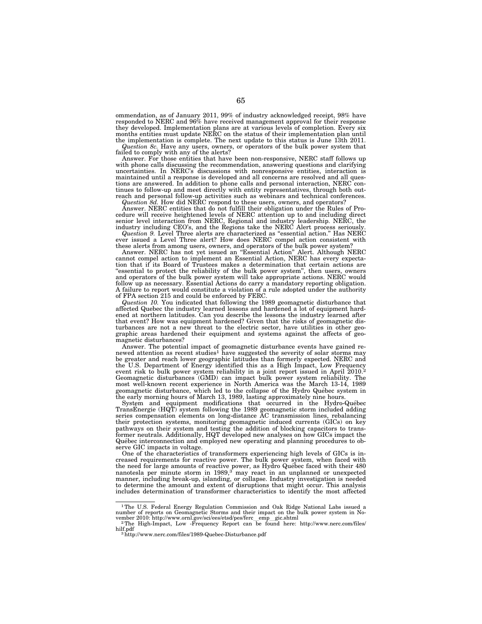ommendation, as of January 2011, 99% of industry acknowledged receipt, 98% have responded to NERC and 96% have received management approval for their response they developed. Implementation plans are at various levels of completion. Every six months entities must update NERC on the status of their implementation plan until the implementation is complete. The next update to this status is June 13th 2011.

*Question 8c.* Have any users, owners, or operators of the bulk power system that failed to comply with any of the alerts?

Answer. For those entities that have been non-responsive, NERC staff follows up with phone calls discussing the recommendation, answering questions and clarifying uncertainties. In NERC's discussions with nonresponsive entities, interaction is maintained until a response is developed and all concerns are resolved and all questions are answered. In addition to phone calls and personal interaction, NERC con-tinues to follow-up and meet directly with entity representatives, through both outreach and personal follow-up activities such as webinars and technical conferences. *Question 8d.* How did NERC respond to these users, owners, and operators?

Answer. NERC entities that do not fulfill their obligation under the Rules of Pro-cedure will receive heightened levels of NERC attention up to and including direct senior level interaction from NERC, Regional and industry leadership. NERC, the industry including CEO's, and the Regions take the NERC Alert process seriously.

*Question 9.* Level Three alerts are characterized as "essential action." Has NERC ever issued a Level Three alert? How does NERC compel action consistent with

these alerts from among users, owners, and operators of the bulk power system? Answer. NERC has not yet issued an ''Essential Action'' Alert. Although NERC cannot compel action to implement an Essential Action, NERC has every expecta-tion that if its Board of Trustees makes a determination that certain actions are ''essential to protect the reliability of the bulk power system'', then users, owners and operators of the bulk power system will take appropriate actions. NERC would follow up as necessary. Essential Actions do carry a mandatory reporting obligation. A failure to report would constitute a violation of a rule adopted under the authority of FPA section 215 and could be enforced by FERC.

*Question 10.* You indicated that following the 1989 geomagnetic disturbance that affected Quebec the industry learned lessons and hardened a lot of equipment hardened at northern latitudes. Can you describe the lessons the industry learned after that event? How was equipment hardened? Given that the risks of geomagnetic disturbances are not a new threat to the electric sector, have utilities in other geographic areas hardened their equipment and systems against the affects of geomagnetic disturbances?

Answer. The potential impact of geomagnetic disturbance events have gained renewed attention as recent studies<sup>1</sup> have suggested the severity of solar storms may be greater and reach lower geographic latitudes than formerly expected. NERC and the U.S. Department of Energy identified this as a High Impact, Low Frequency event risk to bulk power system reliability in a joint report issued in April 2010.<sup>2</sup> Geomagnetic disturbances (GMD) can impact bulk power system reliability. The most well-known recent experience in North America was the March 13-14, 1989 geomagnetic disturbance, which led to the collapse of the Hydro Québec system in the early morning hours of March 13, 1989, lasting approximately nine hours.<br>System and equipment modifications that occurred in the Hydro-Québec

TransEnergie (HQT) system following the 1989 geomagnetic storm included adding series compensation elements on long-distance AC transmission lines, rebalancing their protection systems, monitoring geomagnetic induced currents (GICs) on key pathways on their system and testing the addition of blocking capacitors to transformer neutrals. Additionally, HQT developed new analyses on how GICs impact the Que´bec interconnection and employed new operating and planning procedures to observe GIC impacts in voltage.

One of the characteristics of transformers experiencing high levels of GICs is increased requirements for reactive power. The bulk power system, when faced with the need for large amounts of reactive power, as Hydro Québec faced with their 480 nanotesla per minute storm in 1989,<sup>3</sup> may react in an unplanned or unexpected manner, including break-up, islanding, or collapse. Industry investigation is needed to determine the amount and extent of disruptions that might occur. This analysis includes determination of transformer characteristics to identify the most affected

<sup>&</sup>lt;sup>1</sup>The U.S. Federal Energy Regulation Commission and Oak Ridge National Labs issued a number of reports on Geomagnetic Storms and their impact on the bulk power system in November 2010: http://www.ornl.gov/sci/ees/etsd/pes/ferc emp gic.shtml

<sup>&</sup>lt;sup>2</sup>The High-Impact, Low -Frequency Report can be found here: http://www.nerc.com/files/ hilf.pdf  $^3$  http://www.nerc.com/files/1989-Quebec-Disturbance.pdf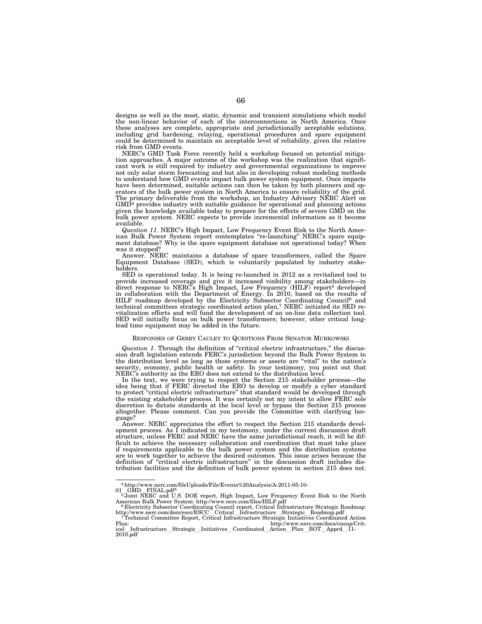designs as well as the most, static, dynamic and transient simulations which model the non-linear behavior of each of the interconnections in North America. Once these analyses are complete, appropriate and jurisdictionally acceptable solutions, including grid hardening, relaying, operational procedures and spare equipment could be determined to maintain an acceptable level of reliability, given the relative risk from GMD events.

NERC's GMD Task Force recently held a workshop focused on potential mitigation approaches. A major outcome of the workshop was the realization that significant work is still required by industry and governmental organizations to improve not only solar storm forecasting and but also in developing robust modeling methods to understand how GMD events impact bulk power system equipment. Once impacts have been determined, suitable actions can then be taken by both planners and operators of the bulk power system in North America to ensure reliability of the grid. The primary deliverable from the workshop, an Industry Advisory NERC Alert on  $GMD<sup>4</sup>$  provides industry with suitable guidance for operational and planning actions given the knowledge available today to prepare for the effects of severe GMD on the bulk power system. NERC expects to provide incremental information as it become available.

*Question 11.* NERC's High Impact, Low Frequency Event Risk to the North American Bulk Power System report contemplates ''re-launching'' NERC's spare equipment database? Why is the spare equipment database not operational today? When was it stopped?

Answer. NERC maintains a database of spare transformers, called the Spare Equipment Database (SED), which is voluntarily populated by industry stakeholders.

SED is operational today. It is being re-launched in 2012 as a revitalized tool to provide increased coverage and give it increased visibility among stakeholders—in direct response to NERC's High Impact, Low Frequency (HILF) report<sup>5</sup> developed in collaboration with the Department of Energy. In 2010, based on the results of HILF roadmap developed by the Electricity Subsector Coordinating Council6 and technical committees strategic coordinated action plan,7 NERC initiated its SED revitalization efforts and will fund the development of an on-line data collection tool. SED will initially focus on bulk power transformers; however, other critical longlead time equipment may be added in the future.

## RESPONSES OF GERRY CAULEY TO QUESTIONS FROM SENATOR MURKOWSKI

*Question 1.* Through the definition of "critical electric infrastructure," the discussion draft legislation extends FERC's jurisdiction beyond the Bulk Power System to the distribution level as long as those systems or assets are ''vital'' to the nation's security, economy, public health or safety. In your testimony, you point out that NERC's authority as the ERO does not extend to the distribution level.

In the text, we were trying to respect the Section 215 stakeholder process—the idea being that if FERC directed the ERO to develop or modify a cyber standard to protect ''critical electric infrastructure'' that standard would be developed through the existing stakeholder process. It was certainly not my intent to allow FERC sole discretion to dictate standards at the local level or bypass the Section 215 process altogether. Please comment. Can you provide the Committee with clarifying language?

Answer. NERC appreciates the effort to respect the Section 215 standards development process. As  $\hat{I}$  indicated in my testimony, under the current discussion draft structure, unless FERC and NERC have the same jurisdictional reach, it will be difficult to achieve the necessary collaboration and coordination that must take place if requirements applicable to the bulk power system and the distribution systems are to work together to achieve the desired outcomes. This issue arises because the definition of ''critical electric infrastructure'' in the discussion draft includes distribution facilities and the definition of bulk power system in section 215 does not.

<sup>4</sup>http://www.nerc.com/fileUploads/File/Events%20Analysis/A-2011-05-10-

<sup>01</sup> GMD FINAL.pdf<sup>4</sup><br><sup>5</sup>Joint NERC and U.S. DOE report, High Impact, Low Frequency Event Risk to the North<br>American Bulk Power System: http://www.nerc.com/files/HILF.pdf<br><sup>6</sup>Electricity Subsector Coordinating Council report,

http://www.nerc.com/docs/escc/ESCC\_Critical\_Infrastructure\_Strategic\_Roadmap.pdf<br>
7Technical Committee Report, Critical Infrastructure Strategic Initiatives Coordinated Action<br>
http://www.nerc.com/docs/ciscap/Crit-

Plan: http://www.nerc.com/docs/ciscap/Crit-<br>ical Infrastructure\_Strategic\_Initiatives\_Coordinated\_Action\_Plan\_BOT\_Apprd\_11-<br>2010.pdf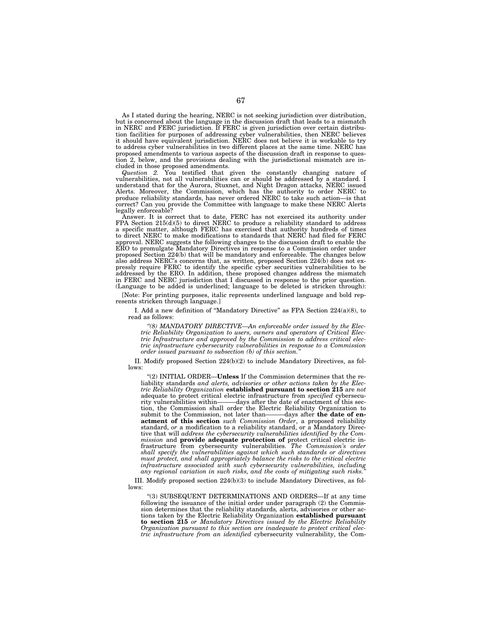As I stated during the hearing, NERC is not seeking jurisdiction over distribution, but is concerned about the language in the discussion draft that leads to a mismatch in NERC and FERC jurisdiction. If FERC is given jurisdiction over certain distribution facilities for purposes of addressing cyber vulnerabilities, then NERC believes it should have equivalent jurisdiction. NERC does not believe it is workable to try to address cyber vulnerabilities in two different places at the same time. NERC has proposed amendments to various aspects of the discussion draft in response to question 2, below, and the provisions dealing with the jurisdictional mismatch are included in those proposed amendments.

*Question 2.* You testified that given the constantly changing nature of vulnerabilities, not all vulnerabilities can or should be addressed by a standard. I understand that for the Aurora, Stuxnet, and Night Dragon attacks, NERC issued Alerts. Moreover, the Commission, which has the authority to order NERC to produce reliability standards, has never ordered NERC to take such action—is that correct? Can you provide the Committee with language to make these NERC Alerts legally enforceable?

Answer. It is correct that to date, FERC has not exercised its authority under FPA Section  $215(d)(5)$  to direct NERC to produce a reliability standard to address a specific matter, although FERC has exercised that authority hundreds of times to direct NERC to make modifications to standards that NERC had filed for FERC approval. NERC suggests the following changes to the discussion draft to enable the ERO to promulgate Mandatory Directives in response to a Commission order under proposed Section 224(b) that will be mandatory and enforceable. The changes below also address NERC's concerns that, as written, proposed Section 224(b) does not expressly require FERC to identify the specific cyber securities vulnerabilities to be addressed by the ERO. In addition, these proposed changes address the mismatch in FERC and NERC jurisdiction that I discussed in response to the prior question. (Language to be added is underlined; language to be deleted is stricken through):

[Note: For printing purposes, italic represents underlined language and bold represents stricken through language.]

I. Add a new definition of ''Mandatory Directive'' as FPA Section 224(a)(8), to read as follows:

*''(8) MANDATORY DIRECTIVE—An enforceable order issued by the Electric Reliability Organization to users, owners and operators of Critical Electric Infrastructure and approved by the Commission to address critical electric infrastructure cybersecurity vulnerabilities in response to a Commission order issued pursuant to subsection (b) of this section.* 

II. Modify proposed Section 224(b)(2) to include Mandatory Directives, as follows:

''(2) INITIAL ORDER—**Unless** If the Commission determines that the reliability standards *and alerts, advisories or other actions taken by the Electric Reliability Organization* **established pursuant to section 215** are *not*  adequate to protect critical electric infrastructure from *specified* cybersecu--days after the date of enactment of this section, the Commission shall order the Electric Reliability Organization to submit to the Commission, not later than——davs after the date of ensubmit to the Commission, not later than**actment of this section** *such Commission Order*, a proposed reliability standard, *or* a modification to a reliability standard, or a Mandatory Directive that will *address the cybersecurity vulnerabilities identified by the Commission* and **provide adequate protection of** protect critical electric infrastructure from cybersecurity vulnerabilities. *The Commission's order shall specify the vulnerabilities against which such standards or directives must protect, and shall appropriately balance the risks to the critical electric*  infrastructure associated with such cybersecurity vulnerabilities, including any regional variation in such risks, and the costs of mitigating such risks.

III. Modify proposed section 224(b)(3) to include Mandatory Directives, as follows:

''(3) SUBSEQUENT DETERMINATIONS AND ORDERS—If at any time following the issuance of the initial order under paragraph (2) the Commission determines that the reliability standards*,* alerts, advisories or other actions taken by the Electric Reliability Organization **established pursuant to section 215** *or Mandatory Directives issued by the Electric Reliability Organization pursuant to this section are inadequate to protect critical electric infrastructure from an identified* cybersecurity vulnerability, the Com-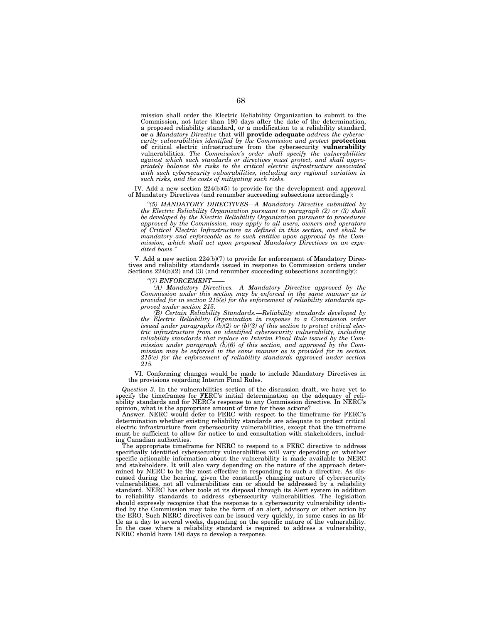mission shall order the Electric Reliability Organization to submit to the Commission, not later than 180 days after the date of the determination, a proposed reliability standard, or a modification to a reliability standard, **or** *a Mandatory Directive* that will **provide adequate** *address the cybersecurity vulnerabilities identified by the Commission and protect* **protection of** critical electric infrastructure from the cybersecurity **vulnerability**  vulnerabilities. *The Commission's order shall specify the vulnerabilities against which such standards or directives must protect, and shall appropriately balance the risks to the critical electric infrastructure associated*  with such cybersecurity vulnerabilities, including any regional variation in *such risks, and the costs of mitigating such risks.* 

IV. Add a new section 224(b)(5) to provide for the development and approval of Mandatory Directives (and renumber succeeding subsections accordingly):

*''(5) MANDATORY DIRECTIVES—A Mandatory Directive submitted by the Electric Reliability Organization pursuant to paragraph (2) or (3) shall be developed by the Electric Reliability Organization pursuant to procedures approved by the Commission, may apply to all users, owners and operators of Critical Electric Infrastructure as defined in this section, and shall be mandatory and enforceable as to such entities upon approval by the Commission, which shall act upon proposed Mandatory Directives on an expe*dited basis.

V. Add a new section 224(b)(7) to provide for enforcement of Mandatory Directives and reliability standards issued in response to Commission orders under Sections  $224(b)(2)$  and  $(3)$  (and renumber succeeding subsections accordingly):

*''(7) ENFORCEMENT——* 

*(A) Mandatory Directives.—A Mandatory Directive approved by the Commission under this section may be enforced in the same manner as is provided for in section 215(e) for the enforcement of reliability standards approved under section 215.* 

*(B) Certain Reliability Standards.—Reliability standards developed by the Electric Reliability Organization in response to a Commission order issued under paragraphs (b)(2) or (b)(3) of this section to protect critical electric infrastructure from an identified cybersecurity vulnerability, including reliability standards that replace an Interim Final Rule issued by the Commission under paragraph (b)(6) of this section, and approved by the Commission may be enforced in the same manner as is provided for in section 215(e) for the enforcement of reliability standards approved under section 215.* 

VI. Conforming changes would be made to include Mandatory Directives in the provisions regarding Interim Final Rules.

*Question 3.* In the vulnerabilities section of the discussion draft, we have yet to specify the timeframes for FERC's initial determination on the adequacy of reliability standards and for NERC's response to any Commission directive. In NERC's opinion, what is the appropriate amount of time for these actions?

Answer. NERC would defer to FERC with respect to the timeframe for FERC's determination whether existing reliability standards are adequate to protect critical electric infrastructure from cybersecurity vulnerabilities, except that the timeframe must be sufficient to allow for notice to and consultation with stakeholders, including Canadian authorities.

The appropriate timeframe for NERC to respond to a FERC directive to address specifically identified cybersecurity vulnerabilities will vary depending on whether specific actionable information about the vulnerability is made available to NERC and stakeholders. It will also vary depending on the nature of the approach determined by NERC to be the most effective in responding to such a directive. As discussed during the hearing, given the constantly changing nature of cybersecurity vulnerabilities, not all vulnerabilities can or should be addressed by a reliability standard. NERC has other tools at its disposal through its Alert system in addition to reliability standards to address cybersecurity vulnerabilities. The legislation should expressly recognize that the response to a cybersecurity vulnerability identified by the Commission may take the form of an alert, advisory or other action by the ERO. Such NERC directives can be issued very quickly, in some cases in as little as a day to several weeks, depending on the specific nature of the vulnerability. In the case where a reliability standard is required to address a vulnerability, NERC should have 180 days to develop a response.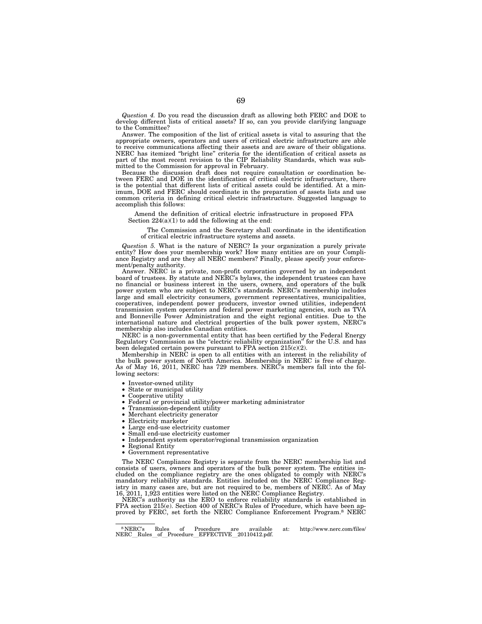*Question 4.* Do you read the discussion draft as allowing both FERC and DOE to develop different lists of critical assets? If so, can you provide clarifying language to the Committee?

Answer. The composition of the list of critical assets is vital to assuring that the appropriate owners, operators and users of critical electric infrastructure are able to receive communications affecting their assets and are aware of their obligations. NERC has itemized "bright line" criteria for the identification of critical assets as part of the most recent revision to the CIP Reliability Standards, which was submitted to the Commission for approval in February.

Because the discussion draft does not require consultation or coordination between FERC and DOE in the identification of critical electric infrastructure, there is the potential that different lists of critical assets could be identified. At a minimum, DOE and FERC should coordinate in the preparation of assets lists and use common criteria in defining critical electric infrastructure. Suggested language to accomplish this follows:

Amend the definition of critical electric infrastructure in proposed FPA Section 224(a)(1) to add the following at the end:

The Commission and the Secretary shall coordinate in the identification of critical electric infrastructure systems and assets.

*Question 5.* What is the nature of NERC? Is your organization a purely private entity? How does your membership work? How many entities are on your Compliance Registry and are they all NERC members? Finally, please specify your enforcement/penalty authority.

Answer. NERC is a private, non-profit corporation governed by an independent board of trustees. By statute and NERC's bylaws, the independent trustees can have no financial or business interest in the users, owners, and operators of the bulk power system who are subject to NERC's standards. NERC's membership includes large and small electricity consumers, government representatives, municipalities, cooperatives, independent power producers, investor owned utilities, independent transmission system operators and federal power marketing agencies, such as TVA and Bonneville Power Administration and the eight regional entities. Due to the international nature and electrical properties of the bulk power system, NERC's membership also includes Canadian entities.

NERC is a non-governmental entity that has been certified by the Federal Energy Regulatory Commission as the "electric reliability organization" for the U.S. and has been delegated certain powers pursuant to FPA section 215(c)(2).

Membership in NERC is open to all entities with an interest in the reliability of the bulk power system of North America. Membership in NERC is free of charge. As of May 16, 2011, NERC has 729 members. NERC's members fall into the following sectors:

- Investor-owned utility
- State or municipal utility
- Cooperative utility
- Federal or provincial utility/power marketing administrator
- Transmission-dependent utility
- Merchant electricity generator
- Electricity marketer
- Large end-use electricity customer
- Small end-use electricity customer
- Independent system operator/regional transmission organization
	- Regional Entity
	- Government representative

The NERC Compliance Registry is separate from the NERC membership list and consists of users, owners and operators of the bulk power system. The entities included on the compliance registry are the ones obligated to comply with NERC's mandatory reliability standards. Entities included on the NERC Compliance Registry in many cases are, but are not required to be, members of NERC. As of May 16, 2011, 1,923 entities were listed on the NERC Compliance Registry.

NERC's authority as the ERO to enforce reliability standards is established in FPA section 215(e). Section 400 of NERC's Rules of Procedure, which have been approved by FERC, set forth the NERC Compliance Enforcement Program.8 NERC

<sup>8</sup> NERC's Rules of Procedure are available at: http://www.nerc.com/files/ NERC Rules of Procedure EFFECTIVE 20110412.pdf.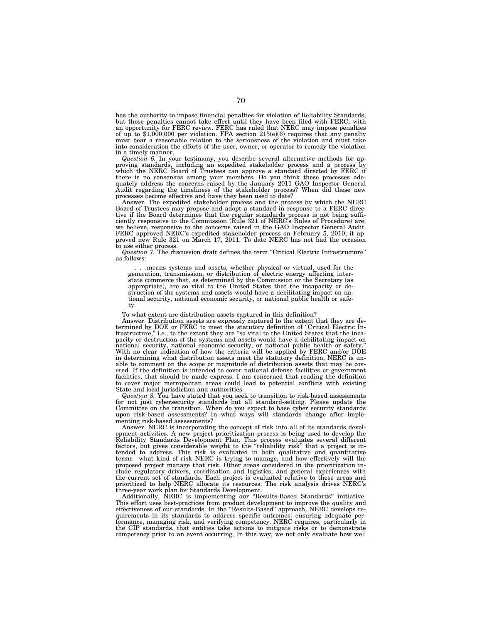has the authority to impose financial penalties for violation of Reliability Standards, but those penalties cannot take effect until they have been filed with FERC, with an opportunity for FERC review. FERC has ruled that NERC may impose penalties of up to \$1,000,000 per violation. FPA section 215(e)(6) requires that any penalty must bear a reasonable relation to the seriousness of the violation and must take into consideration the efforts of the user, owner, or operator to remedy the violation in a timely manner.

*Question 6.* In your testimony, you describe several alternative methods for approving standards, including an expedited stakeholder process and a process by<br>which the NERC Board of Trustees can approve a standard directed by FERC if<br>there is no consensus among your members. Do you think these proces quately address the concerns raised by the January 2011 GAO Inspector General Audit regarding the timeliness of the stakeholder process? When did these new processes become effective and have they been used to date? Answer. The expedited stakeholder process and the process by which the NERC

Board of Trustees may propose and adopt a standard in response to a FERC direc-tive if the Board determines that the regular standards process is not being sufficiently responsive to the Commission (Rule 321 of NERC's Rules of Procedure) are, we believe, responsive to the concerns raised in the GAO Inspector General Audit. FERC approved NERC's expedited stakeholder process on February 5, 2010; it ap-proved new Rule 321 on March 17, 2011. To date NERC has not had the occasion to use either process.<br>*Question 7.* The discussion draft defines the term "Critical Electric Infrastructure"

as follows:

. . .means systems and assets, whether physical or virtual, used for the generation, transmission, or distribution of electric energy affecting interstate commerce that, as determined by the Commission or the Secretary (as appropriate), are so vital to the United States that the incapacity or destruction of the systems and assets would have a debilitating impact on national security, national economic security, or national public health or safety.

To what extent are distribution assets captured in this definition?

Answer. Distribution assets are expressly captured to the extent that they are determined by DOE or FERC to meet the statutory definition of ''Critical Electric In-frastructure,'' i.e., to the extent they are ''so vital to the United States that the incapacity or destruction of the systems and assets would have a debilitating impact on national security, national economic security, or national public health or safety.'' With no clear indication of how the criteria will be applied by FERC and/or DOE in determining what distribution assets meet the statutory definition, NERC is un-able to comment on the scope or magnitude of distribution assets that may be covered. If the definition is intended to cover national defense facilities or government facilities, that should be made express. I am concerned that reading the definition to cover major metropolitan areas could lead to potential conflicts with existing State and local jurisdiction and authorities.

*Question 8.* You have stated that you seek to transition to risk-based assessments for not just cybersecurity standards but all standard-setting. Please update the Committee on the transition. When do you expect to base cyber security standards upon risk-based assessments? In what ways will standards change after implementing risk-based assessments?

Answer. NERC is incorporating the concept of risk into all of its standards development activities. A new project prioritization process is being used to develop the Reliability Standards Development Plan. This process evaluates several different factors, but gives considerable weight to the ''reliability risk'' that a project is intended to address. This risk is evaluated in both qualitative and quantitative terms—what kind of risk NERC is trying to manage, and how effectively will the proposed project manage that risk. Other areas considered in the prioritization include regulatory drivers, coordination and logistics, and general experiences with the current set of standards. Each project is evaluated relative to these areas and prioritized to help NERC allocate its resources. The risk analysis drives NERC's three-year work plan for Standards Development.

Additionally, NERC is implementing our ''Results-Based Standards'' initiative. This effort uses best-practices from product development to improve the quality and effectiveness of our standards. In the ''Results-Based'' approach, NERC develops requirements in its standards to address specific outcomes: ensuring adequate performance, managing risk, and verifying competency. NERC requires, particularly in the CIP standards, that entities take actions to mitigate risks or to demonstrate competency prior to an event occurring. In this way, we not only evaluate how well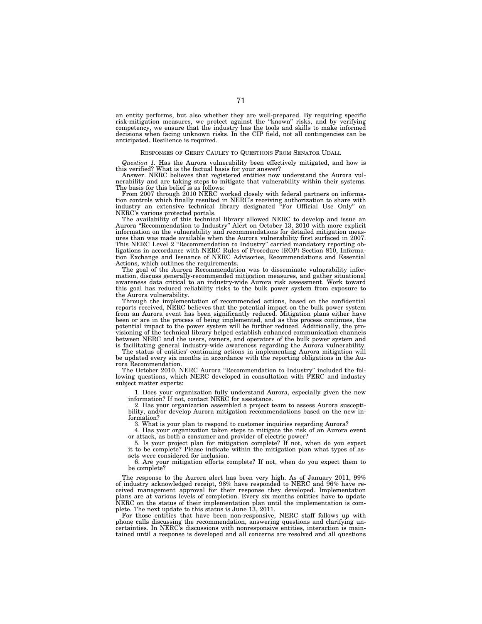an entity performs, but also whether they are well-prepared. By requiring specific risk-mitigation measures, we protect against the ''known'' risks, and by verifying competency, we ensure that the industry has the tools and skills to make informed decisions when facing unknown risks. In the CIP field, not all contingencies can be anticipated. Resilience is required.

## RESPONSES OF GERRY CAULEY TO QUESTIONS FROM SENATOR UDALL

*Question 1.* Has the Aurora vulnerability been effectively mitigated, and how is this verified? What is the factual basis for your answer?

Answer. NERC believes that registered entities now understand the Aurora vulnerability and are taking steps to mitigate that vulnerability within their systems. The basis for this belief is as follows:

From 2007 through 2010 NERC worked closely with federal partners on information controls which finally resulted in NERC's receiving authorization to share with industry an extensive technical library designated ''For Official Use Only'' on NERC's various protected portals.

The availability of this technical library allowed NERC to develop and issue an Aurora ''Recommendation to Industry'' Alert on October 13, 2010 with more explicit information on the vulnerability and recommendations for detailed mitigation measures than was made available when the Aurora vulnerability first surfaced in 2007. This NERC Level 2 ''Recommendation to Industry'' carried mandatory reporting obligations in accordance with NERC Rules of Procedure (ROP) Section 810, Information Exchange and Issuance of NERC Advisories, Recommendations and Essential Actions, which outlines the requirements.

The goal of the Aurora Recommendation was to disseminate vulnerability information, discuss generally-recommended mitigation measures, and gather situational awareness data critical to an industry-wide Aurora risk assessment. Work toward this goal has reduced reliability risks to the bulk power system from exposure to the Aurora vulnerability.

Through the implementation of recommended actions, based on the confidential reports received, NERC believes that the potential impact on the bulk power system from an Aurora event has been significantly reduced. Mitigation plans either have been or are in the process of being implemented, and as this process continues, the potential impact to the power system will be further reduced. Additionally, the provisioning of the technical library helped establish enhanced communication channels between NERC and the users, owners, and operators of the bulk power system and is facilitating general industry-wide awareness regarding the Aurora vulnerability.

The status of entities' continuing actions in implementing Aurora mitigation will be updated every six months in accordance with the reporting obligations in the Aurora Recommendation.

The October 2010, NERC Aurora ''Recommendation to Industry'' included the following questions, which NERC developed in consultation with FERC and industry subject matter experts:

1. Does your organization fully understand Aurora, especially given the new information? If not, contact NERC for assistance.

2. Has your organization assembled a project team to assess Aurora susceptibility, and/or develop Aurora mitigation recommendations based on the new information?

3. What is your plan to respond to customer inquiries regarding Aurora?

4. Has your organization taken steps to mitigate the risk of an Aurora event or attack, as both a consumer and provider of electric power?

5. Is your project plan for mitigation complete? If not, when do you expect it to be complete? Please indicate within the mitigation plan what types of assets were considered for inclusion.

6. Are your mitigation efforts complete? If not, when do you expect them to be complete?

The response to the Aurora alert has been very high. As of January 2011, 99% of industry acknowledged receipt, 98% have responded to NERC and 96% have received management approval for their response they developed. Implementation plans are at various levels of completion. Every six months entities have to update NERC on the status of their implementation plan until the implementation is complete. The next update to this status is June 13, 2011.

For those entities that have been non-responsive, NERC staff follows up with phone calls discussing the recommendation, answering questions and clarifying un-certainties. In NERC's discussions with nonresponsive entities, interaction is maintained until a response is developed and all concerns are resolved and all questions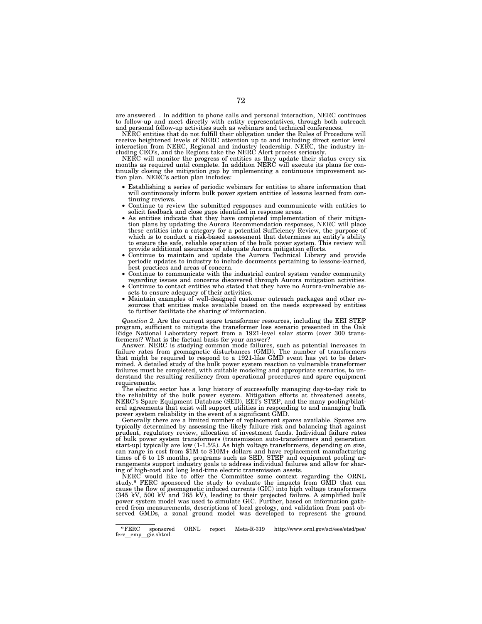are answered. . In addition to phone calls and personal interaction, NERC continues to follow-up and meet directly with entity representatives, through both outreach and personal follow-up activities such as webinars and technical conferences.

NERC entities that do not fulfill their obligation under the Rules of Procedure will receive heightened levels of NERC attention up to and including direct senior level interaction from NERC, Regional and industry leadership. NERC, the industry in-cluding CEO's, and the Regions take the NERC Alert process seriously.

NERC will monitor the progress of entities as they update their status every six months as required until complete. In addition NERC will execute its plans for continually closing the mitigation gap by implementing a continuous improvement action plan. NERC's action plan includes:

- Establishing a series of periodic webinars for entities to share information that will continuously inform bulk power system entities of lessons learned from continuing reviews.
- Continue to review the submitted responses and communicate with entities to solicit feedback and close gaps identified in response areas.
- As entities indicate that they have completed implementation of their mitigation plans by updating the Aurora Recommendation responses, NERC will place these entities into a category for a potential Sufficiency Review, the purpose of which is to conduct a risk-based assessment that determines an entity's ability to ensure the safe, reliable operation of the bulk power system. This review will<br>provide additional assurance of adequate Aurora mitigation efforts.
- Continue to maintain and update the Aurora Technical Library and provide periodic updates to industry to include documents pertaining to lessons-learned, best practices and areas of concern.
- Continue to communicate with the industrial control system vendor community regarding issues and concerns discovered through Aurora mitigation activities.
- Continue to contact entities who stated that they have no Aurora-vulnerable assets to ensure adequacy of their activities.
- Maintain examples of well-designed customer outreach packages and other resources that entities make available based on the needs expressed by entities to further facilitate the sharing of information.

*Question 2.* Are the current spare transformer resources, including the EEI STEP program, sufficient to mitigate the transformer loss scenario presented in the Oak Ridge National Laboratory report from a 1921-level solar storm (over 300 transformers)? What is the factual basis for your answer?

Answer. NERC is studying common mode failures, such as potential increases in failure rates from geomagnetic disturbances (GMD). The number of transformers that might be required to respond to a 1921-like GMD event has yet to be deter-mined. A detailed study of the bulk power system reaction to vulnerable transformer failures must be completed, with suitable modeling and appropriate scenarios, to un-derstand the resulting resiliency from operational procedures and spare equipment requirements.

The electric sector has a long history of successfully managing day-to-day risk to the reliability of the bulk power system. Mitigation efforts at threatened assets, NERC's Spare Equipment Database (SED), EEI's STEP, and the many pooling/bilateral agreements that exist will support utilities in responding to and managing bulk power system reliability in the event of a significant GMD.

Generally there are a limited number of replacement spares available. Spares are typically determined by assessing the likely failure risk and balancing that against prudent, regulatory review, allocation of investment funds. Individual failure rates of bulk power system transformers (transmission auto-transformers and generation start-up) typically are low (1-1.5%). As high voltage transformers, depending on size, can range in cost from \$1M to \$10M+ dollars and have replacement manufacturing times of 6 to 18 months, programs such as SED, STEP and equipment pooling arrangements support industry goals to address individual failures and allow for shar-ing of high-cost and long lead-time electric transmission assets.

NERC would like to offer the Committee some context regarding the ORNL study.9 FERC sponsored the study to evaluate the impacts from GMD that can cause the flow of geomagnetic induced currents (GIC) into high voltage transformers<br>(345 kV, 500 kV and 765 kV), leading to their projected failure. A simplified bulk<br>power system model was used to simulate GIC. Further, b ered from measurements, descriptions of local geology, and validation from past ob-served GMDs, a zonal ground model was developed to represent the ground

 $^{9}$  FERC sponsored ORNL report Meta-R-319 http://www.ornl.gov/sci/ees/etsd/pes/<br>ferc emp gic.shtml. gic.shtml.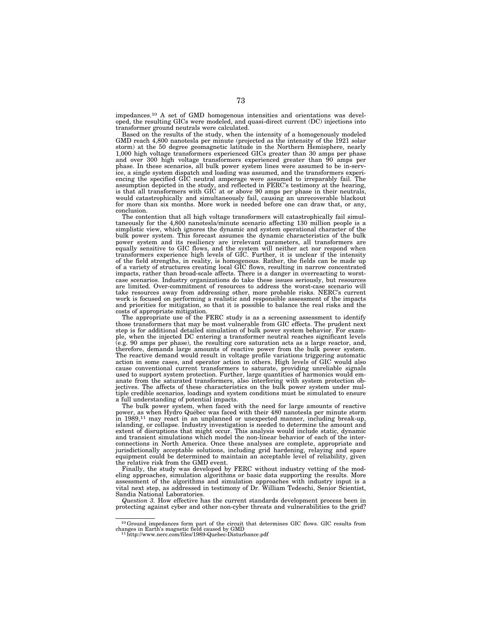impedances.10 A set of GMD homogenous intensities and orientations was developed, the resulting GICs were modeled, and quasi-direct current (DC) injections into transformer ground neutrals were calculated.

Based on the results of the study, when the intensity of a homogenously modeled GMD reach 4,800 nanotesla per minute (projected as the intensity of the 1921 solar storm) at the 50 degree geomagnetic latitude in the Northern Hemisphere, nearly 1,000 high voltage transformers experienced GICs greater than 30 amps per phase and over 300 high voltage transformers experienced greater than 90 amps per phase. In these scenarios, all bulk power system lines were assumed to be in-service, a single system dispatch and loading was assumed, and the transformers experiencing the specified GIC neutral amperage were assumed to irreparably fail. The assumption depicted in the study, and reflected in FERC's testimony at the hearing, is that all transformers with GIC at or above 90 amps per phase in their neutrals, would catastrophically and simultaneously fail, causing an unrecoverable blackout for more than six months. More work is needed before one can draw that, or any, conclusion.

The contention that all high voltage transformers will catastrophically fail simultaneously for the 4,800 nanotesla/minute scenario affecting 130 million people is a simplistic view, which ignores the dynamic and system operational character of the bulk power system. This forecast assumes the dynamic characteristics of the bulk power system and its resiliency are irrelevant parameters, all transformers are equally sensitive to GIC flows, and the system will neither act nor respond when transformers experience high levels of GIC. Further, it is unclear if the intensity of the field strengths, in reality, is homogenous. Rather, the fields can be made up of a variety of structures creating local GIC flows, resulting in narrow concentrated impacts, rather than broad-scale affects. There is a danger in overreacting to worstcase scenarios. Industry organizations do take these issues seriously, but resources are limited. Over-commitment of resources to address the worst-case scenario will take resources away from addressing other, more probable risks. NERC's current work is focused on performing a realistic and responsible assessment of the impacts and priorities for mitigation, so that it is possible to balance the real risks and the costs of appropriate mitigation.

The appropriate use of the FERC study is as a screening assessment to identify those transformers that may be most vulnerable from GIC effects. The prudent next step is for additional detailed simulation of bulk power system behavior. For example, when the injected DC entering a transformer neutral reaches significant levels (e.g. 90 amps per phase), the resulting core saturation acts as a large reactor, and, therefore, demands large amounts of reactive power from the bulk power system. The reactive demand would result in voltage profile variations triggering automatic action in some cases, and operator action in others. High levels of GIC would also cause conventional current transformers to saturate, providing unreliable signals used to support system protection. Further, large quantities of harmonics would emanate from the saturated transformers, also interfering with system protection objectives. The affects of these characteristics on the bulk power system under multiple credible scenarios, loadings and system conditions must be simulated to ensure a full understanding of potential impacts.

The bulk power system, when faced with the need for large amounts of reactive power, as when Hydro Québec was faced with their 480 nanotesla per minute storm in 1989,<sup>11</sup> may react in an unplanned or unexpected manner, including break-up, islanding, or collapse. Industry investigation is needed to determine the amount and extent of disruptions that might occur. This analysis would include static, dynamic and transient simulations which model the non-linear behavior of each of the interconnections in North America. Once these analyses are complete, appropriate and jurisdictionally acceptable solutions, including grid hardening, relaying and spare equipment could be determined to maintain an acceptable level of reliability, given the relative risk from the GMD event.

Finally, the study was developed by FERC without industry vetting of the modeling approaches, simulation algorithms or basic data supporting the results. More assessment of the algorithms and simulation approaches with industry input is a vital next step, as addressed in testimony of Dr. William Tedeschi, Senior Scientist, Sandia National Laboratories.

*Question 3.* How effective has the current standards development process been in protecting against cyber and other non-cyber threats and vulnerabilities to the grid?

<sup>10</sup>Ground impedances form part of the circuit that determines GIC flows. GIC results from changes in Earth's magnetic field caused by GMD 11http://www.nerc.com/files/1989-Quebec-Disturbance.pdf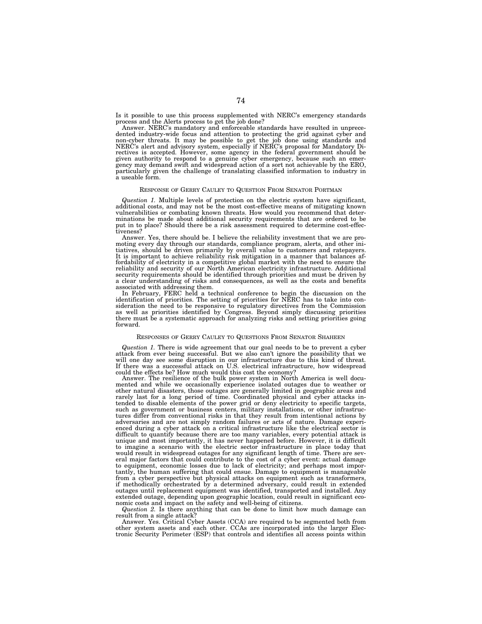Is it possible to use this process supplemented with NERC's emergency standards process and the Alerts process to get the job done?

Answer. NERC's mandatory and enforceable standards have resulted in unprecedented industry-wide focus and attention to protecting the grid against cyber and non-cyber threats. It may be possible to get the job done using standards and NERC's alert and advisory system, especially if NERC's proposal for Mandatory Directives is accepted. However, some agency in the federal government should be given authority to respond to a genuine cyber emergency, because such an emergency may demand swift and widespread action of a sort not achievable by the ERO, particularly given the challenge of translating classified information to industry in a useable form.

# RESPONSE OF GERRY CAULEY TO QUESTION FROM SENATOR PORTMAN

*Question 1.* Multiple levels of protection on the electric system have significant, additional costs, and may not be the most cost-effective means of mitigating known vulnerabilities or combating known threats. How would you recommend that determinations be made about additional security requirements that are ordered to be put in to place? Should there be a risk assessment required to determine cost-effectiveness?

Answer. Yes, there should be. I believe the reliability investment that we are pro-moting every day through our standards, compliance program, alerts, and other initiatives, should be driven primarily by overall value to customers and ratepayers. It is important to achieve reliability risk mitigation in a manner that balances affordability of electricity in a competitive global market with the need to ensure the reliability and security of our North American electricity infrastructure. Additional security requirements should be identified through priorities and must be driven by a clear understanding of risks and consequences, as well as the costs and benefits

associated with addressing them. In February, FERC held a technical conference to begin the discussion on the identification of priorities. The setting of priorities for NERC has to take into con-sideration the need to be responsive to regulatory directives from the Commission as well as priorities identified by Congress. Beyond simply discussing priorities there must be a systematic approach for analyzing risks and setting priorities going forward.

# RESPONSES OF GERRY CAULEY TO QUESTIONS FROM SENATOR SHAHEEN

*Question 1.* There is wide agreement that our goal needs to be to prevent a cyber attack from ever being successful. But we also can't ignore the possibility that we will one day see some disruption in our infrastructure due to this kind of threat. If there was a successful attack on U.S. electrical infrastructure, how widespread could the effects be? How much would this cost the economy?

Answer. The resilience of the bulk power system in North America is well documented and while we occasionally experience isolated outages due to weather or other natural disasters, those outages are generally limited in geographic areas and rarely last for a long period of time. Coordinated physical and cyber attacks intended to disable elements of the power grid or deny electricity to specific targets, such as government or business centers, military installations, or other infrastructures differ from conventional risks in that they result from intentional actions by adversaries and are not simply random failures or acts of nature. Damage experienced during a cyber attack on a critical infrastructure like the electrical sector is difficult to quantify because there are too many variables, every potential attack is unique and most importantly, it has never happened before. However, it is difficult to imagine a scenario with the electric sector infrastructure in place today that would result in widespread outages for any significant length of time. There are several major factors that could contribute to the cost of a cyber event: actual damage to equipment, economic losses due to lack of electricity; and perhaps most importantly, the human suffering that could ensue. Damage to equipment is manageable from a cyber perspective but physical attacks on equipment such as transformers, if methodically orchestrated by a determined adversary, could result in extended outages until replacement equipment was identified, transported and installed. Any extended outage, depending upon geographic location, could result in significant economic costs and impact on the safety and well-being of citizens.

*Question 2.* Is there anything that can be done to limit how much damage can result from a single attack?

Answer. Yes. Critical Cyber Assets (CCA) are required to be segmented both from other system assets and each other. CCAs are incorporated into the larger Electronic Security Perimeter (ESP) that controls and identifies all access points within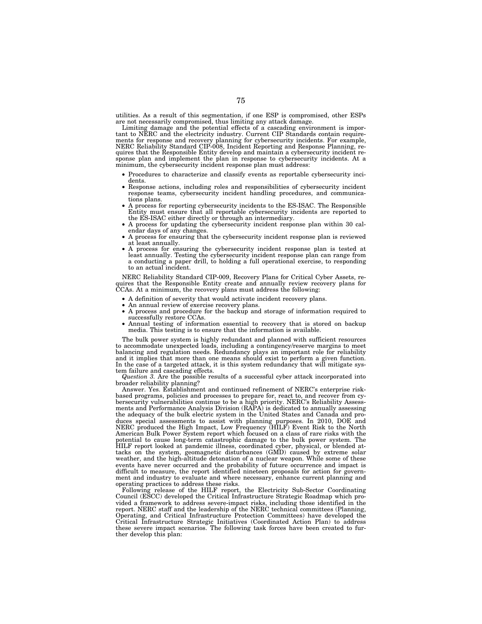utilities. As a result of this segmentation, if one ESP is compromised, other ESPs are not necessarily compromised, thus limiting any attack damage.

Limiting damage and the potential effects of a cascading environment is important to NERC and the electricity industry. Current CIP Standards contain requirements for response and recovery planning for cybersecurity incidents. For example, NERC Reliability Standard CIP-008, Incident Reporting and Response Planning, requires that the Responsible Entity develop and maintain a cybersecurity incident response plan and implement the plan in response to cybersecurity incidents. At a minimum, the cybersecurity incident response plan must address:

- Procedures to characterize and classify events as reportable cybersecurity inci-
- Response actions, including roles and responsibilities of cybersecurity incident response teams, cybersecurity incident handling procedures, and communica-
- A process for reporting cybersecurity incidents to the ES-ISAC. The Responsible Entity must ensure that all reportable cybersecurity incidents are reported to the ES-ISAC either directly or through an intermediary.
- A process for updating the cybersecurity incident response plan within 30 cal-<br>endar days of any changes.
- A process for ensuring that the cybersecurity incident response plan is reviewed at least annually.
- A process for ensuring the cybersecurity incident response plan is tested at least annually. Testing the cybersecurity incident response plan can range from a conducting a paper drill, to holding a full operational exercise, to responding to an actual incident.

NERC Reliability Standard CIP-009, Recovery Plans for Critical Cyber Assets, requires that the Responsible Entity create and annually review recovery plans for CCAs. At a minimum, the recovery plans must address the following:

- 
- 
- A definition of severity that would activate incident recovery plans.<br>• An annual review of exercise recovery plans.<br>• A process and procedure for the backup and storage of information required to successfully restore CC
- Annual testing of information essential to recovery that is stored on backup media. This testing is to ensure that the information is available.

The bulk power system is highly redundant and planned with sufficient resources to accommodate unexpected loads, including a contingency/reserve margins to meet balancing and regulation needs. Redundancy plays an important role for reliability and it implies that more than one means should exist to perform a given function. In the case of a targeted attack, it is this system redundancy that will mitigate system failure and cascading effects.

*Question 3.* Are the possible results of a successful cyber attack incorporated into broader reliability planning?

Answer. Yes. Establishment and continued refinement of NERC's enterprise riskbased programs, policies and processes to prepare for, react to, and recover from cybersecurity vulnerabilities continue to be a high priority. NERC's Reliability Assessments and Performance Analysis Division (RAPA) is dedicated to annually assessing the adequacy of the bulk electric system in the United States and Canada and produces special assessments to assist with planning purposes. In 2010, DOE and NERC produced the High Impact, Low Frequency (HILF) Event Risk to the North American Bulk Power System report which focused on a class of rare risks with the potential to cause long-term catastrophic damage to the bulk power system. The HILF report looked at pandemic illness, coordinated cyber, physical, or blended attacks on the system, geomagnetic disturbances (GMD) caused by extreme solar weather, and the high-altitude detonation of a nuclear weapon. While some of these events have never occurred and the probability of future occurrence and impact is difficult to measure, the report identified nineteen proposals for action for government and industry to evaluate and where necessary, enhance current planning and operating practices to address these risks.

Following release of the HILF report, the Electricity Sub-Sector Coordinating Council (ESCC) developed the Critical Infrastructure Strategic Roadmap which provided a framework to address severe-impact risks, including those identified in the report. NERC staff and the leadership of the NERC technical committees (Planning, Operating, and Critical Infrastructure Protection Committees) have developed the Critical Infrastructure Strategic Initiatives (Coordinated Action Plan) to address these severe impact scenarios. The following task forces have been created to further develop this plan: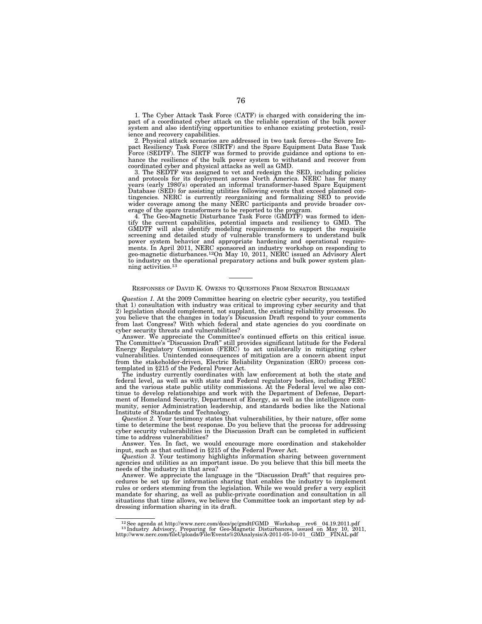1. The Cyber Attack Task Force (CATF) is charged with considering the impact of a coordinated cyber attack on the reliable operation of the bulk power system and also identifying opportunities to enhance existing protection, resilience and recovery capabilities.

2. Physical attack scenarios are addressed in two task forces—the Severe Impact Resiliency Task Force (SIRTF) and the Spare Equipment Data Base Task Force (SEDTF). The SIRTF was formed to provide guidance and options to enhance the resilience of the bulk power system to withstand and recover from coordinated cyber and physical attacks as well as GMD.

3. The SEDTF was assigned to vet and redesign the SED, including policies and protocols for its deployment across North America. NERC has for many years (early 1980's) operated an informal transformer-based Spare Equipment Database (SED) for assisting utilities following events that exceed planned contingencies. NERC is currently reorganizing and formalizing SED to provide wider coverage among the many NERC participants and provide broader coverage of the spare transformers to be reported to the program.

4. The Geo-Magnetic Disturbance Task Force (GMDTF) was formed to identify the current capabilities, potential impacts and resiliency to GMD. The GMDTF will also identify modeling requirements to support the requisite screening and detailed study of vulnerable transformers to understand bulk power system behavior and appropriate hardening and operational requirements. In April 2011, NERC sponsored an industry workshop on responding to geo-magnetic disturbances.12On May 10, 2011, NERC issued an Advisory Alert to industry on the operational preparatory actions and bulk power system planning activities.13

#### RESPONSES OF DAVID K. OWENS TO QUESTIONS FROM SENATOR BINGAMAN

*Question 1.* At the 2009 Committee hearing on electric cyber security, you testified that 1) consultation with industry was critical to improving cyber security and that 2) legislation should complement, not supplant, the existing reliability processes. Do you believe that the changes in today's Discussion Draft respond to your comments from last Congress? With which federal and state agencies do you coordinate on cyber security threats and vulnerabilities?

Answer. We appreciate the Committee's continued efforts on this critical issue. The Committee's ''Discussion Draft'' still provides significant latitude for the Federal Energy Regulatory Commission (FERC) to act unilaterally in mitigating cyber vulnerabilities. Unintended consequences of mitigation are a concern absent input from the stakeholder-driven, Electric Reliability Organization (ERO) process contemplated in §215 of the Federal Power Act.

The industry currently coordinates with law enforcement at both the state and federal level, as well as with state and Federal regulatory bodies, including FERC and the various state public utility commissions. At the Federal level we also continue to develop relationships and work with the Department of Defense, Department of Homeland Security, Department of Energy, as well as the intelligence community, senior Administration leadership, and standards bodies like the National Institute of Standards and Technology.

*Question 2.* Your testimony states that vulnerabilities, by their nature, offer some time to determine the best response. Do you believe that the process for addressing cyber security vulnerabilities in the Discussion Draft can be completed in sufficient time to address vulnerabilities?

Answer. Yes. In fact, we would encourage more coordination and stakeholder input, such as that outlined in §215 of the Federal Power Act.

*Question 3.* Your testimony highlights information sharing between government agencies and utilities as an important issue. Do you believe that this bill meets the needs of the industry in that area?

Answer. We appreciate the language in the "Discussion Draft" that requires procedures be set up for information sharing that enables the industry to implement rules or orders stemming from the legislation. While we would prefer a very explicit mandate for sharing, as well as public-private coordination and consultation in all situations that time allows, we believe the Committee took an important step by addressing information sharing in its draft.

<sup>&</sup>lt;sup>12</sup> See agenda at http://www.nerc.com/docs/pc/gmdtf/GMD\_Workshop\_rev6\_04.19.2011.pdf 1<sup>3</sup> Industry Advisory, Preparing for Geo-Magnetic Disturbances, issued on May 10, 2011,

http://www.nerc.com/fileUploads/File/Events%20Analysis/A-2011-05-10-01\_GMD\_FINAL.pdf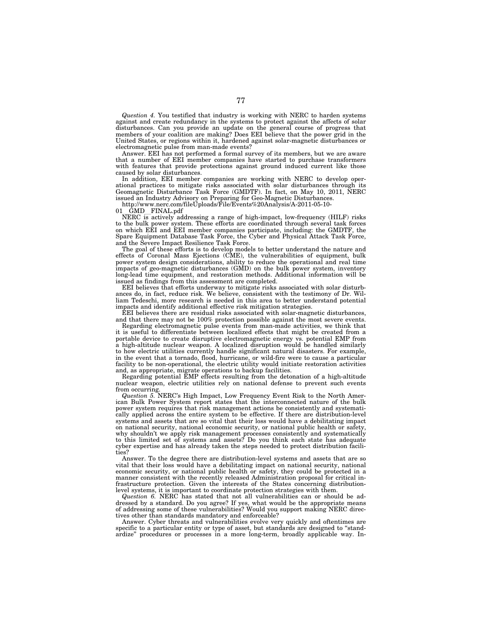*Question 4.* You testified that industry is working with NERC to harden systems against and create redundancy in the systems to protect against the affects of solar disturbances. Can you provide an update on the general course of progress that members of your coalition are making? Does EEI believe that the power grid in the United States, or regions within it, hardened against solar-magnetic disturbances or electromagnetic pulse from man-made events?

Answer. EEI has not performed a formal survey of its members, but we are aware that a number of EEI member companies have started to purchase transformers with features that provide protections against ground induced current like those caused by solar disturbances.

In addition, EEI member companies are working with NERC to develop operational practices to mitigate risks associated with solar disturbances through its Geomagnetic Disturbance Task Force (GMDTF). In fact, on May 10, 2011, NERC issued an Industry Advisory on Preparing for Geo-Magnetic Disturbances.

http://www.nerc.com/fileUploads/File/Events%20Analysis/A-2011-05-10-

01 GMD FINAL.pdf<br>NERC is actively addressing a range of high-impact, low-frequency (HILF) risks to the bulk power system. These efforts are coordinated through several task forces on which EEI and EEI member companies participate, including: the GMDTF, the Spare Equipment Database Task Force, the Cyber and Physical Attack Task Force, and the Severe Impact Resilience Task Force.

The goal of these efforts is to develop models to better understand the nature and effects of Coronal Mass Ejections (CME), the vulnerabilities of equipment, bulk power system design considerations, ability to reduce the operational and real time impacts of geo-magnetic disturbances (GMD) on the bulk power system, inventory long-lead time equipment, and restoration methods. Additional information will be issued as findings from this assessment are completed.

EEI believes that efforts underway to mitigate risks associated with solar disturbances do, in fact, reduce risk. We believe, consistent with the testimony of Dr. William Tedeschi, more research is needed in this area to better understand potential impacts and identify additional effective risk mitigation strategies.

EEI believes there are residual risks associated with solar-magnetic disturbances, and that there may not be 100% protection possible against the most severe events.

Regarding electromagnetic pulse events from man-made activities, we think that it is useful to differentiate between localized effects that might be created from a portable device to create disruptive electromagnetic energy vs. potential EMP from a high-altitude nuclear weapon. A localized disruption would be handled similarly to how electric utilities currently handle significant natural disasters. For example, in the event that a tornado, flood, hurricane, or wild-fire were to cause a particular facility to be non-operational, the electric utility would initiate restoration activities and, as appropriate, migrate operations to backup facilities.

Regarding potential EMP effects resulting from the detonation of a high-altitude nuclear weapon, electric utilities rely on national defense to prevent such events from occurring.

*Question 5.* NERC's High Impact, Low Frequency Event Risk to the North American Bulk Power System report states that the interconnected nature of the bulk power system requires that risk management actions be consistently and systematically applied across the entire system to be effective. If there are distribution-level systems and assets that are so vital that their loss would have a debilitating impact on national security, national economic security, or national public health or safety, why shouldn't we apply risk management processes consistently and systematically to this limited set of systems and assets? Do you think each state has adequate cyber expertise and has already taken the steps needed to protect distribution facilities?

Answer. To the degree there are distribution-level systems and assets that are so vital that their loss would have a debilitating impact on national security, national economic security, or national public health or safety, they could be protected in a manner consistent with the recently released Administration proposal for critical infrastructure protection. Given the interests of the States concerning distributionlevel systems, it is important to coordinate protection strategies with them.

*Question 6.* NERC has stated that not all vulnerabilities can or should be addressed by a standard. Do you agree? If yes, what would be the appropriate means of addressing some of these vulnerabilities? Would you support making NERC directives other than standards mandatory and enforceable?

Answer. Cyber threats and vulnerabilities evolve very quickly and oftentimes are specific to a particular entity or type of asset, but standards are designed to "standardize'' procedures or processes in a more long-term, broadly applicable way. In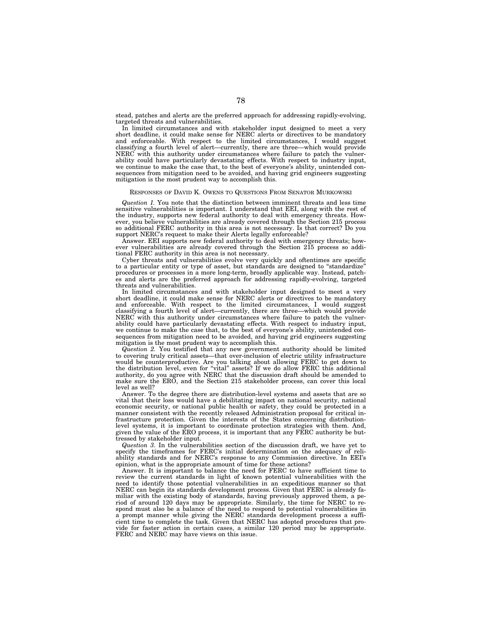stead, patches and alerts are the preferred approach for addressing rapidly-evolving, targeted threats and vulnerabilities.

In limited circumstances and with stakeholder input designed to meet a very short deadline, it could make sense for NERC alerts or directives to be mandatory and enforceable. With respect to the limited circumstances, I would suggest classifying a fourth level of alert—currently, there are three—which would provide NERC with this authority under circumstances where failure to patch the vulnerability could have particularly devastating effects. With respect to industry input, we continue to make the case that, to the best of everyone's ability, unintended consequences from mitigation need to be avoided, and having grid engineers suggesting mitigation is the most prudent way to accomplish this.

#### RESPONSES OF DAVID K. OWENS TO QUESTIONS FROM SENATOR MURKOWSKI

*Question 1.* You note that the distinction between imminent threats and less time sensitive vulnerabilities is important. I understand that EEI, along with the rest of the industry, supports new federal authority to deal with emergency threats. However, you believe vulnerabilities are already covered through the Section 215 process so additional FERC authority in this area is not necessary. Is that correct? Do you support NERC's request to make their Alerts legally enforceable?

Answer. EEI supports new federal authority to deal with emergency threats; however vulnerabilities are already covered through the Section 215 process so additional FERC authority in this area is not necessary.

Cyber threats and vulnerabilities evolve very quickly and oftentimes are specific to a particular entity or type of asset, but standards are designed to ''standardize'' procedures or processes in a more long-term, broadly applicable way. Instead, patches and alerts are the preferred approach for addressing rapidly-evolving, targeted threats and vulnerabilities.

In limited circumstances and with stakeholder input designed to meet a very short deadline, it could make sense for NERC alerts or directives to be mandatory and enforceable. With respect to the limited circumstances, I would suggest classifying a fourth level of alert—currently, there are three—which would provide NERC with this authority under circumstances where failure to patch the vulnerability could have particularly devastating effects. With respect to industry input, we continue to make the case that, to the best of everyone's ability, unintended consequences from mitigation need to be avoided, and having grid engineers suggesting mitigation is the most prudent way to accomplish this.

*Question 2.* You testified that any new government authority should be limited to covering truly critical assets—that over-inclusion of electric utility infrastructure would be counterproductive. Are you talking about allowing FERC to get down to the distribution level, even for ''vital'' assets? If we do allow FERC this additional authority, do you agree with NERC that the discussion draft should be amended to make sure the ERO, and the Section 215 stakeholder process, can cover this local level as well?

Answer. To the degree there are distribution-level systems and assets that are so vital that their loss would have a debilitating impact on national security, national economic security, or national public health or safety, they could be protected in a manner consistent with the recently released Administration proposal for critical infrastructure protection. Given the interests of the States concerning distributionlevel systems, it is important to coordinate protection strategies with them. And, given the value of the ERO process, it is important that any FERC authority be buttressed by stakeholder input.

*Question 3.* In the vulnerabilities section of the discussion draft, we have yet to specify the timeframes for FERC's initial determination on the adequacy of reliability standards and for NERC's response to any Commission directive. In EEI's opinion, what is the appropriate amount of time for these actions?

Answer. It is important to balance the need for FERC to have sufficient time to review the current standards in light of known potential vulnerabilities with the need to identify those potential vulnerabilities in an expeditious manner so that NERC can begin its standards development process. Given that FERC is already familiar with the existing body of standards, having previously approved them, a period of around 120 days may be appropriate. Similarly, the time for NERC to respond must also be a balance of the need to respond to potential vulnerabilities in a prompt manner while giving the NERC standards development process a sufficient time to complete the task. Given that NERC has adopted procedures that provide for faster action in certain cases, a similar 120 period may be appropriate. FERC and NERC may have views on this issue.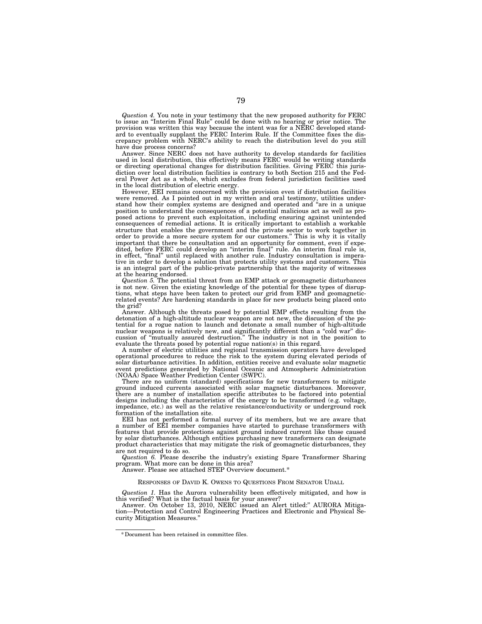*Question 4.* You note in your testimony that the new proposed authority for FERC to issue an ''Interim Final Rule'' could be done with no hearing or prior notice. The provision was written this way because the intent was for a NERC developed standard to eventually supplant the FERC Interim Rule. If the Committee fixes the discrepancy problem with NERC's ability to reach the distribution level do you still have due process concerns?

Answer. Since NERC does not have authority to develop standards for facilities used in local distribution, this effectively means FERC would be writing standards or directing operational changes for distribution facilities. Giving FERC this jurisdiction over local distribution facilities is contrary to both Section 215 and the Federal Power Act as a whole, which excludes from federal jurisdiction facilities used in the local distribution of electric energy.

However, EEI remains concerned with the provision even if distribution facilities were removed. As I pointed out in my written and oral testimony, utilities understand how their complex systems are designed and operated and "are in a unique position to understand the consequences of a potential malicious act as well as proposed actions to prevent such exploitation, including ensuring against unintended consequences of remedial actions. It is critically important to establish a workable structure that enables the government and the private sector to work together in order to provide a more secure system for our customers.'' This is why it is vitally important that there be consultation and an opportunity for comment, even if expedited, before FERC could develop an ''interim final'' rule. An interim final rule is, in effect, "final" until replaced with another rule. Industry consultation is imperative in order to develop a solution that protects utility systems and customers. This is an integral part of the public-private partnership that the majority of witnesses at the hearing endorsed.

*Question 5.* The potential threat from an EMP attack or geomagnetic disturbances is not new. Given the existing knowledge of the potential for these types of disruptions, what steps have been taken to protect our grid from EMP and geomagneticrelated events? Are hardening standards in place for new products being placed onto the grid?

Answer. Although the threats posed by potential EMP effects resulting from the detonation of a high-altitude nuclear weapon are not new, the discussion of the potential for a rogue nation to launch and detonate a small number of high-altitude nuclear weapons is relatively new, and significantly different than a "cold war" discussion of ''mutually assured destruction.'' The industry is not in the position to evaluate the threats posed by potential rogue nation(s) in this regard.

A number of electric utilities and regional transmission operators have developed operational procedures to reduce the risk to the system during elevated periods of solar disturbance activities. In addition, entities receive and evaluate solar magnetic event predictions generated by National Oceanic and Atmospheric Administration (NOAA) Space Weather Prediction Center (SWPC).

There are no uniform (standard) specifications for new transformers to mitigate ground induced currents associated with solar magnetic disturbances. Moreover, there are a number of installation specific attributes to be factored into potential designs including the characteristics of the energy to be transformed (e.g. voltage, impedance, etc.) as well as the relative resistance/conductivity or underground rock formation of the installation site.

EEI has not performed a formal survey of its members, but we are aware that a number of EEI member companies have started to purchase transformers with features that provide protections against ground induced current like those caused by solar disturbances. Although entities purchasing new transformers can designate product characteristics that may mitigate the risk of geomagnetic disturbances, they are not required to do so.

*Question 6.* Please describe the industry's existing Spare Transformer Sharing program. What more can be done in this area?

Answer. Please see attached STEP Overview document.\*

# RESPONSES OF DAVID K. OWENS TO QUESTIONS FROM SENATOR UDALL

*Question 1.* Has the Aurora vulnerability been effectively mitigated, and how is this verified? What is the factual basis for your answer?

Answer. On October 13, 2010, NERC issued an Alert titled:'' AURORA Mitigation—Protection and Control Engineering Practices and Electronic and Physical Security Mitigation Measures.''

<sup>\*</sup> Document has been retained in committee files.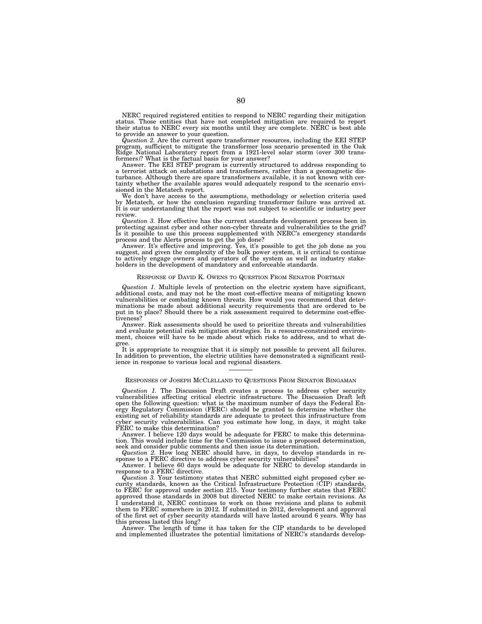NERC required registered entities to respond to NERC regarding their mitigation status. Those entities that have not completed mitigation are required to report their status to NERC every six months until they are complete. NERC is best able to provide an answer to your question.

*Question 2.* Are the current spare transformer resources, including the EEI STEP program, sufficient to mitigate the transformer loss scenario presented in the Oak Ridge National Laboratory report from a 1921-level solar storm (over 300 trans-formers)? What is the factual basis for your answer?

Answer. The EEI STEP program is currently structured to address responding to a terrorist attack on substations and transformers, rather than a geomagnetic dis-turbance. Although there are spare transformers available, it is not known with certainty whether the available spares would adequately respond to the scenario envisioned in the Metatech report.

We don't have access to the assumptions, methodology or selection criteria used by Metatech, or how the conclusion regarding transformer failure was arrived at. It is our understanding that the report was not subject to scientific or industry peer review.

*Question 3.* How effective has the current standards development process been in protecting against cyber and other non-cyber threats and vulnerabilities to the grid?

Is it possible to use this process supplemented with NERC's emergency standards<br>process and the Alerts process to get the job done?<br>Answer. It's effective and improving. Yes, it's possible to get the job done as you<br>sugges

## RESPONSE OF DAVID K. OWENS TO QUESTION FROM SENATOR PORTMAN

*Question 1.* Multiple levels of protection on the electric system have significant, additional costs, and may not be the most cost-effective means of mitigating known vulnerabilities or combating known threats. How would you recommend that determinations be made about additional security requirements that are ordered to be put in to place? Should there be a risk assessment required to determine cost-effectiveness?

Answer. Risk assessments should be used to prioritize threats and vulnerabilities and evaluate potential risk mitigation strategies. In a resource-constrained environment, choices will have to be made about which risks to address, and to what degree.

It is appropriate to recognize that it is simply not possible to prevent all failures. In addition to prevention, the electric utilities have demonstrated a significant resilience in response to various local and regional disasters.

## RESPONSES OF JOSEPH MCCLELLAND TO QUESTIONS FROM SENATOR BINGAMAN

*Question 1.* The Discussion Draft creates a process to address cyber security vulnerabilities affecting critical electric infrastructure. The Discussion Draft left open the following question: what is the maximum number of days the Federal Energy Regulatory Commission (FERC) should be granted to determine whether the existing set of reliability standards are adequate to protect this infrastructure from cyber security vulnerabilities. Can you estimate how long, in days, it might take FERC to make this determination?

Answer. I believe 120 days would be adequate for FERC to make this determination. This would include time for the Commission to issue a proposed determination, seek and consider public comments and then issue its determination.

*Question 2.* How long NERC should have, in days, to develop standards in re-

sponse to a FERC directive to address cyber security vulnerabilities? Answer. I believe 60 days would be adequate for NERC to develop standards in response to a FERC directive.

*Question 3.* Your testimony states that NERC submitted eight proposed cyber security standards, known as the Critical Infrastructure Protection (CIP) standards, to FERC for approval under section 215. Your testimony further states that FERC approved those standards in 2008 but directed NERC to make certain revisions. As I understand it, NERC continues to work on those revisions and plans to submit them to FERC somewhere in 2012. If submitted in 2012, development and approval of the first set of cyber security standards will have lasted around 6 years. Why has this process lasted this long?

Answer. The length of time it has taken for the CIP standards to be developed and implemented illustrates the potential limitations of NERC's standards develop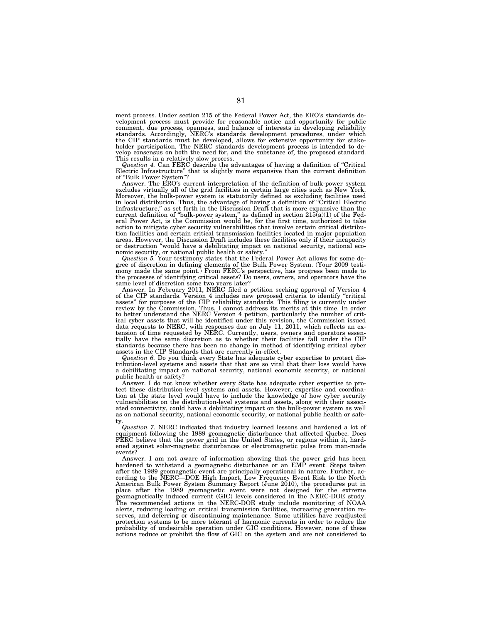ment process. Under section 215 of the Federal Power Act, the ERO's standards development process must provide for reasonable notice and opportunity for public<br>comment, due process, openness, and balance of interests in developing reliability<br>standards. Accordingly, NERC's standards development proced the CIP standards must be developed, allows for extensive opportunity for stake-holder participation. The NERC standards development process is intended to develop consensus on both the need for, and the substance of, the proposed standard. This results in a relatively slow process.

*Question 4.* Can FERC describe the advantages of having a definition of ''Critical Electric Infrastructure'' that is slightly more expansive than the current definition of ''Bulk Power System''?

Answer. The ERO's current interpretation of the definition of bulk-power system excludes virtually all of the grid facilities in certain large cities such as New York. Moreover, the bulk-power system is statutorily defined as excluding facilities used in local distribution. Thus, the advantage of having a definition of ''Critical Electric Infrastructure,'' as set forth in the Discussion Draft that is more expansive than the current definition of ''bulk-power system,'' as defined in section 215(a)(1) of the Federal Power Act, is the Commission would be, for the first time, authorized to take action to mitigate cyber security vulnerabilities that involve certain critical distribution facilities and certain critical transmission facilities located in major population areas. However, the Discussion Draft includes these facilities only if their incapacity or destruction ''would have a debilitating impact on national security, national economic security, or national public health or safety.

*Question 5.* Your testimony states that the Federal Power Act allows for some degree of discretion in defining elements of the Bulk Power System. (Your 2009 testimony made the same point.) From FERC's perspective, has progress been made to the processes of identifying critical assets? Do users, owners, and operators have the

same level of discretion some two years later?<br>Answer. In February 2011, NERC filed a petition seeking approval of Version 4<br>of the CIP standards. Version 4 includes new proposed criteria to identify "critical<br>assets" for review by the Commission. Thus, I cannot address its merits at this time. In order to better understand the NERC Version 4 petition, particularly the number of critical cyber assets that will be identified under this revision, the Commission issued data requests to NERC, with responses due on July 11, 2011, which reflects an extension of time requested by NERC. Currently, users, owners and operators essentially have the same discretion as to whether their facilities standards because there has been no change in method of identifying critical cyber assets in the CIP Standards that are currently in-effect.

*Question 6.* Do you think every State has adequate cyber expertise to protect distribution-level systems and assets that that are so vital that their loss would have a debilitating impact on national security, national economic security, or national public health or safety?

Answer. I do not know whether every State has adequate cyber expertise to protect these distribution-level systems and assets. However, expertise and coordination at the state level would have to include the knowledge of how cyber security vulnerabilities on the distribution-level systems and assets, along with their associated connectivity, could have a debilitating impact on the bulk-power system as well as on national security, national economic security, or national public health or safety.

*Question 7.* NERC indicated that industry learned lessons and hardened a lot of equipment following the 1989 geomagnetic disturbance that affected Quebec. Does FERC believe that the power grid in the United States, or regions within it, hardened against solar-magnetic disturbances or electromagnetic pulse from man-made events?

Answer. I am not aware of information showing that the power grid has been hardened to withstand a geomagnetic disturbance or an EMP event. Steps taken after the 1989 geomagnetic event are principally operational in nature. Further, according to the NERC—DOE High Impact, Low Frequency Event Risk to the North American Bulk Power System Summary Report (June 2010), the procedures put in place after the 1989 geomagnetic event were not designed for the extreme geomagnetically induced current (GIC) levels considered in the NERC-DOE study. The recommended actions in the NERC-DOE study include monitoring of NOAA alerts, reducing loading on critical transmission facilities, increasing generation reserves, and deferring or discontinuing maintenance. Some utilities have readjusted protection systems to be more tolerant of harmonic currents in order to reduce the probability of undesirable operation under GIC conditions. However, none of these actions reduce or prohibit the flow of GIC on the system and are not considered to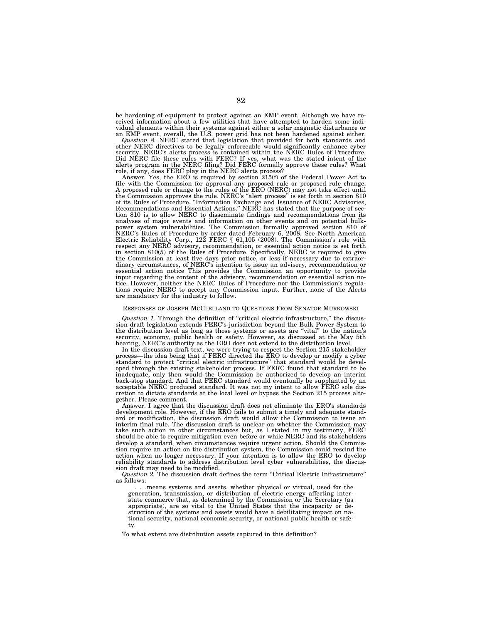be hardening of equipment to protect against an EMP event. Although we have received information about a few utilities that have attempted to harden some indi-

vidual elements within their systems against either a solar magnetic disturbance or<br>an EMP event, overall, the U.S. power grid has not been hardened against either.<br>Question 8. NERC stated that legislation that provided fo security. NERC's alerts process is contained within the NERC Rules of Procedure.<br>Did NERC file these rules with FERC? If yes, what was the stated intent of the<br>alerts program in the NERC filing? Did FERC formally approve t

file with the Commission for approval any proposed rule or proposed rule change. A proposed rule or change to the rules of the ERO (NERC) may not take effect until the Commission approves the rule. NERC's "alert process" is set forth in section 810<br>of its Rules of Procedure, "Information Exchange and Issuance of NERC Advisories,<br>Recommendations and Essential Actions." NERC has stated tion 810 is to allow NERC to disseminate findings and recommendations from its analyses of major events and information on other events and on potential bulk-<br>power system vulnerabilities. The Commission formally approved section 810 of<br>NERC's Rules of Procedure by order dated February 6, 2008. See N the Commission at least five days prior notice, or less if necessary due to extraor-dinary circumstances, of NERC's intention to issue an advisory, recommendation or essential action notice This provides the Commission an opportunity to provide<br>input regarding the content of the advisory, recommendation or essential action no-<br>tice. However, neither the NERC Rules of Procedure nor the

## RESPONSES OF JOSEPH MCCLELLAND TO QUESTIONS FROM SENATOR MURKOWSKI

*Question 1.* Through the definition of ''critical electric infrastructure,'' the discussion draft legislation extends FERC's jurisdiction beyond the Bulk Power System to the distribution level as long as those systems or assets are ''vital'' to the nation's security, economy, public health or safety. However, as discussed at the May 5th hearing, NERC's authority as the ERO does not extend to the distribution level.

In the discussion draft text, we were trying to respect the Section 215 stakeholder<br>process—the idea being that if FERC directed the ERO to develop or modify a cyber<br>standard to protect "critical electric infrastructure" t inadequate, only then would the Commission be authorized to develop an interim back-stop standard. And that FERC standard would eventually be supplanted by an acceptable NERC produced standard. It was not my intent to allow FERC sole discretion to dictate standards at the local level or bypass the Section 215 process altogether. Please comment.

Answer. I agree that the discussion draft does not eliminate the ERO's standards development role. However, if the ERO fails to submit a timely and adequate standard or modification, the discussion draft would allow the Commission to issue an interim final rule. The discussion draft is unclear on whether the Commission may take such action in other circumstances but, as I stated in my testimony, FERC should be able to require mitigation even before or while NERC and its stakeholders develop a standard, when circumstances require urgent action. Should the Commission require an action on the distribution system, the Commission could rescind the action when no longer necessary. If your intention is to allow the ERO to develop reliability standards to address distribution level cyber vulnerabilities, the discussion draft may need to be modified.

*Question 2.* The discussion draft defines the term ''Critical Electric Infrastructure'' as follows:

. . .means systems and assets, whether physical or virtual, used for the generation, transmission, or distribution of electric energy affecting interstate commerce that, as determined by the Commission or the Secretary (as appropriate), are so vital to the United States that the incapacity or destruction of the systems and assets would have a debilitating impact on national security, national economic security, or national public health or safety.

To what extent are distribution assets captured in this definition?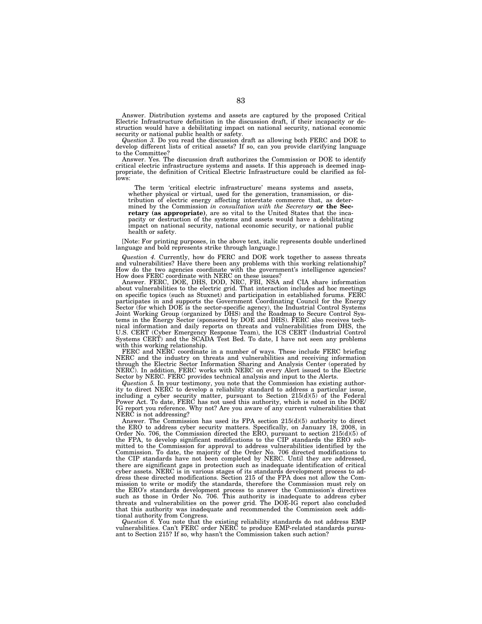Answer. Distribution systems and assets are captured by the proposed Critical Electric Infrastructure definition in the discussion draft, if their incapacity or destruction would have a debilitating impact on national security, national economic security or national public health or safety.

*Question 3.* Do you read the discussion draft as allowing both FERC and DOE to develop different lists of critical assets? If so, can you provide clarifying language to the Committee?

Answer. Yes. The discussion draft authorizes the Commission or DOE to identify critical electric infrastructure systems and assets. If this approach is deemed inappropriate, the definition of Critical Electric Infrastructure could be clarified as follows:

The term 'critical electric infrastructure' means systems and assets, whether physical or virtual, used for the generation, transmission, or distribution of electric energy affecting interstate commerce that, as determined by the Commission *in consultation with the Secretary* **or the Secretary (as appropriate)**, are so vital to the United States that the incapacity or destruction of the systems and assets would have a debilitating impact on national security, national economic security, or national public health or safety.

[Note: For printing purposes, in the above text, italic represents double underlined language and bold represents strike through language.]

*Question 4.* Currently, how do FERC and DOE work together to assess threats and vulnerabilities? Have there been any problems with this working relationship? How do the two agencies coordinate with the government's intelligence agencies? How does FERC coordinate with NERC on these issues?

Answer. FERC, DOE, DHS, DOD, NRC, FBI, NSA and CIA share information about vulnerabilities to the electric grid. That interaction includes ad hoc meetings on specific topics (such as Stuxnet) and participation in established forums. FERC participates in and supports the Government Coordinating Council for the Energy Sector (for which DOE is the sector-specific agency), the Industrial Control Systems Joint Working Group (organized by DHS) and the Roadmap to Secure Control Systems in the Energy Sector (sponsored by DOE and DHS). FERC also receives technical information and daily reports on threats and vulnerabilities from DHS, the U.S. CERT (Cyber Emergency Response Team), the ICS CERT (Industrial Control Systems CERT) and the SCADA Test Bed. To date, I have not seen any problems with this working relationship.

FERC and NERC coordinate in a number of ways. These include FERC briefing NERC and the industry on threats and vulnerabilities and receiving information through the Electric Sector Information Sharing and Analysis Center (operated by NERC). In addition, FERC works with NERC on every Alert issued to the Electric Sector by NERC. FERC provides technical analysis and input to the Alerts.

*Question 5.* In your testimony, you note that the Commission has existing authority to direct NERC to develop a reliability standard to address a particular issue, including a cyber security matter, pursuant to Section  $215(d)(5)$  of the Federal Power Act. To date, FERC has not used this authority, which is noted in the DOE/ IG report you reference. Why not? Are you aware of any current vulnerabilities that NERC is not addressing?

Answer. The Commission has used its FPA section 215(d)(5) authority to direct the ERO to address cyber security matters. Specifically, on January 18, 2008, in Order No. 706, the Commission directed the ERO, pursuant to section  $215(d)(5)$  of the FPA, to develop significant modifications to the CIP standards the ERO submitted to the Commission for approval to address vulnerabilities identified by the Commission. To date, the majority of the Order No. 706 directed modifications to the CIP standards have not been completed by NERC. Until they are addressed, there are significant gaps in protection such as inadequate identification of critical cyber assets. NERC is in various stages of its standards development process to address these directed modifications. Section 215 of the FPA does not allow the Commission to write or modify the standards, therefore the Commission must rely on the ERO's standards development process to answer the Commission's directives such as those in Order No. 706. This authority is inadequate to address cyber threats and vulnerabilities on the power grid. The DOE-IG report also concluded that this authority was inadequate and recommended the Commission seek additional authority from Congress.

*Question 6.* You note that the existing reliability standards do not address EMP vulnerabilities. Can't FERC order NERC to produce EMP-related standards pursuant to Section 215? If so, why hasn't the Commission taken such action?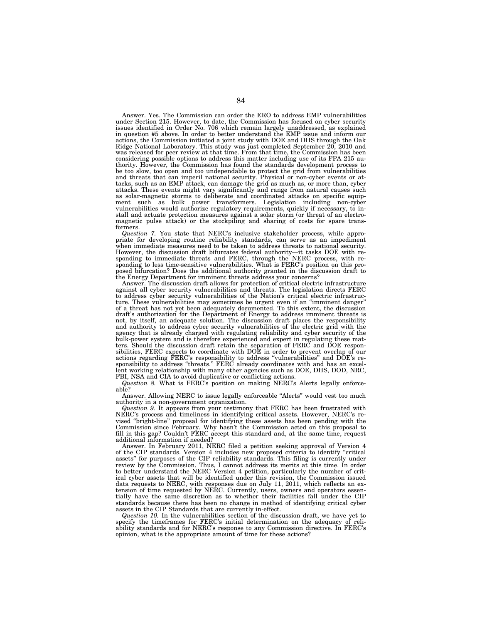Answer. Yes. The Commission can order the ERO to address EMP vulnerabilities under Section 215. However, to date, the Commission has focused on cyber security issues identified in Order No. 706 which remain largely unaddressed, as explained in question #5 above. In order to better understand the EMP issue and inform our actions, the Commission initiated a joint study with DOE and DHS through the Oak Ridge National Laboratory. This study was just completed September 20, 2010 and was released for peer review at that time. From that time, the Commission has been considering possible options to address this matter including use of its FPA 215 authority. However, the Commission has found the standards development process to be too slow, too open and too undependable to protect the grid from vulnerabilities and threats that can imperil national security. Physical or non-cyber events or attacks, such as an EMP attack, can damage the grid as much as, or more than, cyber attacks. These events might vary significantly and range from natural causes such as solar-magnetic storms to deliberate and coordinated attacks on specific equipment such as bulk power transformers. Legislation including non-cyber vulnerabilities would authorize regulatory requirements, quickly if necessary, to install and actuate protection measures against a solar storm (or threat of an electromagnetic pulse attack) or the stockpiling and sharing of costs for spare transformers.

*Question 7.* You state that NERC's inclusive stakeholder process, while appropriate for developing routine reliability standards, can serve as an impediment when immediate measures need to be taken to address threats to national security. However, the discussion draft bifurcates federal authority—it tasks DOE with responding to immediate threats and FERC, through the NERC process, with re-sponding to less time-sensitive vulnerabilities. What is FERC's position on this proposed bifurcation? Does the additional authority granted in the discussion draft to the Energy Department for imminent threats address your concerns?

Answer. The discussion draft allows for protection of critical electric infrastructure against all cyber security vulnerabilities and threats. The legislation directs FERC to address cyber security vulnerabilities of the Nation's critical electric infrastructure. These vulnerabilities may sometimes be urgent even if an "imminent danger"<br>of a threat has not yet been adequately documented. To draft's authorization for the Department of Energy to address imminent threats is not, by itself, an adequate solution. The discussion draft places the responsibility and authority to address cyber security vulnerabilities of the electric grid with the agency that is already charged with regulating reliability and cyber security of the bulk-power system and is therefore experienced and expert in regulating these matters. Should the discussion draft retain the separation of FERC and DOE responsibilities, FERC expects to coordinate with DOE in order to prevent overlap of our actions regarding FERC's responsibility to address ''vulnerabilities'' and DOE's re-sponsibility to address ''threats.'' FERC already coordinates with and has an excellent working relationship with many other agencies such as DOE, DHS, DOD, NRC, FBI, NSA and CIA to avoid duplicative or conflicting actions.

*Question 8.* What is FERC's position on making NERC's Alerts legally enforceable?

Answer. Allowing NERC to issue legally enforceable ''Alerts'' would vest too much authority in a non-government organization.

*Question 9.* It appears from your testimony that FERC has been frustrated with NERC's process and timeliness in identifying critical assets. However, NERC's revised ''bright-line'' proposal for identifying these assets has been pending with the Commission since February. Why hasn't the Commission acted on this proposal to fill in this gap? Couldn't FERC accept this standard and, at the same time, request additional information if needed?

Answer. In February 2011, NERC filed a petition seeking approval of Version 4 of the CIP standards. Version 4 includes new proposed criteria to identify ''critical assets'' for purposes of the CIP reliability standards. This filing is currently under review by the Commission. Thus, I cannot address its merits at this time. In order to better understand the NERC Version 4 petition, particularly the number of critical cyber assets that will be identified under this revision, the Commission issued data requests to NERC, with responses due on July 11, 2011, which reflects an extension of time requested by NERC. Currently, users, owners and operators essentially have the same discretion as to whether their facilities fall under the CIP standards because there has been no change in method of identifying critical cyber assets in the CIP Standards that are currently in-effect.

*Question 10.* In the vulnerabilities section of the discussion draft, we have yet to specify the timeframes for FERC's initial determination on the adequacy of reliability standards and for NERC's response to any Commission directive. In FERC's opinion, what is the appropriate amount of time for these actions?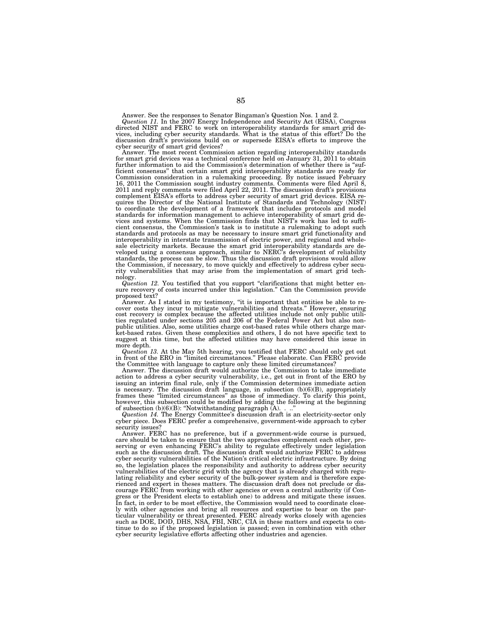Answer. See the responses to Senator Bingaman's Question Nos. 1 and 2.<br>Question 11. In the 2007 Energy Independence and Security Act (EISA), Congress<br>directed NIST and FERC to work on interoperability standards for smart g discussion draft's provisions build on or supersede EISA's efforts to improve the cyber security of smart grid devices?

Answer. The most recent Commission action regarding interoperability standards for smart grid devices was a technical conference held on January 31, 2011 to obtain further information to aid the Commission's determination of whether there is "sufficient consensus'' that certain smart grid interoperability standards are ready for Commission consideration in a rulemaking proceeding. By notice issued February 16, 2011 the Commission sought industry comments. Comments were filed April 8, 2011 and reply comments were filed April 22, 2011. The discussion draft's provisions complement EISA's efforts to address cyber security of smart grid devices. EISA re-quires the Director of the National Institute of Standards and Technology (NIST) to coordinate the development of a framework that includes protocols and model standards for information management to achieve interoperability of smart grid devices and systems. When the Commission finds that NIST's work has led to suffi-cient consensus, the Commission's task is to institute a rulemaking to adopt such standards and protocols as may be necessary to insure smart grid functionality and interoperability in interstate transmission of electric power, and regional and wholesale electricity markets. Because the smart grid interoperability standards are de-veloped using a consensus approach, similar to NERC's development of reliability standards, the process can be slow. Thus the discussion draft provisions would allow the Commission, if necessary, to move quickly and effectively to address cyber security vulnerabilities that may arise from the implementation of smart grid technology.

*Question 12.* You testified that you support ''clarifications that might better ensure recovery of costs incurred under this legislation.'' Can the Commission provide proposed text?

Answer. As I stated in my testimony, "it is important that entities be able to recover costs they incur to mitigate vulnerabilities and threats." However, ensuring cost recovery is complex because the affected utilities include not only public utilities regulated under sections 205 and 206 of the Federal Power Act but also nonpublic utilities. Also, some utilities charge cost-based rates while others charge market-based rates. Given these complexities and others, I do not have specific text to suggest at this time, but the affected utilities ma more depth.

Question 13. At the May 5th hearing, you testified that FERC should only get out in front of the ERO in "limited circumstances." Please elaborate. Can FERC provide the Committee with language to capture only these limited

Answer. The discussion draft would authorize the Commission to take immediate action to address a cyber security vulnerability, i.e., get out in front of the ERO by issuing an interim final rule, only if the Commission determines immediate action is necessary. The discussion draft language, in subsection (b)(6)(B), appropriately frames these ''limited circumstances'' as those of immediacy. To clarify this point, however, this subsection could be modified by adding the following at the beginning of subsection (b)(6)(B): ''Notwithstanding paragraph (A). . ..''

*Question 14.* The Energy Committee's discussion draft is an electricity-sector only cyber piece. Does FERC prefer a comprehensive, government-wide approach to cyber security issues?

Answer. FERC has no preference, but if a government-wide course is pursued, care should be taken to ensure that the two approaches complement each other, preserving or even enhancing FERC's ability to regulate effectively under legislation such as the discussion draft. The discussion draft would authorize FERC to address cyber security vulnerabilities of the Nation's critical electric infrastructure. By doing so, the legislation places the responsibility and authority to address cyber security vulnerabilities of the electric grid with the agency that is already charged with regulating reliability and cyber security of the bulk-power system and is therefore experienced and expert in theses matters. The discussion draft does not preclude or discourage FERC from working with other agencies or even a central authority (if Congress or the President elects to establish one) to address and mitigate these issues. In fact, in order to be most effective, the Commission would need to coordinate closely with other agencies and bring all resources and expertise to bear on the particular vulnerability or threat presented. FERC already works closely with agencies such as DOE, DOD, DHS, NSA, FBI, NRC, CIA in these matters and expects to continue to do so if the proposed legislation is passed; even in combination with other cyber security legislative efforts affecting other industries and agencies.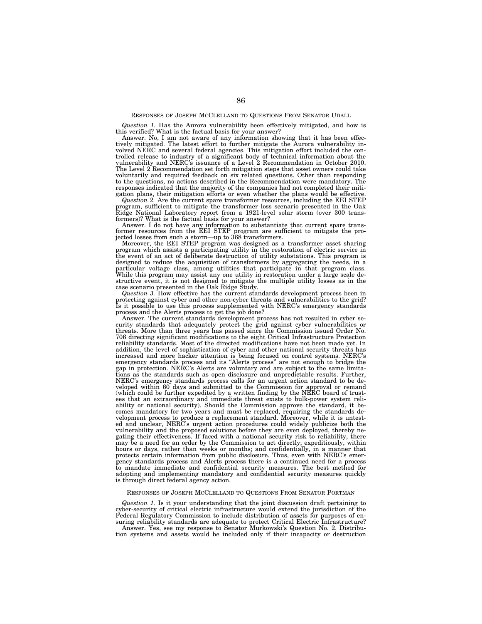# RESPONSES OF JOSEPH MCCLELLAND TO QUESTIONS FROM SENATOR UDALL

*Question 1.* Has the Aurora vulnerability been effectively mitigated, and how is this verified? What is the factual basis for your answer?

Answer. No, I am not aware of any information showing that it has been effec-tively mitigated. The latest effort to further mitigate the Aurora vulnerability involved NERC and several federal agencies. This mitigation effort included the controlled release to industry of a significant body of technical information about the vulnerability and NERC's issuance of a Level 2 Recommendation in October 2010. The Level 2 Recommendation set forth mitigation steps that asset owners could take voluntarily and required feedback on six related questions. Other than responding to the questions, no actions described in the Recommendation were mandatory. The responses indicated that the majority of the companies had not completed their mitigation plans, their mitigation efforts or even whether the plans would be effective.

*Question 2.* Are the current spare transformer resources, including the EEI STEP program, sufficient to mitigate the transformer loss scenario presented in the Oak Ridge National Laboratory report from a 1921-level solar storm (over 300 trans-formers)? What is the factual basis for your answer?

Answer. I do not have any information to substantiate that current spare trans-former resources from the EEI STEP program are sufficient to mitigate the pro-jected losses from such a storm—up to 368 transformers.

Moreover, the EEI STEP program was designed as a transformer asset sharing program which assists a participating utility in the restoration of electric service in the event of an act of deliberate destruction of utility substations. This program is designed to reduce the acquisition of transformers by aggregating the needs, in a particular voltage class, among utilities that participate in that program class. While this program may assist any one utility in restoration under a large scale destructive event, it is not designed to mitigate the multiple utility losses as in the case scenario presented in the Oak Ridge Study. *Question 3.* How effective has the current standards development process been in

protecting against cyber and other non-cyber threats and vulnerabilities to the grid? Is it possible to use this process supplemented with NERC's emergency standards process and the Alerts process to get the job done?

Answer. The current standards development process has not resulted in cyber security standards that adequately protect the grid against cyber vulnerabilities or threats. More than three years has passed since the Commission issued Order No. 706 directing significant modifications to the eight Critical Infrastructure Protection reliability standards. Most of the directed modifications have not been made yet. In addition, the level of sophistication of cyber and other national security threats has increased and more hacker attention is being focused on control systems. NERC's emergency standards process and its "Alerts process" are not enough to bridge the gap in protection. NERC's Alerts are voluntary and are subje tions as the standards such as open disclosure and unpredictable results. Further, NERC's emergency standards process calls for an urgent action standard to be developed within 60 days and submitted to the Commission for approval or remand (which could be further expedited by a written finding by the NERC board of trustees that an extraordinary and immediate threat exists to bulk-power system reliability or national security). Should the Commission approve the standard, it becomes mandatory for two years and must be replaced, requiring the standards development process to produce a replacement standard. Moreover, while it is untested and unclear, NERC's urgent action procedures could widely publicize both the vulnerability and the proposed solutions before they are even deployed, thereby negating their effectiveness. If faced with a national security risk to reliability, there may be a need for an order by the Commission to act directly; expeditiously, within hours or days, rather than weeks or months; and confidentially, in a manner that protects certain information from public disclosure. Thus, even with NERC's emergency standards process and Alerts process there is a continued need for a process to mandate immediate and confidential security measures. The best method for adopting and implementing mandatory and confidential security measures quickly is through direct federal agency action.

# RESPONSES OF JOSEPH MCCLELLAND TO QUESTIONS FROM SENATOR PORTMAN

*Question 1.* Is it your understanding that the joint discussion draft pertaining to cyber-security of critical electric infrastructure would extend the jurisdiction of the Federal Regulatory Commission to include distribution of assets for purposes of ensuring reliability standards are adequate to protect Critical Electric Infrastructure?

Answer. Yes, see my response to Senator Murkowski's Question No. 2. Distribution systems and assets would be included only if their incapacity or destruction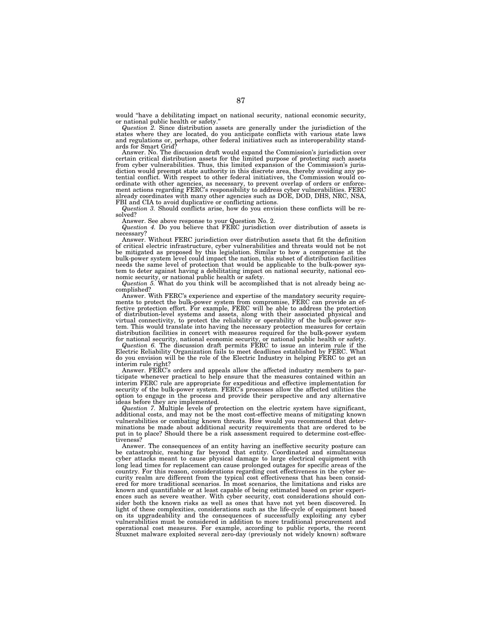would ''have a debilitating impact on national security, national economic security, or national public health or safety.''

*Question 2.* Since distribution assets are generally under the jurisdiction of the states where they are located, do you anticipate conflicts with various state laws and regulations or, perhaps, other federal initiatives such as interoperability standards for Smart Grid?

Answer. No. The discussion draft would expand the Commission's jurisdiction over certain critical distribution assets for the limited purpose of protecting such assets from cyber vulnerabilities. Thus, this limited expansion of the Commission's jurisdiction would preempt state authority in this discrete area, thereby avoiding any potential conflict. With respect to other federal initiatives, the Commission would coordinate with other agencies, as necessary, to prevent overlap of orders or enforce-ment actions regarding FERC's responsibility to address cyber vulnerabilities. FERC already coordinates with many other agencies such as DOE, DOD, DHS, NRC, NSA, FBI and CIA to avoid duplicative or conflicting actions.

*Question 3.* Should conflicts arise, how do you envision these conflicts will be resolved?

Answer. See above response to your Question No. 2. *Question 4.* Do you believe that FERC jurisdiction over distribution of assets is necessary?

Answer. Without FERC jurisdiction over distribution assets that fit the definition of critical electric infrastructure, cyber vulnerabilities and threats would not be not be mitigated as proposed by this legislation. Similar to how a compromise at the bulk-power system level could impact the nation, this subset of distribution facilities needs the same level of protection that would be applicable to the bulk-power system to deter against having a debilitating impact on national security, national eco-

nomic security, or national public health or safety.<br>*Question 5*. What do you think will be accomplished that is not already being accomplished?

Answer. With FERC's experience and expertise of the mandatory security requirements to protect the bulk-power system from compromise, FERC can provide an ef-fective protection effort. For example, FERC will be able to address the protection of distribution-level systems and assets, along with their associated physical and virtual connectivity, to protect the reliability or operability of the bulk-power system. This would translate into having the necessary protection measures for certain distribution facilities in concert with measures required for the bulk-power system

for national security, national economic security, or national public health or safety.<br>Question 6. The discussion draft permits FERC to issue an interim rule if the<br>Electric Reliability Organization fails to meet deadline do you envision will be the role of the Electric Industry in helping FERC to get an interim rule right?

Answer. FERC's orders and appeals allow the affected industry members to participate whenever practical to help ensure that the measures contained within an interim FERC rule are appropriate for expeditious and effective implementation for security of the bulk-power system. FERC's processes allow the affected utilities the option to engage in the process and provide their perspective and any alternative ideas before they are implemented.

*Question 7.* Multiple levels of protection on the electric system have significant, additional costs, and may not be the most cost-effective means of mitigating known vulnerabilities or combating known threats. How would you recommend that determinations be made about additional security requirements that are ordered to be put in to place? Should there be a risk assessment required to determine cost-effectiveness?

Answer. The consequences of an entity having an ineffective security posture can be catastrophic, reaching far beyond that entity. Coordinated and simultaneous cyber attacks meant to cause physical damage to large electrical equipment with long lead times for replacement can cause prolonged outages for specific areas of the country. For this reason, considerations regarding cost effectiveness in the cyber security realm are different from the typical cost effectiveness that has been considered for more traditional scenarios. In most scenarios, the limitations and risks are known and quantifiable or at least capable of being estimated based on prior experiences such as severe weather. With cyber security, cost considerations should consider both the known risks as well as ones that have not yet been discovered. In light of these complexities, considerations such as the life-cycle of equipment based on its upgradeability and the consequences of successfully exploiting any cyber vulnerabilities must be considered in addition to more traditional procurement and operational cost measures. For example, according to public reports, the recent Stuxnet malware exploited several zero-day (previously not widely known) software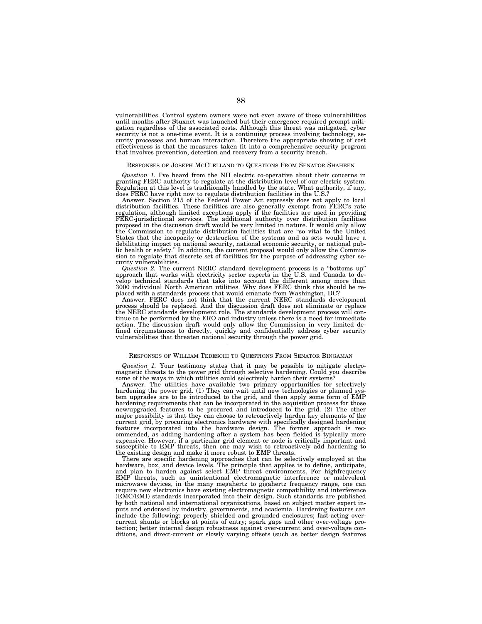vulnerabilities. Control system owners were not even aware of these vulnerabilities until months after Stuxnet was launched but their emergence required prompt mitigation regardless of the associated costs. Although this threat was mitigated, cyber security is not a one-time event. It is a continuing process involving technology, security processes and human interaction. Therefore the appropriate showing of cost effectiveness is that the measures taken fit into a comprehensive security program that involves prevention, detection and recovery from a security breach.

## RESPONSES OF JOSEPH MCCLELLAND TO QUESTIONS FROM SENATOR SHAHEEN

*Question 1.* I've heard from the NH electric co-operative about their concerns in granting FERC authority to regulate at the distribution level of our electric system. Regulation at this level is traditionally handled by the state. What authority, if any, does FERC have right now to regulate distribution facilities in the U.S.?

Answer. Section 215 of the Federal Power Act expressly does not apply to local distribution facilities. These facilities are also generally exempt from FERC's rate regulation, although limited exceptions apply if the facilities are used in providing FERC-jurisdictional services. The additional authority over distribution facilities proposed in the discussion draft would be very limited in nature. It would only allow the Commission to regulate distribution facilities that are "so vital to the United States that the incapacity or destruction of the systems and as sets would have a debilitating impact on national security, national economic security, or national public health or safety.'' In addition, the current proposal would only allow the Commis-sion to regulate that discrete set of facilities for the purpose of addressing cyber security vulnerabilities.

*Question 2.* The current NERC standard development process is a ''bottoms up'' approach that works with electricity sector experts in the U.S. and Canada to develop technical standards that take into account the different among more than<br>3000 individual North American utilities. Why does FERC think t placed with a standards process that would emanate from Washington, DC?

Answer. FERC does not think that the current NERC standards development process should be replaced. And the discussion draft does not eliminate or replace the NERC standards development role. The standards development process will continue to be performed by the ERO and industry unless there is a need for immediate action. The discussion draft would only allow the Commission fined circumstances to directly, quickly and confidentially address cyber security vulnerabilities that threaten national security through the power grid.

# RESPONSES OF WILLIAM TEDESCHI TO QUESTIONS FROM SENATOR BINGAMAN

*Question 1.* Your testimony states that it may be possible to mitigate electromagnetic threats to the power grid through selective hardening. Could you describe some of the ways in which utilities could selectively harden their systems?

Answer. The utilities have available two primary opportunities for selectively hardening the power grid. (1) They can wait until new technologies or planned sys-tem upgrades are to be introduced to the grid, and then apply some form of EMP hardening requirements that can be incorporated in the acquisition process for those new/upgraded features to be procured and introduced to the grid. (2) The other major possibility is that they can choose to retroactively harden key elements of the current grid, by procuring electronics hardware with specifically designed hardening features incorporated into the hardware design. The former approach is recommended, as adding hardening after a system has been fielded is typically more expensive. However, if a particular grid element or node is critically important and susceptible to EMP threats, then one may wish to retroactively add hardening to the existing design and make it more robust to EMP threats.

There are specific hardening approaches that can be selectively employed at the hardware, box, and device levels. The principle that applies is to define, anticipate, and plan to harden against select EMP threat environments. For highfrequency EMP threats, such as unintentional electromagnetic interference or malevolent microwave devices, in the many megahertz to gigahertz frequency range, one can require new electronics have existing electromagnetic compatibility and interference (EMC/EMI) standards incorporated into their design. Such standards are published by both national and international organizations, based on subject matter expert inputs and endorsed by industry, governments, and academia. Hardening features can include the following: properly shielded and grounded enclosures; fast-acting overcurrent shunts or blocks at points of entry; spark gaps and other over-voltage protection; better internal design robustness against over-current and over-voltage conditions, and direct-current or slowly varying offsets (such as better design features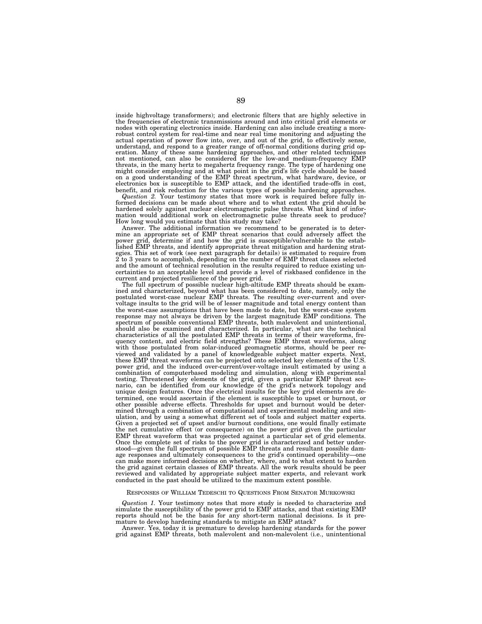inside highvoltage transformers); and electronic filters that are highly selective in the frequencies of electronic transmissions around and into critical grid elements or nodes with operating electronics inside. Hardening can also include creating a morerobust control system for real-time and near real time monitoring and adjusting the actual operation of power flow into, over, and out of the grid, to effectively sense, understand, and respond to a greater range of off-normal conditions during grid operation. Many of these same hardening approaches, and other related techniques not mentioned, can also be considered for the low-and medium-frequency EMP threats, in the many hertz to megahertz frequency range. The type of hardening one might consider employing and at what point in the grid's life cycle should be based<br>on a good understanding of the EMP threat spectrum, wha electronics box is susceptible to EMP attack, and the identified trade-offs in cost, benefit, and risk reduction for the various types of possible hardening approaches.

*Question 2.* Your testimony states that more work is required before fully informed decisions can be made about where and to what extent the grid should be hardened solely against nuclear electromagnetic pulse threats. What kind of information would additional work on electromagnetic pulse threats seek to produce? How long would you estimate that this study may take?

Answer. The additional information we recommend to be generated is to determine an appropriate set of EMP threat scenarios that could adversely affect the power grid, determine if and how the grid is susceptible/vulnerable to the established EMP threats, and identify appropriate threat mitigation and hardening strategies. This set of work (see next paragraph for details) is estimated to require from 2 to 3 years to accomplish, depending on the number of EMP threat classes selected and the amount of technical resolution in the results required to reduce existing uncertainties to an acceptable level and provide a level of riskbased confidence in the current and projected resilience of the power grid.

The full spectrum of possible nuclear high-altitude EMP threats should be examined and characterized, beyond what has been considered to date, namely, only the postulated worst-case nuclear EMP threats. The resulting over-current and overvoltage insults to the grid will be of lesser magnitude and total energy content than the worst-case assumptions that have been made to date, but the worst-case system response may not always be driven by the largest magnitude EMP conditions. The spectrum of possible conventional EMP threats, both malevolent and unintentional, should also be examined and characterized. In particular, what are the technical characteristics of all the postulated EMP threats in terms of their waveforms, frequency content, and electric field strengths? These EMP threat waveforms, along with those postulated from solar-induced geomagnetic storms, should be peer reviewed and validated by a panel of knowledgeable subject matter experts. Next, these EMP threat waveforms can be projected onto selected key elements of the U.S. power grid, and the induced over-current/over-voltage insult estimated by using a combination of computerbased modeling and simulation, along with experimental testing. Threatened key elements of the grid, given a particular EMP threat scenario, can be identified from our knowledge of the grid's network topology and unique design features. Once the electrical insults for the key grid elements are determined, one would ascertain if the element is susceptible to upset or burnout, or other possible adverse effects. Thresholds for upset and burnout would be determined through a combination of computational and experimental modeling and simulation, and by using a somewhat different set of tools and subject matter experts. Given a projected set of upset and/or burnout conditions, one would finally estimate the net cumulative effect (or consequence) on the power grid given the particular EMP threat waveform that was projected against a particular set of grid elements. Once the complete set of risks to the power grid is characterized and better understood—given the full spectrum of possible EMP threats and resultant possible damage responses and ultimately consequences to the grid's continued operability—one can make more informed decisions on whether, where, and to what extent to harden the grid against certain classes of EMP threats. All the work results should be peer reviewed and validated by appropriate subject matter experts, and relevant work conducted in the past should be utilized to the maximum extent possible.

## RESPONSES OF WILLIAM TEDESCHI TO QUESTIONS FROM SENATOR MURKOWSKI

*Question 1.* Your testimony notes that more study is needed to characterize and simulate the susceptibility of the power grid to EMP attacks, and that existing EMP reports should not be the basis for any short-term national decisions. Is it premature to develop hardening standards to mitigate an EMP attack?

Answer. Yes, today it is premature to develop hardening standards for the power grid against EMP threats, both malevolent and non-malevolent (i.e., unintentional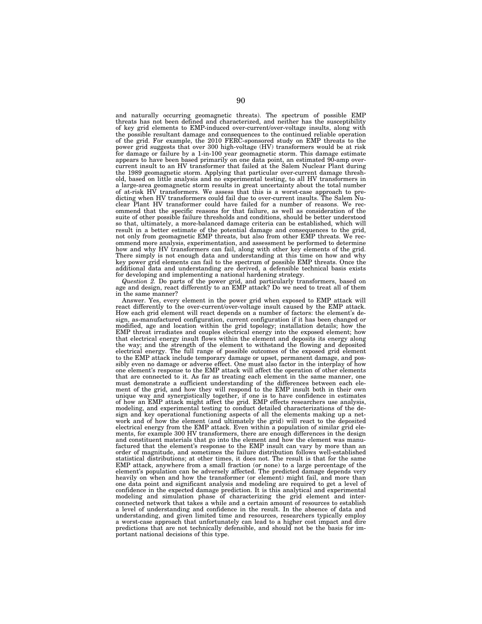and naturally occurring geomagnetic threats). The spectrum of possible EMP threats has not been defined and characterized, and neither has the susceptibility of key grid elements to EMP-induced over-current/over-voltage insults, along with the possible resultant damage and consequences to the continued reliable operation of the grid. For example, the 2010 FERC-sponsored study on EMP threats to the power grid suggests that over 300 high-voltage (HV) transformers would be at risk for damage or failure by a 1-in-100 year geomagnetic storm. This damage estimate appears to have been based primarily on one data point, an estimated 90-amp overcurrent insult to an HV transformer that failed at the Salem Nuclear Plant during the 1989 geomagnetic storm. Applying that particular over-current damage threshold, based on little analysis and no experimental testing, to all HV transformers in a large-area geomagnetic storm results in great uncertainty about the total number of at-risk HV transformers. We assess that this is a worst-case approach to predicting when HV transformers could fail due to over-current insults. The Salem Nuclear Plant HV transformer could have failed for a number of reasons. We recommend that the specific reasons for that failure, as well as consideration of the suite of other possible failure thresholds and conditions, should be better understood so that, ultimately, a more-balanced damage criteria can be established, which will result in a better estimate of the potential damage and consequences to the grid, not only from geomagnetic EMP threats, but also from other EMP threats. We recommend more analysis, experimentation, and assessment be performed to determine how and why HV transformers can fail, along with other key elements of the grid. There simply is not enough data and understanding at this time on how and why key power grid elements can fail to the spectrum of possible EMP threats. Once the additional data and understanding are derived, a defensible technical basis exists for developing and implementing a national hardening strategy.

*Question 2.* Do parts of the power grid, and particularly transformers, based on age and design, react differently to an EMP attack? Do we need to treat all of them in the same manner?

Answer. Yes, every element in the power grid when exposed to EMP attack will react differently to the over-current/over-voltage insult caused by the EMP attack. How each grid element will react depends on a number of factors: the element's design, as-manufactured configuration, current configuration if it has been changed or modified, age and location within the grid topology; installation details; how the EMP threat irradiates and couples electrical energy into the exposed element; how that electrical energy insult flows within the element and deposits its energy along the way; and the strength of the element to withstand the flowing and deposited electrical energy. The full range of possible outcomes of the exposed grid element to the EMP attack include temporary damage or upset, permanent damage, and possibly even no damage or adverse effect. One must also factor in the interplay of how one element's response to the EMP attack will affect the operation of other elements that are connected to it. As far as treating each element in the same manner, one must demonstrate a sufficient understanding of the differences between each element of the grid, and how they will respond to the EMP insult both in their own unique way and synergistically together, if one is to have confidence in estimates of how an EMP attack might affect the grid. EMP effects researchers use analysis, modeling, and experimental testing to conduct detailed characterizations of the design and key operational functioning aspects of all the elements making up a network and of how the element (and ultimately the grid) will react to the deposited electrical energy from the EMP attack. Even within a population of similar grid elements, for example 300 HV transformers, there are enough differences in the design and constituent materials that go into the element and how the element was manufactured that the element's response to the EMP insult can vary by more than an order of magnitude, and sometimes the failure distribution follows well-established statistical distributions; at other times, it does not. The result is that for the same EMP attack, anywhere from a small fraction (or none) to a large percentage of the element's population can be adversely affected. The predicted damage depends very heavily on when and how the transformer (or element) might fail, and more than one data point and significant analysis and modeling are required to get a level of confidence in the expected damage prediction. It is this analytical and experimental modeling and simulation phase of characterizing the grid element and interconnected network that takes a while and a certain amount of resources to establish a level of understanding and confidence in the result. In the absence of data and understanding, and given limited time and resources, researchers typically employ a worst-case approach that unfortunately can lead to a higher cost impact and dire predictions that are not technically defensible, and should not be the basis for important national decisions of this type.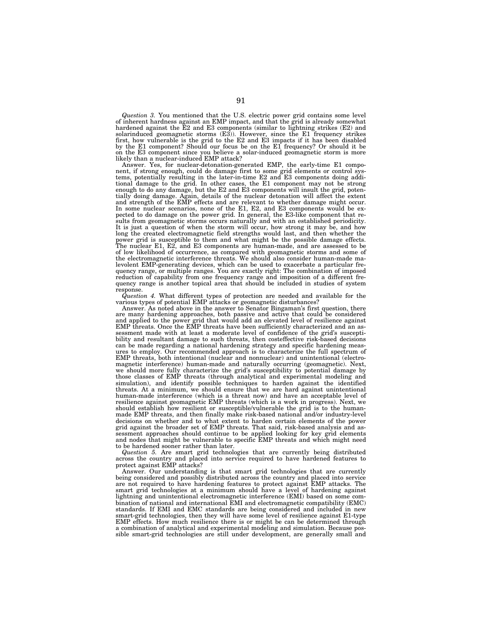*Question 3.* You mentioned that the U.S. electric power grid contains some level of inherent hardness against an EMP impact, and that the grid is already somewhat hardened against the E2 and E3 components (similar to lightning strikes (E2) and solarinduced geomagnetic storms (E3)). However, since the E1 frequency strikes<br>first, how vulnerable is the grid to the E2 and E3 impacts if it has been disabled<br>by the E1 component? Should our focus be on the E1 frequency on the E3 component since you believe a solar-induced geomagnetic storm is more likely than a nuclear-induced EMP attack?

Answer. Yes, for nuclear-detonation-generated EMP, the early-time E1 component, if strong enough, could do damage first to some grid elements or control sys-tems, potentially resulting in the later-in-time E2 and E3 components doing additional damage to the grid. In other cases, the E1 component may not be strong enough to do any damage, but the E2 and E3 components will insult the grid, potentially doing damage. Again, details of the nuclear detonation will affect the extent and strength of the EMP effects and are relevant to whether damage might occur. In some nuclear scenarios, none of the E1, E2, and E3 components would be ex-pected to do damage on the power grid. In general, the E3-like component that results from geomagnetic storms occurs naturally and with an established periodicity. It is just a question of when the storm will occur, how strong it may be, and how long the created electromagnetic field strengths would last, and then whether the power grid is susceptible to them and what might be the possible damage effects. The nuclear E1, E2, and E3 components are human-made, and are assessed to be of low likelihood of occurrence, as compared with geomagnetic storms and some of the electromagnetic interference threats. We should also consider human-made ma-<br>levolent EMP-generating devices, which can be used to exacerbate a particular fre-<br>quency range, or multiple ranges. You are exactly right: T reduction of capability from one frequency range and imposition of a different fre-quency range is another topical area that should be included in studies of system response.

*Question 4.* What different types of protection are needed and available for the various types of potential EMP attacks or geomagnetic disturbances?

Answer. As noted above in the answer to Senator Bingaman's first question, there are many hardening approaches, both passive and active that could be considered<br>and applied to the power grid that would add an elevated level of resilience against<br>EMP threats. Once the EMP threats have been sufficiently sessment made with at least a moderate level of confidence of the grid's susceptibility and resultant damage to such threats, then costeffective risk-based decisions can be made regarding a national hardening strategy and specific hardening measures to employ. Our recommended approach is to characterize the full spectrum of EMP threats, both intentional (nuclear and nonnuclear) and unintentional (electromagnetic interference) human-made and naturally occurring (geomagnetic). Next, we should more fully characterize the grid's susceptibility to potential damage by those classes of EMP threats (through analytical and experimental modeling and simulation), and identify possible techniques to harden against the identified threats. At a minimum, we should ensure that we are hard against unintentional human-made interference (which is a threat now) and have an acceptable level of resilience against geomagnetic EMP threats (which is a work in progress). Next, we should establish how resilient or susceptible/vulnerable the grid is to the humanmade EMP threats, and then finally make risk-based national and/or industry-level decisions on whether and to what extent to harden certain elements of the power grid against the broader set of EMP threats. That said, risk-based analysis and assessment approaches should continue to be applied looking for key grid elements and nodes that might be vulnerable to specific EMP threats and which might need to be hardened sooner rather than later.

*Question 5.* Are smart grid technologies that are currently being distributed across the country and placed into service required to have hardened features to protect against EMP attacks?

Answer. Our understanding is that smart grid technologies that are currently being considered and possibly distributed across the country and placed into service are not required to have hardening features to protect against EMP attacks. The smart grid technologies at a minimum should have a level of hardening against lightning and unintentional electromagnetic interference (EMI) based on some combination of national and international EMI and electromagnetic compatibility (EMC) standards. If EMI and EMC standards are being considered and included in new smart-grid technologies, then they will have some level of resilience against E1-type EMP effects. How much resilience there is or might be can be determined through a combination of analytical and experimental modeling and simulation. Because possible smart-grid technologies are still under development, are generally small and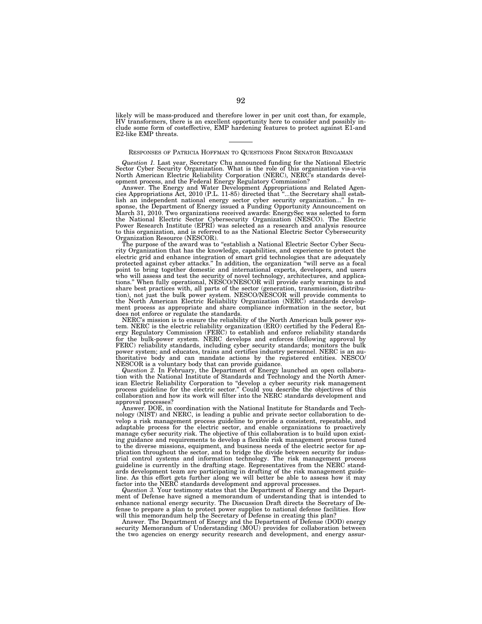likely will be mass-produced and therefore lower in per unit cost than, for example, HV transformers, there is an excellent opportunity here to consider and possibly in-clude some form of costeffective, EMP hardening features to protect against E1-and E2-like EMP threats.

## RESPONSES OF PATRICIA HOFFMAN TO QUESTIONS FROM SENATOR BINGAMAN

*Question 1.* Last year, Secretary Chu announced funding for the National Electric Sector Cyber Security Organization. What is the role of this organization vis-a-vis North American Electric Reliability Corporation (NERC), NERC's standards development process, and the Federal Energy Regulatory Commission?

Answer. The Energy and Water Development Appropriations and Related Agencies Appropriations Act, 2010 (P.L. 11-85) directed that ''...the Secretary shall establish an independent national energy sector cyber security organization...'' In response, the Department of Energy issued a Funding Opportunity Announcement on March 31, 2010. Two organizations received awards: EnergySec was selected to form the National Electric Sector Cybersecurity Organization (NESCO). The Electric Power Research Institute (EPRI) was selected as a research and analysis resource to this organization, and is referred to as the National Electric Sector Cybersecurity Organization Resource (NESCOR).

The purpose of the award was to ''establish a National Electric Sector Cyber Security Organization that has the knowledge, capabilities, and experience to protect the electric grid and enhance integration of smart grid technologies that are adequately protected against cyber attacks.'' In addition, the organization ''will serve as a focal point to bring together domestic and international experts, developers, and users who will assess and test the security of novel technology, architectures, and applications.'' When fully operational, NESCO/NESCOR will provide early warnings to and share best practices with, all parts of the sector (generation, transmission, distribution), not just the bulk power system. NESCO/NESCOR will provide comments to the North American Electric Reliability Organization (NERC) standards development process as appropriate and share compliance information in the sector, but does not enforce or regulate the standards.

NERC's mission is to ensure the reliability of the North American bulk power system. NERC is the electric reliability organization (ERO) certified by the Federal Energy Regulatory Commission (FERC) to establish and enforce reliability standards for the bulk-power system. NERC develops and enforces (following approval by FERC) reliability standards, including cyber security standards; monitors the bulk power system; and educates, trains and certifies industry personnel. NERC is an authoritative body and can mandate actions by the registered entities. NESCO/ NESCOR is a voluntary body that can provide guidance.

*Question 2.* In February, the Department of Energy launched an open collaboration with the National Institute of Standards and Technology and the North American Electric Reliability Corporation to ''develop a cyber security risk management process guideline for the electric sector.'' Could you describe the objectives of this collaboration and how its work will filter into the NERC standards development and approval processes?

Answer. DOE, in coordination with the National Institute for Standards and Technology (NIST) and NERC, is leading a public and private sector collaboration to develop a risk management process guideline to provide a consistent, repeatable, and adaptable process for the electric sector, and enable organizations to proactively manage cyber security risk. The objective of this collaboration is to build upon existing guidance and requirements to develop a flexible risk management process tuned to the diverse missions, equipment, and business needs of the electric sector for application throughout the sector, and to bridge the divide between security for industrial control systems and information technology. The risk management process guideline is currently in the drafting stage. Representatives from the NERC standards development team are participating in drafting of the risk management guideline. As this effort gets further along we will better be able to assess how it may factor into the NERC standards development and approval processes.

*Question 3.* Your testimony states that the Department of Energy and the Department of Defense have signed a memorandum of understanding that is intended to enhance national energy security. The Discussion Draft directs the Secretary of Defense to prepare a plan to protect power supplies to national defense facilities. How will this memorandum help the Secretary of Defense in creating this plan?

Answer. The Department of Energy and the Department of Defense (DOD) energy security Memorandum of Understanding (MOU) provides for collaboration between the two agencies on energy security research and development, and energy assur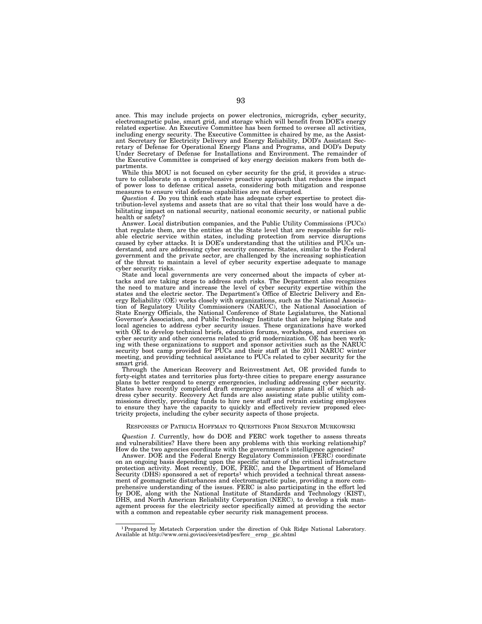ance. This may include projects on power electronics, microgrids, cyber security, electromagnetic pulse, smart grid, and storage which will benefit from DOE's energy related expertise. An Executive Committee has been formed to oversee all activities, including energy security. The Executive Committee is chaired by me, as the Assistant Secretary for Electricity Delivery and Energy Reliability, DOD's Assistant Secretary of Defense for Operational Energy Plans and Programs, and DOD's Deputy Under Secretary of Defense for Installations and Environment. The remainder of the Executive Committee is comprised of key energy decision makers from both departments.

While this MOU is not focused on cyber security for the grid, it provides a structure to collaborate on a comprehensive proactive approach that reduces the impact of power loss to defense critical assets, considering both mitigation and response measures to ensure vital defense capabilities are not disrupted.

*Question 4.* Do you think each state has adequate cyber expertise to protect distribution-level systems and assets that are so vital that their loss would have a debilitating impact on national security, national economic security, or national public health or safety?

Answer. Local distribution companies, and the Public Utility Commissions (PUCs) that regulate them, are the entities at the State level that are responsible for reliable electric service within states, including protection from service disruptions caused by cyber attacks. It is DOE's understanding that the utilities and PUCs understand, and are addressing cyber security concerns. States, similar to the Federal government and the private sector, are challenged by the increasing sophistication of the threat to maintain a level of cyber security expertise adequate to manage cyber security risks.

State and local governments are very concerned about the impacts of cyber attacks and are taking steps to address such risks. The Department also recognizes the need to mature and increase the level of cyber security expertise within the states and the electric sector. The Department's Office of Electric Delivery and Energy Reliability (OE) works closely with organizations, such as the National Association of Regulatory Utility Commissioners (NARUC), the National Association of State Energy Officials, the National Conference of State Legislatures, the National Governor's Association, and Public Technology Institute that are helping State and local agencies to address cyber security issues. These organizations have worked with OE to develop technical briefs, education forums, workshops, and exercises on cyber security and other concerns related to grid modernization. OE has been working with these organizations to support and sponsor activities such as the NARUC security boot camp provided for PUCs and their staff at the 2011 NARUC winter meeting, and providing technical assistance to PUCs related to cyber security for the smart grid.

Through the American Recovery and Reinvestment Act, OE provided funds to forty-eight states and territories plus forty-three cities to prepare energy assurance plans to better respond to energy emergencies, including addressing cyber security. States have recently completed draft emergency assurance plans all of which address cyber security. Recovery Act funds are also assisting state public utility commissions directly, providing funds to hire new staff and retrain existing employees to ensure they have the capacity to quickly and effectively review proposed electricity projects, including the cyber security aspects of those projects.

#### RESPONSES OF PATRICIA HOFFMAN TO QUESTIONS FROM SENATOR MURKOWSKI

*Question 1.* Currently, how do DOE and FERC work together to assess threats and vulnerabilities? Have there been any problems with this working relationship? How do the two agencies coordinate with the government's intelligence agencies?

Answer. DOE and the Federal Energy Regulatory Commission (FERC) coordinate on an ongoing basis depending upon the specific nature of the critical infrastructure protection activity. Most recently, DOE, FERC, and the Department of Homeland Security (DHS) sponsored a set of reports<sup>1</sup> which provided a technical threat assessment of geomagnetic disturbances and electromagnetic pulse, providing a more comprehensive understanding of the issues. FERC is also participating in the effort led by DOE, along with the National Institute of Standards and Technology (KIST), DHS, and North American Reliability Corporation (NERC), to develop a risk management process for the electricity sector specifically aimed at providing the sector with a common and repeatable cyber security risk management process.

<sup>1</sup>Prepared by Metatech Corporation under the direction of Oak Ridge National Laboratory. Available at http://www.orni.govisci/ees/etsd/pes/ferc ernp gic.shtml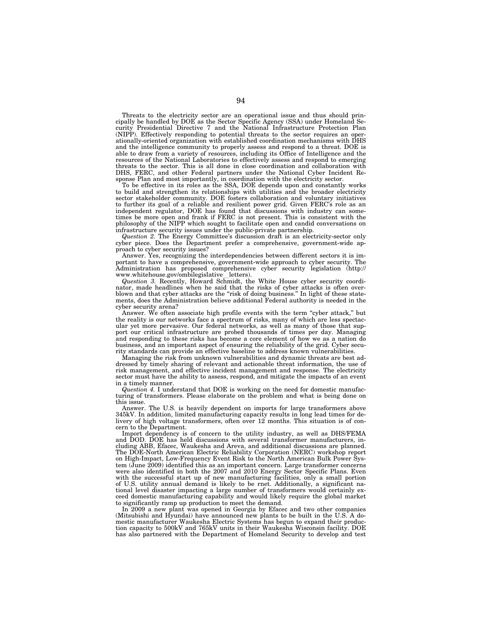Threats to the electricity sector are an operational issue and thus should principally be handled by DOE as the Sector Specific Agency (SSA) under Homeland Security Presidential Directive 7 and the National Infrastructure Protection Plan (NIPP). Effectively responding to potential threats to the sector requires an operationally-oriented organization with established coordination mechanisms with DHS and the intelligence community to properly assess and respond to a threat. DOE is able to draw from a variety of resources, including its Office of Intelligence and the resources of the National Laboratories to effectively assess and respond to emerging threats to the sector. This is all done in close coordination and collaboration with DHS, FERC, and other Federal partners under the National Cyber Incident Response Plan and most importantly, in coordination with the electricity sector.

To be effective in its roles as the SSA, DOE depends upon and constantly works to build and strengthen its relationships with utilities and the broader electricity sector stakeholder community. DOE fosters collaboration and voluntary initiatives to further its goal of a reliable and resilient power grid. Given FERC's role as an independent regulator, DOE has found that discussions with industry can sometimes be more open and frank if FERC is not present. This is consistent with the philosophy of the NIPP which sought to facilitate open and candid conversations on infrastructure security issues under the public-private partnership.

*Question 2.* The Energy Committee's discussion draft is an electricity-sector only cyber piece. Does the Department prefer a comprehensive, government-wide approach to cyber security issues?

Answer. Yes, recognizing the interdependencies between different sectors it is important to have a comprehensive, government-wide approach to cyber security. The Administration has proposed comprehensive cyber security legislation (http://

www.whitehouse.gov/ombilegislative letters).<br>*Question 3.* Recently, Howard Schmidt, the White House cyber security coordinator, made headlines when he said that the risks of cyber attacks is often overblown and that cyber attacks are the "risk of doing business." In light of these statements, does the Administration believe additional Federal authority is needed in the cyber security arena?

Answer. We often associate high profile events with the term ''cyber attack,'' but the reality is our networks face a spectrum of risks, many of which are less spectacular yet more pervasive. Our federal networks, as well as many of those that support our critical infrastructure are probed thousands of times per day. Managing and responding to these risks has become a core element of how we as a nation do business, and an important aspect of ensuring the reliability of the grid. Cyber security standards can provide an effective baseline to address known vulnerabilities.

Managing the risk from unknown vulnerabilities and dynamic threats are best addressed by timely sharing of relevant and actionable threat information, the use of risk management, and effective incident management and response. The electricity sector must have the ability to assess, respond, and mitigate the impacts of an event in a timely manner.

*Question 4.* I understand that DOE is working on the need for domestic manufacturing of transformers. Please elaborate on the problem and what is being done on this issue.

Answer. The U.S. is heavily dependent on imports for large transformers above 345kV. In addition, limited manufacturing capacity results in long lead times for delivery of high voltage transformers, often over 12 months. This situation is of concern to the Department.

Import dependency is of concern to the utility industry, as well as DHS/FEMA and DOD. DOE has held discussions with several transformer manufacturers, including ABB, Efacec, Waukesha and Areva, and additional discussions are planned. The DOE-North American Electric Reliability Corporation (NERC) workshop report on High-Impact, Low-Frequency Event Risk to the North American Bulk Power System (June 2009) identified this as an important concern. Large transformer concerns were also identified in both the 2007 and 2010 Energy Sector Specific Plans. Even with the successful start up of new manufacturing facilities, only a small portion of U.S. utility annual demand is likely to be rnet. Additionally, a significant national level disaster impacting a large number of transformers would certainly exceed domestic manufacturing capability and would likely require the global market to significantly ramp up production to meet the demand.

In 2009 a new plant was opened in Georgia by Efacec and two other companies (Mitsubishi and Hyundai) have announced new plants to be built in the U.S. A domestic manufacturer Waukesha Electric Systems has begun to expand their production capacity to 500kV and 765kV units in their Waukesha Wisconsin facility. DOE has also partnered with the Department of Homeland Security to develop and test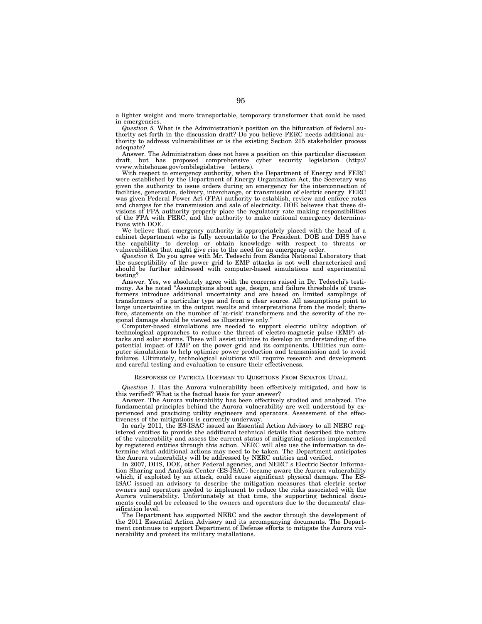a lighter weight and more transportable, temporary transformer that could be used in emergencies.

*Question 5.* What is the Administration's position on the bifurcation of federal authority set forth in the discussion draft? Do you believe FERC needs additional authority to address vulnerabilities or is the existing Section 215 stakeholder process adequate?

Answer. The Administration does not have a position on this particular discussion draft, but has proposed comprehensive cyber security legislation (http://<br>vww.whitehouse.gov/ombilegislative\_letters).

vvww.whitehouse.gov/ombilegislative\_letters).<br>With respect to emergency authority, when the Department of Energy and FERC were established by the Department of Energy Organization Act, the Secretary was given the authority to issue orders during an emergency for the interconnection of facilities, generation, delivery, interchange, or transmission of electric energy. FERC was given Federal Power Act (FPA) authority to establish, review and enforce rates and charges for the transmission and sale of electricity. DOE believes that these divisions of FPA authority properly place the regulatory rate making responsibilities of the FPA with FERC, and the authority to make national emergency determinations with DOE.

We believe that emergency authority is appropriately placed with the head of a cabinet department who is fully accountable to the President. DOE and DHS have the capability to develop or obtain knowledge with respect to threats or vulnerabilities that might give rise to the need for an emergency order.

*Question 6. Do you agree with Mr. Tedeschi from Sandia National Laboratory that* the susceptibility of the power grid to EMP attacks is not well characterized and should be further addressed with computer-based simulations and experimental testing?

Answer. Yes, we absolutely agree with the concerns raised in Dr. Tedeschi's testimony. As he noted "Assumptions about age, design, and failure thresholds of transformers introduce additional uncertainty and are based on limited samplings of transformers of a particular type and from a clear source. All assumptions point to large uncertainties in the output results and interpretations from the model; therefore, statements on the number of 'at-risk' transformers and the severity of the regional damage should be viewed as illustrative only.''

Computer-based simulations are needed to support electric utility adoption of technological approaches to reduce the threat of electro-magnetic pulse (EMP) attacks and solar storms. These will assist utilities to develop an understanding of the potential impact of EMP on the power grid and its components. Utilities run computer simulations to help optimize power production and transmission and to avoid failures. Ultimately, technological solutions will require research and development and careful testing and evaluation to ensure their effectiveness.

# RESPONSES OF PATRICIA HOFFMAN TO QUESTIONS FROM SENATOR UDALL

*Question 1.* Has the Aurora vulnerability been effectively mitigated, and how is this verified? What is the factual basis for your answer?

Answer. The Aurora vulnerability has been effectively studied and analyzed. The fundamental principles behind the Aurora vulnerability are well understood by experienced and practicing utility engineers and operators. Assessment of the effectiveness of the mitigations is currently underway.

In early 2011, the ES-ISAC issued an Essential Action Advisory to all NERC registered entities to provide the additional technical details that described the nature of the vulnerability and assess the current status of mitigating actions implemented by registered entities through this action. NERC will also use the information to determine what additional actions may need to be taken. The Department anticipates the Aurora vulnerability will be addressed by NERC entities and verified.

In 2007, DHS, DOE, other Federal agencies, and NERC's Electric Sector Information Sharing and Analysis Center (ES-ISAC) became aware the Aurora vulnerability which, if exploited by an attack, could cause significant physical damage. The ES-ISAC issued an advisory to describe the mitigation measures that electric sector owners and operators needed to implement to reduce the risks associated with the Aurora vulnerability. Unfortunately at that time, the supporting technical documents could not be released to the owners and operators due to the documents' classification level.

The Department has supported NERC and the sector through the development of the 2011 Essential Action Advisory and its accompanying documents. The Department continues to support Department of Defense efforts to mitigate the Aurora vulnerability and protect its military installations.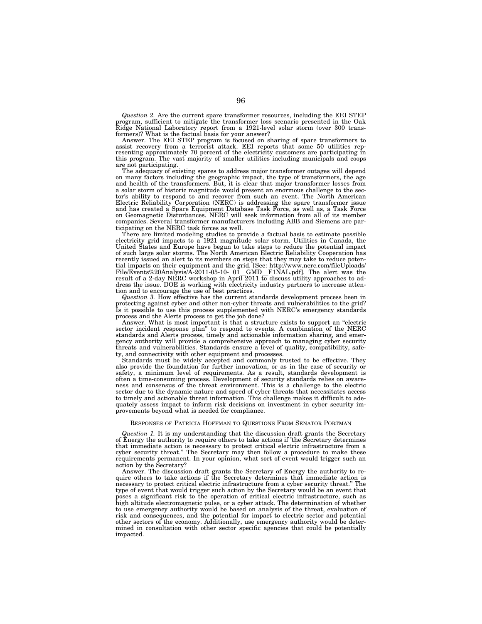*Question 2.* Are the current spare transformer resources, including the EEI STEP program, sufficient to mitigate the transformer loss scenario presented in the Oak Ridge National Laboratory report from a 1921-level solar storm (over 300 trans-formers)? What is the factual basis for your answer?

Answer. The EEI STEP program is focused on sharing of spare transformers to assist recovery from a terrorist attack. EEI reports that some 50 utilities rep-resenting approximately 70 percent of the electricity customers are participating in this program. The vast majority of smaller utilities including municipals and coops are not participating.

The adequacy of existing spares to address major transformer outages will depend on many factors including the geographic impact, the type of transformers, the age and health of the transformers. But, it is clear that major transformer losses from a solar storm of historic magnitude would present an enormous challenge to the sector's ability to respond to and recover from such an event. The North American Electric Reliability Corporation (NERC) is addressing the spare transformer issue and has created a Spare Equipment Database Task Force, as well as, a Task Force on Geomagnetic Disturbances. NERC will seek information from all of its member companies. Several transformer manufacturers including ABB and Siemens are participating on the NERC task forces as well.

There are limited modeling studies to provide a factual basis to estimate possible electricity grid impacts to a 1921 magnitude solar storm. Utilities in Canada, the United States and Europe have begun to take steps to reduce the potential impact of such large solar storms. The North American Electric Reliability Cooperation has recently issued an alert to its members on steps that they may take to reduce potential impacts on their equipment and the grid. [See: http://www.nerc.com/fileUploads/ File/Events%20Analysis/A-2011-05-10- 01 GMD F1NAL.pdf]. The alert was the result of a 2-day NERC workshop in April 2011 to discuss utility approaches to address the issue. DOE is working with electricity industry partners to increase attention and to encourage the use of best practices.

*Question 3.* How effective has the current standards development process been in protecting against cyber and other non-cyber threats and vulnerabilities to the grid? Is it possible to use this process supplemented with NERC's emergency standards process and the Alerts process to get the job done?

Answer. What is most important is that a structure exists to support an ''electric sector incident response plan'' to respond to events. A combination of the NERC standards and Alerts process, timely and actionable information sharing, and emergency authority will provide a comprehensive approach to managing cyber security threats and vulnerabilities. Standards ensure a level of quality, compatibility, safety, and connectivity with other equipment and processes.

Standards must be widely accepted and commonly trusted to be effective. They also provide the foundation for further innovation, or as in the case of security or safety, a minimum level of requirements. As a result, standards development is often a time-consuming process. Development of security standards relies on awareness and consensus of the threat environment. This is a challenge to the electric sector due to the dynamic nature and speed of cyber threats that necessitates access to timely and actionable threat information. This challenge makes it difficult to adequately assess impact to inform risk decisions on investment in cyber security improvements beyond what is needed for compliance.

# RESPONSES OF PATRICIA HOFFMAN TO QUESTIONS FROM SENATOR PORTMAN

*Question 1.* It is my understanding that the discussion draft grants the Secretary of Energy the authority to require others to take actions if 'the Secretary determines that immediate action is necessary to protect critical electric infrastructure from a cyber security threat.'' The Secretary may then follow a procedure to make these requirements permanent. In your opinion, what sort of event would trigger such an action by the Secretary?

Answer. The discussion draft grants the Secretary of Energy the authority to require others to take actions if the Secretary determines that immediate action is necessary to protect critical electric infrastructure from a cyber security threat.'' The type of event that would trigger such action by the Secretary would be an event that poses a significant risk to the operation of critical electric infrastructure, such as high altitude electromagnetic pulse, or a cyber attack. The determination of whether to use emergency authority would be based on analysis of the threat, evaluation of risk and consequences, and the potential for impact to electric sector and potential other sectors of the economy. Additionally, use emergency authority would be determined in consultation with other sector specific agencies that could be potentially impacted.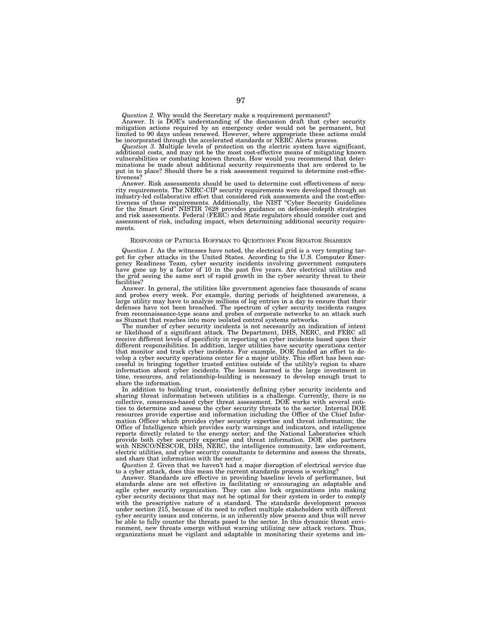*Question 2.* Why would the Secretary make a requirement permanent? Answer. It is DOE's understanding of the discussion draft that cyber security mitigation actions required by an emergency order would not be permanent, but limited to 90 days unless renewed. However, where appropriate these actions could be incorporated through the accelerated standards or NERC Alerts process.

*Question 3.* Multiple levels of protection on the electric system have significant, additional costs, and may not be the most cost-effective means of mitigating known vulnerabilities or combating known threats. How would you recommend that determinations be made about additional security requirements that are ordered to be put in to place? Should there be a risk assessment required to determine cost-effectiveness?

Answer. Risk assessments should be used to determine cost effectiveness of security requirements. The NERC-CIP security requirements were developed through an industry-led collaborative effort that considered risk assessments and the cost-effectiveness of these requirements. Additionally, the NIST ''Cyber Security Guidelines for the Smart Grid'' NISTIR 7628 provides guidance on defense-indepth strategies and risk assessments. Federal (FERC) and State regulators should consider cost and assessment of risk, including impact, when determining additional security requirements.

#### RESPONSES OF PATRICIA HOFFMAN TO QUESTIONS FROM SENATOR SHAHEEN

*Question 1.* As the witnesses have noted, the electrical grid is a very tempting target for cyber attacks in the United States. According to the U.S. Computer Emergency Readiness Team, cyber security incidents involving government computers have gone up by a factor of 10 in the past five years. Are electrical utilities and the grid seeing the same sort of rapid growth in the cyber security threat to their facilities?

Answer. In general, the utilities like government agencies face thousands of scans and probes every week. For example, during periods of heightened awareness, a large utility may have to analyze millions of log entries in a day to ensure that their defenses have not been breached. The spectrum of cyber security incidents ranges from reconnaissance-type scans and probes of corporate networks to an attack such as Stuxnet that reaches into more isolated control systems networks.

The number of cyber security incidents is not necessarily an indication of intent or likelihood of a significant attack. The Department, DHS, NERC, and FERC all receive different levels of specificity in reporting on cyber incidents based upon their different responsibilities. In addition, larger utilities have security operations center that monitor and track cyber incidents. For example, DOE funded an effort to develop a cyber security operations center for a major utility. This effort has been successful in bringing together trusted entities outside of the utility's region to share information about cyber incidents. The lesson learned is the large investment in time, resources, and relationship-building is necessary to develop enough trust to share the information.

In addition to building trust, consistently defining cyber security incidents and sharing threat information between utilities is a challenge. Currently, there is no collective, consensus-based cyber threat assessment. DOE works with several entities to determine and assess the cyber security threats to the sector. Internal DOE resources provide expertise and information including the Office of the Chief Information Officer which provides cyber security expertise and threat information; the Office of Intelligence which provides early warnings and indicators, and intelligence reports directly related to the energy sector; and the National Laboratories which provide both cyber security expertise and threat information. DOE also partners with NESCO/NESCOR, DHS, NERC, the intelligence community, law enforcement, electric utilities, and cyber security consultants to determine and assess the threats, and share that information with the sector.

*Question 2.* Given that we haven't had a major disruption of electrical service due to a cyber attack, does this mean the current standards process is working?

Answer. Standards are effective in providing baseline levels of performance, but standards alone are not effective in facilitating or encouraging an adaptable and agile cyber security organization. They can also lock organizations into making cyber security decisions that may not be optimal for their system in order to comply with the prescriptive nature of a standard. The standards development process under section 215, because of its need to reflect multiple stakeholders with different cyber security issues and concerns, is an inherently slow process and thus will never be able to fully counter the threats posed to the sector. In this dynamic threat environment, new threats emerge without warning utilizing new attack vectors. Thus, organizations must be vigilant and adaptable in monitoring their systems and im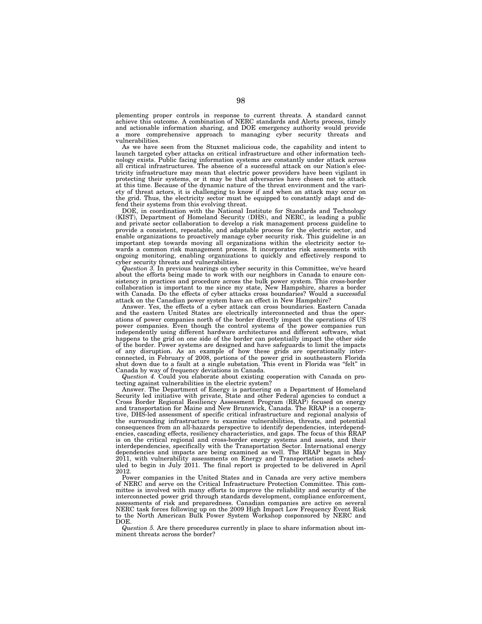plementing proper controls in response to current threats. A standard cannot achieve this outcome. A combination of NERC standards and Alerts process, timely and actionable information sharing, and DOE emergency authority would provide a more comprehensive approach to managing cyber security threats and vulnerabilities.

As we have seen from the Stuxnet malicious code, the capability and intent to launch targeted cyber attacks on critical infrastructure and other information technology exists. Public facing information systems are constantly under attack across all critical infrastructures. The absence of a successful attack on our Nation's electricity infrastructure may mean that electric power providers have been vigilant in protecting their systems, or it may be that adversaries have chosen not to attack at this time. Because of the dynamic nature of the threat environment and the variety of threat actors, it is challenging to know if and when an attack may occur on the grid. Thus, the electricity sector must be equipped to constantly adapt and defend their systems from this evolving threat.

DOE, in coordination with the National Institute for Standards and Technology (KIST), Department of Homeland Security (DHS), and NERC, is leading a public and private sector collaboration to develop a risk management process guideline to provide a consistent, repeatable, and adaptable process for the electric sector, and enable organizations to proactively manage cyber security risk. This guideline is an important step towards moving all organizations within the electricity sector towards a common risk management process. It incorporates risk assessments with ongoing monitoring, enabling organizations to quickly and effectively respond to cyber security threats and vulnerabilities.

*Question 3.* In previous hearings on cyber security in this Committee, we've heard about the efforts being made to work with our neighbors in Canada to ensure consistency in practices and procedure across the bulk power system. This cross-border collaboration is important to me since my state, New Hampshire, shares a border with Canada. Do the effects of cyber attacks cross boundaries? Would a successful attack on the Canadian power system have an effect in New Hampshire?

Answer. Yes, the effects of a cyber attack can cross boundaries. Eastern Canada and the eastern United States are electrically interconnected and thus the operations of power companies north of the border directly impact the operations of US power companies. Even though the control systems of the power companies run independently using different hardware architectures and different software, what happens to the grid on one side of the border can potentially impact the other side of the border. Power systems are designed and have safeguards to limit the impacts of any disruption. As an example of how these grids are operationally interconnected, in February of 2008, portions of the power grid in southeastern Florida shut down due to a fault at a single substation. This event in Florida was ''felt'' in Canada by way of frequency deviations in Canada.

*Question 4.* Could you elaborate about existing cooperation with Canada on protecting against vulnerabilities in the electric system?

Answer. The Department of Energy is partnering on a Department of Homeland Security led initiative with private, State and other Federal agencies to conduct a Cross Border Regional Resiliency Assessment Program (RRAP) focused on energy and transportation for Maine and New Brunswick, Canada. The RRAP is a cooperative, DHS-led assessment of specific critical infrastructure and regional analysis of the surrounding infrastructure to examine vulnerabilities, threats, and potential consequences from an all-hazards perspective to identify dependencies, interdependencies, cascading effects, resiliency characteristics, and gaps. The focus of this RRAP is on the critical regional and cross-border energy systems and assets, and their interdependencies, specifically with the Transportation Sector. International energy dependencies and impacts are being examined as well. The RRAP began in May 2011, with vulnerability assessments on Energy and Transportation assets scheduled to begin in July 2011. The final report is projected to be delivered in April 2012.

Power companies in the United States and in Canada are very active members of NERC and serve on the Critical Infrastructure Protection Committee. This committee is involved with many efforts to improve the reliability and security of the interconnected power grid through standards development, compliance enforcement, assessments of risk and preparedness. Canadian companies are active on several NERC task forces following up on the 2009 High Impact Low Frequency Event Risk to the North American Bulk Power System Workshop cosponsored by NERC and DOE.

*Question 5.* Are there procedures currently in place to share information about imminent threats across the border?